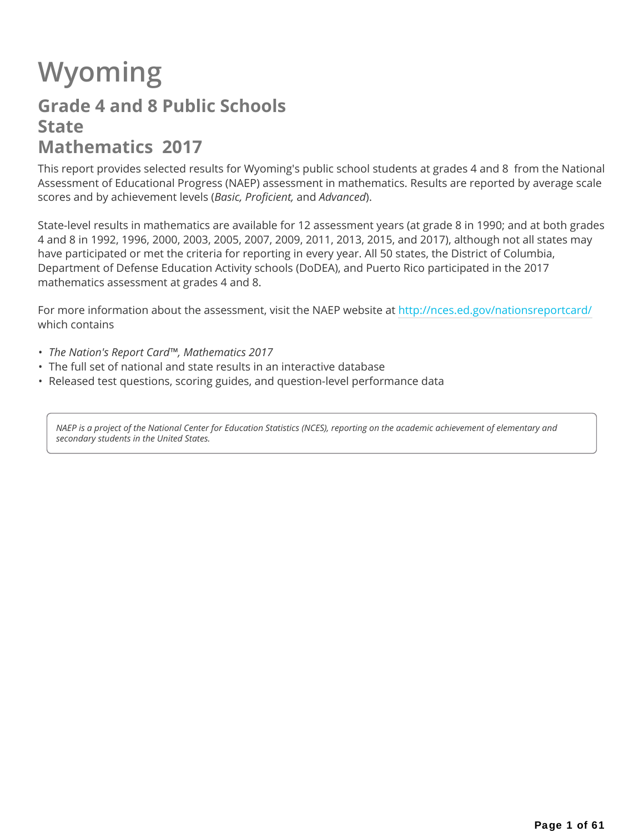# **Wyoming**

## **Grade 4 and 8 Public Schools State Mathematics 2017**

This report provides selected results for Wyoming's public school students at grades 4 and 8 from the National Assessment of Educational Progress (NAEP) assessment in mathematics. Results are reported by average scale scores and by achievement levels (*Basic, Proficient,* and *Advanced*).

State-level results in mathematics are available for 12 assessment years (at grade 8 in 1990; and at both grades 4 and 8 in 1992, 1996, 2000, 2003, 2005, 2007, 2009, 2011, 2013, 2015, and 2017), although not all states may have participated or met the criteria for reporting in every year. All 50 states, the District of Columbia, Department of Defense Education Activity schools (DoDEA), and Puerto Rico participated in the 2017 mathematics assessment at grades 4 and 8.

For more information about the assessment, visit the NAEP website at http://nces.ed.gov/nationsreportcard/ which contains

- *The Nation's Report Card™, Mathematics 2017*
- The full set of national and state results in an interactive database
- Released test questions, scoring guides, and question-level performance data

*NAEP is a project of the National Center for Education Statistics (NCES), reporting on the academic achievement of elementary and secondary students in the United States.*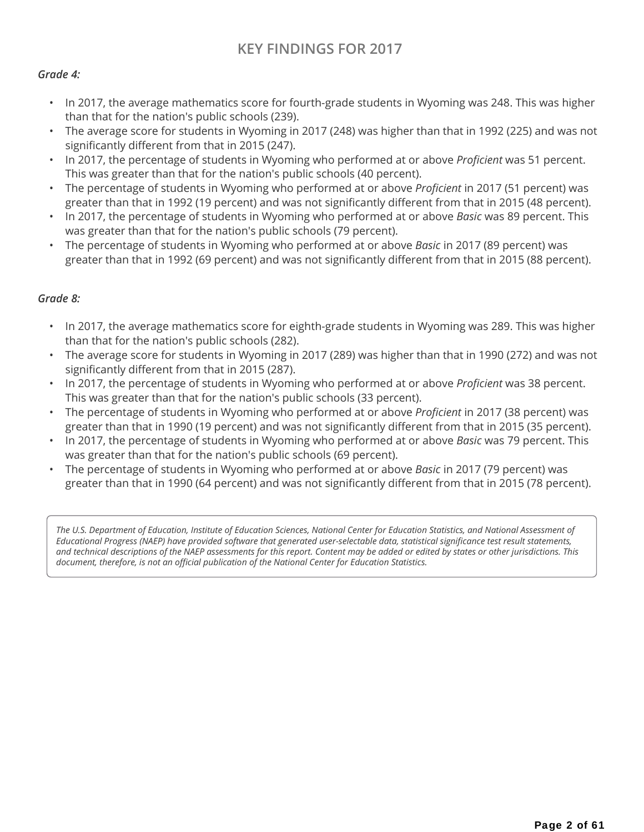### **KEY FINDINGS FOR 2017**

#### *Grade 4:*

- In 2017, the average mathematics score for fourth-grade students in Wyoming was 248. This was higher than that for the nation's public schools (239).
- The average score for students in Wyoming in 2017 (248) was higher than that in 1992 (225) and was not significantly different from that in 2015 (247).
- In 2017, the percentage of students in Wyoming who performed at or above *Proficient* was 51 percent. This was greater than that for the nation's public schools (40 percent).
- The percentage of students in Wyoming who performed at or above *Proficient* in 2017 (51 percent) was greater than that in 1992 (19 percent) and was not significantly different from that in 2015 (48 percent).
- In 2017, the percentage of students in Wyoming who performed at or above *Basic* was 89 percent. This was greater than that for the nation's public schools (79 percent).
- The percentage of students in Wyoming who performed at or above *Basic* in 2017 (89 percent) was greater than that in 1992 (69 percent) and was not significantly different from that in 2015 (88 percent).

#### *Grade 8:*

- In 2017, the average mathematics score for eighth-grade students in Wyoming was 289. This was higher than that for the nation's public schools (282).
- The average score for students in Wyoming in 2017 (289) was higher than that in 1990 (272) and was not significantly different from that in 2015 (287).
- In 2017, the percentage of students in Wyoming who performed at or above *Proficient* was 38 percent. This was greater than that for the nation's public schools (33 percent).
- The percentage of students in Wyoming who performed at or above *Proficient* in 2017 (38 percent) was greater than that in 1990 (19 percent) and was not significantly different from that in 2015 (35 percent).
- In 2017, the percentage of students in Wyoming who performed at or above *Basic* was 79 percent. This was greater than that for the nation's public schools (69 percent).
- The percentage of students in Wyoming who performed at or above *Basic* in 2017 (79 percent) was greater than that in 1990 (64 percent) and was not significantly different from that in 2015 (78 percent).

The U.S. Department of Education, Institute of Education Sciences, National Center for Education Statistics, and National Assessment of *Educational Progress (NAEP) have provided software that generated user-selectable data, statistical significance test result statements, and technical descriptions of the NAEP assessments for this report. Content may be added or edited by states or other jurisdictions. This document, therefore, is not an official publication of the National Center for Education Statistics.*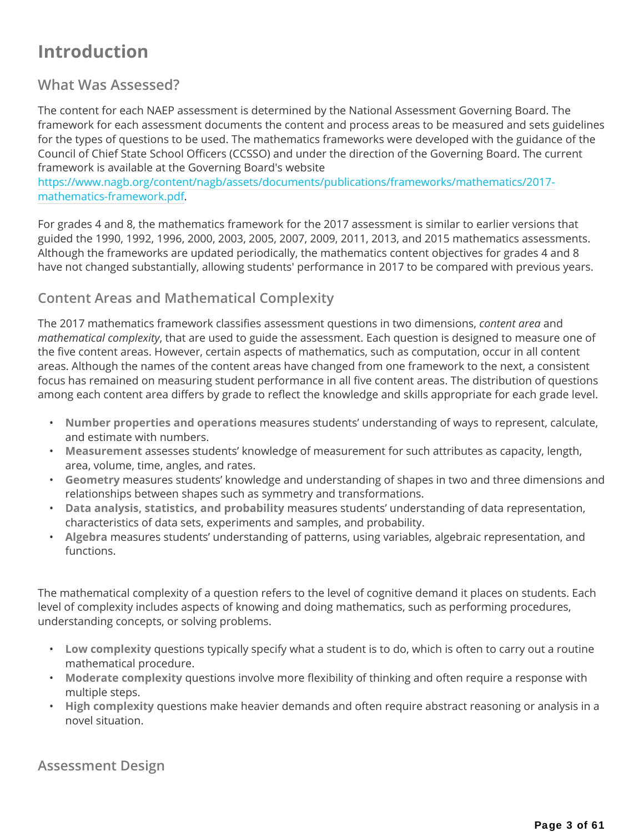## **Introduction**

### **What Was Assessed?**

The content for each NAEP assessment is determined by the National Assessment Governing Board. The framework for each assessment documents the content and process areas to be measured and sets guidelines for the types of questions to be used. The mathematics frameworks were developed with the guidance of the Council of Chief State School Officers (CCSSO) and under the direction of the Governing Board. The current framework is available at the Governing Board's website

https://www.nagb.org/content/nagb/assets/documents/publications/frameworks/mathematics/2017 mathematics-framework.pdf.

For grades 4 and 8, the mathematics framework for the 2017 assessment is similar to earlier versions that guided the 1990, 1992, 1996, 2000, 2003, 2005, 2007, 2009, 2011, 2013, and 2015 mathematics assessments. Although the frameworks are updated periodically, the mathematics content objectives for grades 4 and 8 have not changed substantially, allowing students' performance in 2017 to be compared with previous years.

### **Content Areas and Mathematical Complexity**

The 2017 mathematics framework classifies assessment questions in two dimensions, *content area* and *mathematical complexity*, that are used to guide the assessment. Each question is designed to measure one of the five content areas. However, certain aspects of mathematics, such as computation, occur in all content areas. Although the names of the content areas have changed from one framework to the next, a consistent focus has remained on measuring student performance in all five content areas. The distribution of questions among each content area differs by grade to reflect the knowledge and skills appropriate for each grade level.

- **Number properties and operations** measures students' understanding of ways to represent, calculate, and estimate with numbers.
- **Measurement** assesses students' knowledge of measurement for such attributes as capacity, length, area, volume, time, angles, and rates.
- **Geometry** measures students' knowledge and understanding of shapes in two and three dimensions and relationships between shapes such as symmetry and transformations.
- **Data analysis, statistics, and probability** measures students' understanding of data representation, characteristics of data sets, experiments and samples, and probability.
- **Algebra** measures students' understanding of patterns, using variables, algebraic representation, and functions.

The mathematical complexity of a question refers to the level of cognitive demand it places on students. Each level of complexity includes aspects of knowing and doing mathematics, such as performing procedures, understanding concepts, or solving problems.

- **Low complexity** questions typically specify what a student is to do, which is often to carry out a routine mathematical procedure.
- **Moderate complexity** questions involve more flexibility of thinking and often require a response with multiple steps.
- **High complexity** questions make heavier demands and often require abstract reasoning or analysis in a novel situation.

**Assessment Design**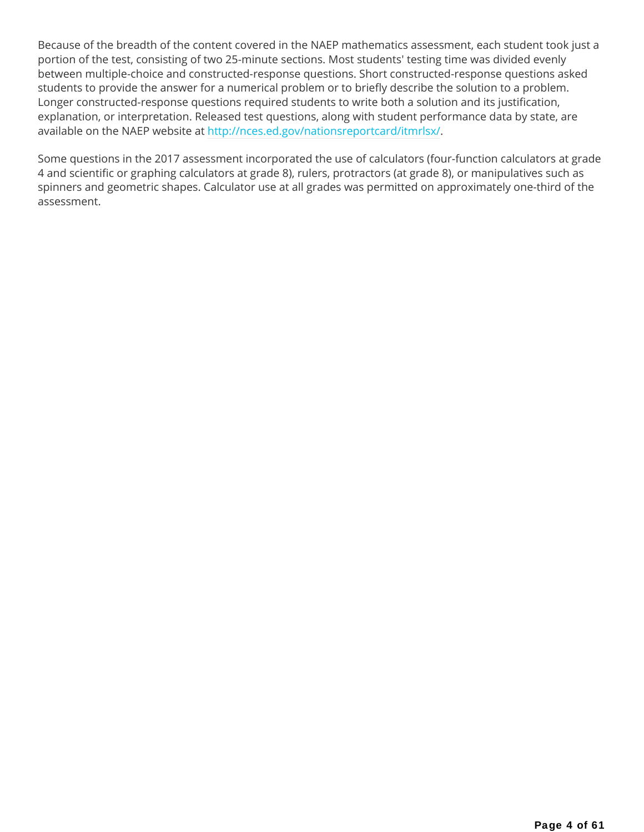Because of the breadth of the content covered in the NAEP mathematics assessment, each student took just a portion of the test, consisting of two 25-minute sections. Most students' testing time was divided evenly between multiple-choice and constructed-response questions. Short constructed-response questions asked students to provide the answer for a numerical problem or to briefly describe the solution to a problem. Longer constructed-response questions required students to write both a solution and its justification, explanation, or interpretation. Released test questions, along with student performance data by state, are available on the NAEP website at http://nces.ed.gov/nationsreportcard/itmrlsx/.

Some questions in the 2017 assessment incorporated the use of calculators (four-function calculators at grade 4 and scientific or graphing calculators at grade 8), rulers, protractors (at grade 8), or manipulatives such as spinners and geometric shapes. Calculator use at all grades was permitted on approximately one-third of the assessment.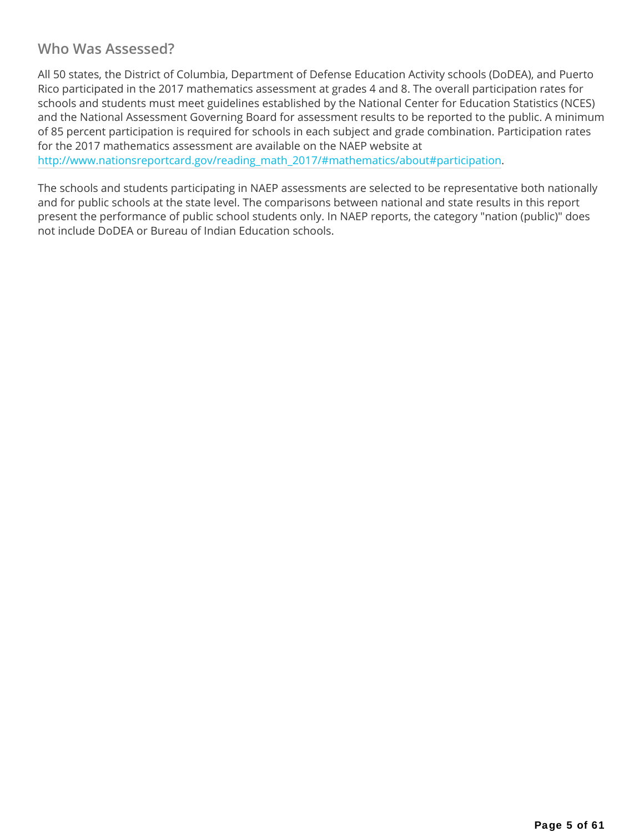### **Who Was Assessed?**

All 50 states, the District of Columbia, Department of Defense Education Activity schools (DoDEA), and Puerto Rico participated in the 2017 mathematics assessment at grades 4 and 8. The overall participation rates for schools and students must meet guidelines established by the National Center for Education Statistics (NCES) and the National Assessment Governing Board for assessment results to be reported to the public. A minimum of 85 percent participation is required for schools in each subject and grade combination. Participation rates for the 2017 mathematics assessment are available on the NAEP website at http://www.nationsreportcard.gov/reading\_math\_2017/#mathematics/about#participation.

The schools and students participating in NAEP assessments are selected to be representative both nationally and for public schools at the state level. The comparisons between national and state results in this report present the performance of public school students only. In NAEP reports, the category "nation (public)" does not include DoDEA or Bureau of Indian Education schools.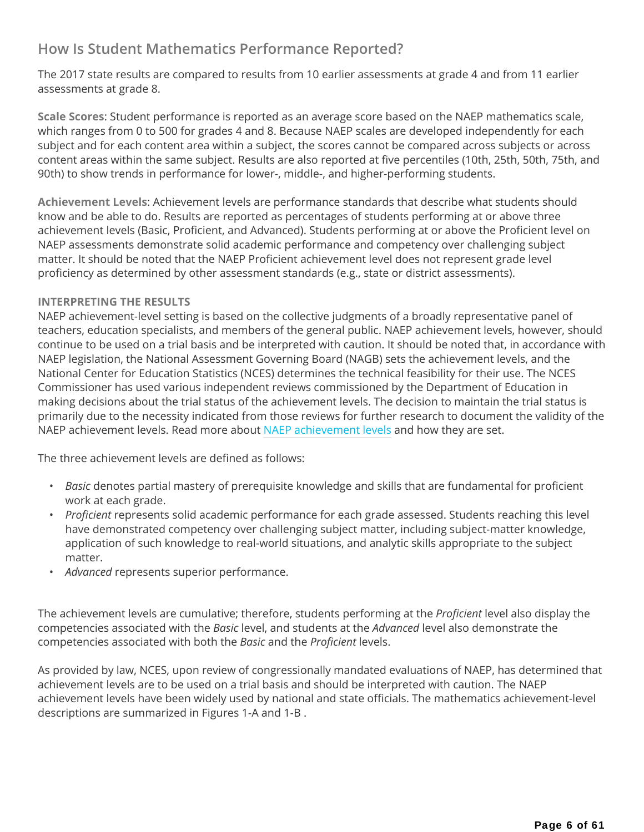## **How Is Student Mathematics Performance Reported?**

The 2017 state results are compared to results from 10 earlier assessments at grade 4 and from 11 earlier assessments at grade 8.

**Scale Scores**: Student performance is reported as an average score based on the NAEP mathematics scale, which ranges from 0 to 500 for grades 4 and 8. Because NAEP scales are developed independently for each subject and for each content area within a subject, the scores cannot be compared across subjects or across content areas within the same subject. Results are also reported at five percentiles (10th, 25th, 50th, 75th, and 90th) to show trends in performance for lower-, middle-, and higher-performing students.

**Achievement Levels**: Achievement levels are performance standards that describe what students should know and be able to do. Results are reported as percentages of students performing at or above three achievement levels (Basic, Proficient, and Advanced). Students performing at or above the Proficient level on NAEP assessments demonstrate solid academic performance and competency over challenging subject matter. It should be noted that the NAEP Proficient achievement level does not represent grade level proficiency as determined by other assessment standards (e.g., state or district assessments).

### **INTERPRETING THE RESULTS**

NAEP achievement-level setting is based on the collective judgments of a broadly representative panel of teachers, education specialists, and members of the general public. NAEP achievement levels, however, should continue to be used on a trial basis and be interpreted with caution. It should be noted that, in accordance with NAEP legislation, the National Assessment Governing Board (NAGB) sets the achievement levels, and the National Center for Education Statistics (NCES) determines the technical feasibility for their use. The NCES Commissioner has used various independent reviews commissioned by the Department of Education in making decisions about the trial status of the achievement levels. The decision to maintain the trial status is primarily due to the necessity indicated from those reviews for further research to document the validity of the NAEP achievement levels. Read more about NAEP achievement levels and how they are set.

The three achievement levels are defined as follows:

- *Basic* denotes partial mastery of prerequisite knowledge and skills that are fundamental for proficient work at each grade.
- *Proficient* represents solid academic performance for each grade assessed. Students reaching this level have demonstrated competency over challenging subject matter, including subject-matter knowledge, application of such knowledge to real-world situations, and analytic skills appropriate to the subject matter.
- *Advanced* represents superior performance.

The achievement levels are cumulative; therefore, students performing at the *Proficient* level also display the competencies associated with the *Basic* level, and students at the *Advanced* level also demonstrate the competencies associated with both the *Basic* and the *Proficient* levels.

As provided by law, NCES, upon review of congressionally mandated evaluations of NAEP, has determined that achievement levels are to be used on a trial basis and should be interpreted with caution. The NAEP achievement levels have been widely used by national and state officials. The mathematics achievement-level descriptions are summarized in Figures 1-A and 1-B .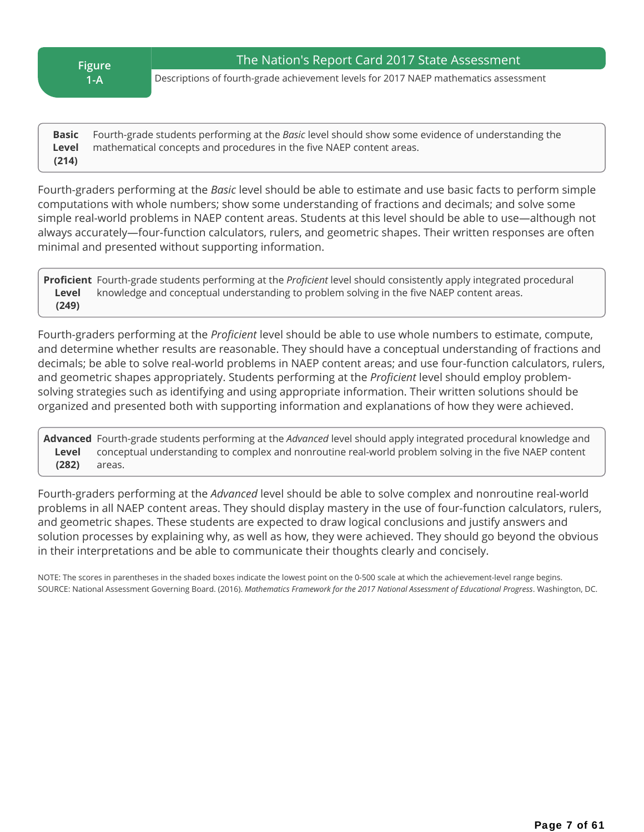**Figure 1-A** 

Descriptions of fourth-grade achievement levels for 2017 NAEP mathematics assessment

**Basic Level (214)** Fourth-grade students performing at the *Basic* level should show some evidence of understanding the mathematical concepts and procedures in the five NAEP content areas.

Fourth-graders performing at the *Basic* level should be able to estimate and use basic facts to perform simple computations with whole numbers; show some understanding of fractions and decimals; and solve some simple real-world problems in NAEP content areas. Students at this level should be able to use—although not always accurately—four-function calculators, rulers, and geometric shapes. Their written responses are often minimal and presented without supporting information.

**Proficient** Fourth-grade students performing at the *Proficient* level should consistently apply integrated procedural **Level (249)** knowledge and conceptual understanding to problem solving in the five NAEP content areas.

Fourth-graders performing at the *Proficient* level should be able to use whole numbers to estimate, compute, and determine whether results are reasonable. They should have a conceptual understanding of fractions and decimals; be able to solve real-world problems in NAEP content areas; and use four-function calculators, rulers, and geometric shapes appropriately. Students performing at the *Proficient* level should employ problemsolving strategies such as identifying and using appropriate information. Their written solutions should be organized and presented both with supporting information and explanations of how they were achieved.

**Advanced** Fourth-grade students performing at the *Advanced* level should apply integrated procedural knowledge and **Level (282)** conceptual understanding to complex and nonroutine real-world problem solving in the five NAEP content areas.

Fourth-graders performing at the *Advanced* level should be able to solve complex and nonroutine real-world problems in all NAEP content areas. They should display mastery in the use of four-function calculators, rulers, and geometric shapes. These students are expected to draw logical conclusions and justify answers and solution processes by explaining why, as well as how, they were achieved. They should go beyond the obvious in their interpretations and be able to communicate their thoughts clearly and concisely.

NOTE: The scores in parentheses in the shaded boxes indicate the lowest point on the 0-500 scale at which the achievement-level range begins. SOURCE: National Assessment Governing Board. (2016). *Mathematics Framework for the 2017 National Assessment of Educational Progress*. Washington, DC.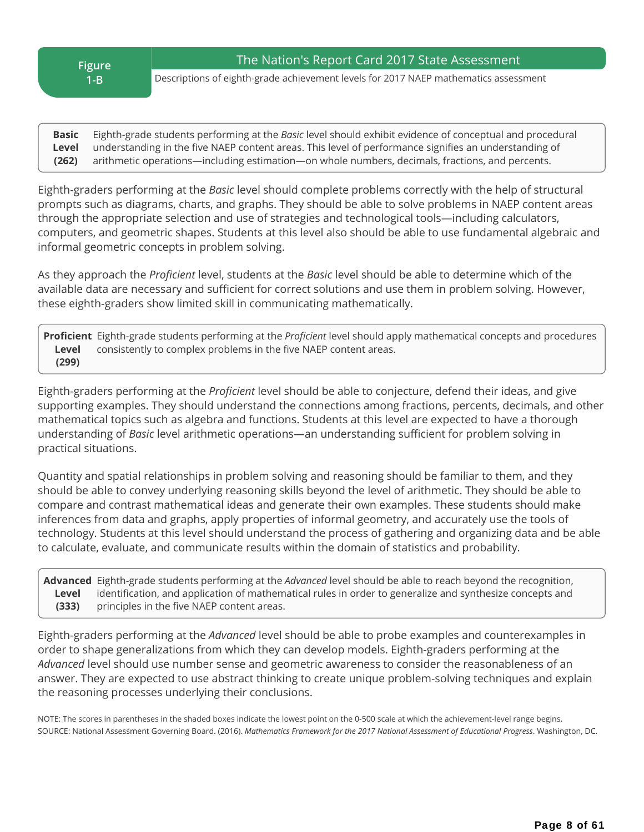**Figure 1-B** 

The Nation's Report Card 2017 State Assessment

Descriptions of eighth-grade achievement levels for 2017 NAEP mathematics assessment

**Basic Level (262)** Eighth-grade students performing at the *Basic* level should exhibit evidence of conceptual and procedural understanding in the five NAEP content areas. This level of performance signifies an understanding of arithmetic operations—including estimation—on whole numbers, decimals, fractions, and percents.

Eighth-graders performing at the *Basic* level should complete problems correctly with the help of structural prompts such as diagrams, charts, and graphs. They should be able to solve problems in NAEP content areas through the appropriate selection and use of strategies and technological tools—including calculators, computers, and geometric shapes. Students at this level also should be able to use fundamental algebraic and informal geometric concepts in problem solving.

As they approach the *Proficient* level, students at the *Basic* level should be able to determine which of the available data are necessary and sufficient for correct solutions and use them in problem solving. However, these eighth-graders show limited skill in communicating mathematically.

**Proficient** Eighth-grade students performing at the *Proficient* level should apply mathematical concepts and procedures **Level (299)** consistently to complex problems in the five NAEP content areas.

Eighth-graders performing at the *Proficient* level should be able to conjecture, defend their ideas, and give supporting examples. They should understand the connections among fractions, percents, decimals, and other mathematical topics such as algebra and functions. Students at this level are expected to have a thorough understanding of *Basic* level arithmetic operations—an understanding sufficient for problem solving in practical situations.

Quantity and spatial relationships in problem solving and reasoning should be familiar to them, and they should be able to convey underlying reasoning skills beyond the level of arithmetic. They should be able to compare and contrast mathematical ideas and generate their own examples. These students should make inferences from data and graphs, apply properties of informal geometry, and accurately use the tools of technology. Students at this level should understand the process of gathering and organizing data and be able to calculate, evaluate, and communicate results within the domain of statistics and probability.

**Advanced** Eighth-grade students performing at the *Advanced* level should be able to reach beyond the recognition, **Level (333)** identification, and application of mathematical rules in order to generalize and synthesize concepts and principles in the five NAEP content areas.

Eighth-graders performing at the *Advanced* level should be able to probe examples and counterexamples in order to shape generalizations from which they can develop models. Eighth-graders performing at the *Advanced* level should use number sense and geometric awareness to consider the reasonableness of an answer. They are expected to use abstract thinking to create unique problem-solving techniques and explain the reasoning processes underlying their conclusions.

NOTE: The scores in parentheses in the shaded boxes indicate the lowest point on the 0-500 scale at which the achievement-level range begins. SOURCE: National Assessment Governing Board. (2016). *Mathematics Framework for the 2017 National Assessment of Educational Progress*. Washington, DC.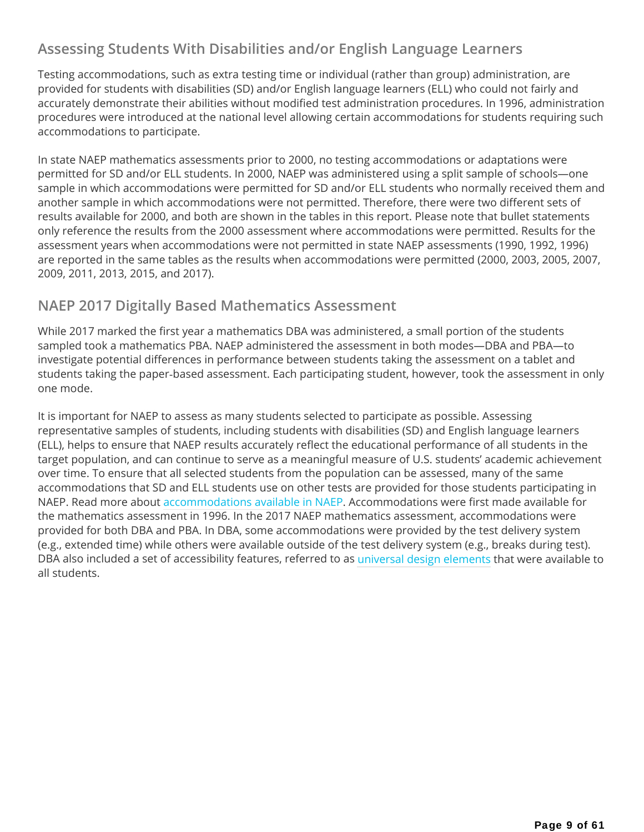## **Assessing Students With Disabilities and/or English Language Learners**

Testing accommodations, such as extra testing time or individual (rather than group) administration, are provided for students with disabilities (SD) and/or English language learners (ELL) who could not fairly and accurately demonstrate their abilities without modified test administration procedures. In 1996, administration procedures were introduced at the national level allowing certain accommodations for students requiring such accommodations to participate.

In state NAEP mathematics assessments prior to 2000, no testing accommodations or adaptations were permitted for SD and/or ELL students. In 2000, NAEP was administered using a split sample of schools—one sample in which accommodations were permitted for SD and/or ELL students who normally received them and another sample in which accommodations were not permitted. Therefore, there were two different sets of results available for 2000, and both are shown in the tables in this report. Please note that bullet statements only reference the results from the 2000 assessment where accommodations were permitted. Results for the assessment years when accommodations were not permitted in state NAEP assessments (1990, 1992, 1996) are reported in the same tables as the results when accommodations were permitted (2000, 2003, 2005, 2007, 2009, 2011, 2013, 2015, and 2017).

### **NAEP 2017 Digitally Based Mathematics Assessment**

While 2017 marked the first year a mathematics DBA was administered, a small portion of the students sampled took a mathematics PBA. NAEP administered the assessment in both modes—DBA and PBA—to investigate potential differences in performance between students taking the assessment on a tablet and students taking the paper‐based assessment. Each participating student, however, took the assessment in only one mode.

It is important for NAEP to assess as many students selected to participate as possible. Assessing representative samples of students, including students with disabilities (SD) and English language learners (ELL), helps to ensure that NAEP results accurately reflect the educational performance of all students in the target population, and can continue to serve as a meaningful measure of U.S. students' academic achievement over time. To ensure that all selected students from the population can be assessed, many of the same accommodations that SD and ELL students use on other tests are provided for those students participating in NAEP. Read more about accommodations available in NAEP. Accommodations were first made available for the mathematics assessment in 1996. In the 2017 NAEP mathematics assessment, accommodations were provided for both DBA and PBA. In DBA, some accommodations were provided by the test delivery system (e.g., extended time) while others were available outside of the test delivery system (e.g., breaks during test). DBA also included a set of accessibility features, referred to as universal design elements that were available to all students.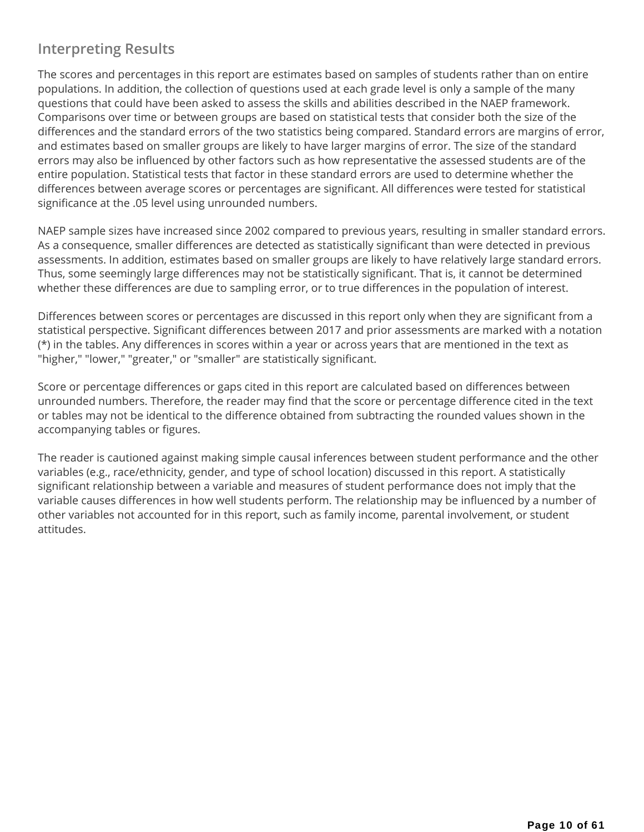## **Interpreting Results**

The scores and percentages in this report are estimates based on samples of students rather than on entire populations. In addition, the collection of questions used at each grade level is only a sample of the many questions that could have been asked to assess the skills and abilities described in the NAEP framework. Comparisons over time or between groups are based on statistical tests that consider both the size of the differences and the standard errors of the two statistics being compared. Standard errors are margins of error, and estimates based on smaller groups are likely to have larger margins of error. The size of the standard errors may also be influenced by other factors such as how representative the assessed students are of the entire population. Statistical tests that factor in these standard errors are used to determine whether the differences between average scores or percentages are significant. All differences were tested for statistical significance at the .05 level using unrounded numbers.

NAEP sample sizes have increased since 2002 compared to previous years, resulting in smaller standard errors. As a consequence, smaller differences are detected as statistically significant than were detected in previous assessments. In addition, estimates based on smaller groups are likely to have relatively large standard errors. Thus, some seemingly large differences may not be statistically significant. That is, it cannot be determined whether these differences are due to sampling error, or to true differences in the population of interest.

Differences between scores or percentages are discussed in this report only when they are significant from a statistical perspective. Significant differences between 2017 and prior assessments are marked with a notation (\*) in the tables. Any differences in scores within a year or across years that are mentioned in the text as "higher," "lower," "greater," or "smaller" are statistically significant.

Score or percentage differences or gaps cited in this report are calculated based on differences between unrounded numbers. Therefore, the reader may find that the score or percentage difference cited in the text or tables may not be identical to the difference obtained from subtracting the rounded values shown in the accompanying tables or figures.

The reader is cautioned against making simple causal inferences between student performance and the other variables (e.g., race/ethnicity, gender, and type of school location) discussed in this report. A statistically significant relationship between a variable and measures of student performance does not imply that the variable causes differences in how well students perform. The relationship may be influenced by a number of other variables not accounted for in this report, such as family income, parental involvement, or student attitudes.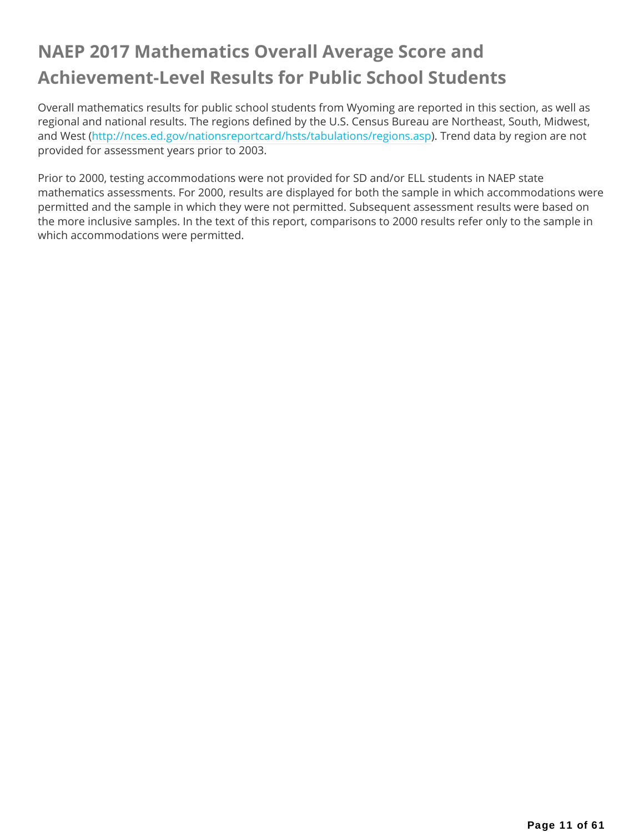## **NAEP 2017 Mathematics Overall Average Score and Achievement-Level Results for Public School Students**

Overall mathematics results for public school students from Wyoming are reported in this section, as well as regional and national results. The regions defined by the U.S. Census Bureau are Northeast, South, Midwest, and West (http://nces.ed.gov/nationsreportcard/hsts/tabulations/regions.asp). Trend data by region are not provided for assessment years prior to 2003.

Prior to 2000, testing accommodations were not provided for SD and/or ELL students in NAEP state mathematics assessments. For 2000, results are displayed for both the sample in which accommodations were permitted and the sample in which they were not permitted. Subsequent assessment results were based on the more inclusive samples. In the text of this report, comparisons to 2000 results refer only to the sample in which accommodations were permitted.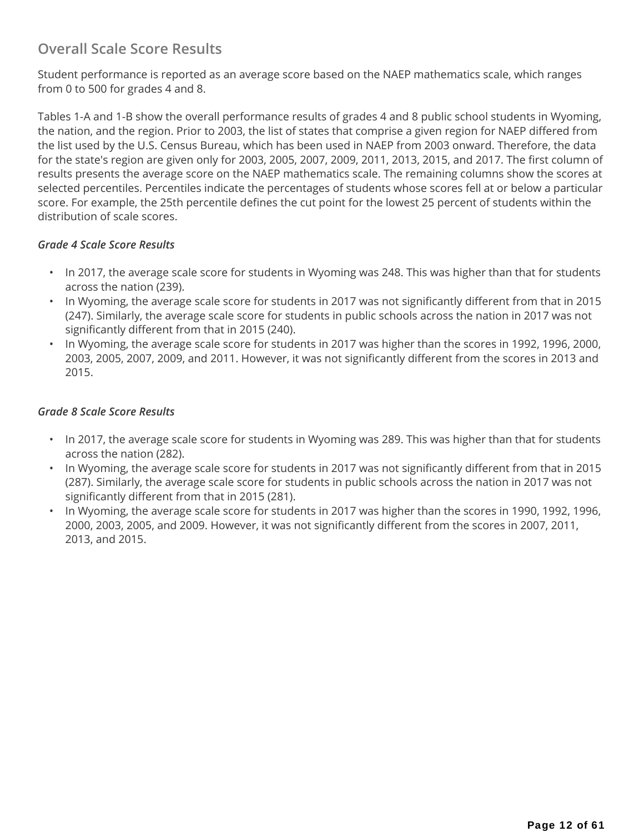## **Overall Scale Score Results**

Student performance is reported as an average score based on the NAEP mathematics scale, which ranges from 0 to 500 for grades 4 and 8.

Tables 1-A and 1-B show the overall performance results of grades 4 and 8 public school students in Wyoming, the nation, and the region. Prior to 2003, the list of states that comprise a given region for NAEP differed from the list used by the U.S. Census Bureau, which has been used in NAEP from 2003 onward. Therefore, the data for the state's region are given only for 2003, 2005, 2007, 2009, 2011, 2013, 2015, and 2017. The first column of results presents the average score on the NAEP mathematics scale. The remaining columns show the scores at selected percentiles. Percentiles indicate the percentages of students whose scores fell at or below a particular score. For example, the 25th percentile defines the cut point for the lowest 25 percent of students within the distribution of scale scores.

### *Grade 4 Scale Score Results*

- In 2017, the average scale score for students in Wyoming was 248. This was higher than that for students across the nation (239).
- In Wyoming, the average scale score for students in 2017 was not significantly different from that in 2015 (247). Similarly, the average scale score for students in public schools across the nation in 2017 was not significantly different from that in 2015 (240).
- In Wyoming, the average scale score for students in 2017 was higher than the scores in 1992, 1996, 2000, 2003, 2005, 2007, 2009, and 2011. However, it was not significantly different from the scores in 2013 and 2015.

### *Grade 8 Scale Score Results*

- In 2017, the average scale score for students in Wyoming was 289. This was higher than that for students across the nation (282).
- In Wyoming, the average scale score for students in 2017 was not significantly different from that in 2015 (287). Similarly, the average scale score for students in public schools across the nation in 2017 was not significantly different from that in 2015 (281).
- In Wyoming, the average scale score for students in 2017 was higher than the scores in 1990, 1992, 1996, 2000, 2003, 2005, and 2009. However, it was not significantly different from the scores in 2007, 2011, 2013, and 2015.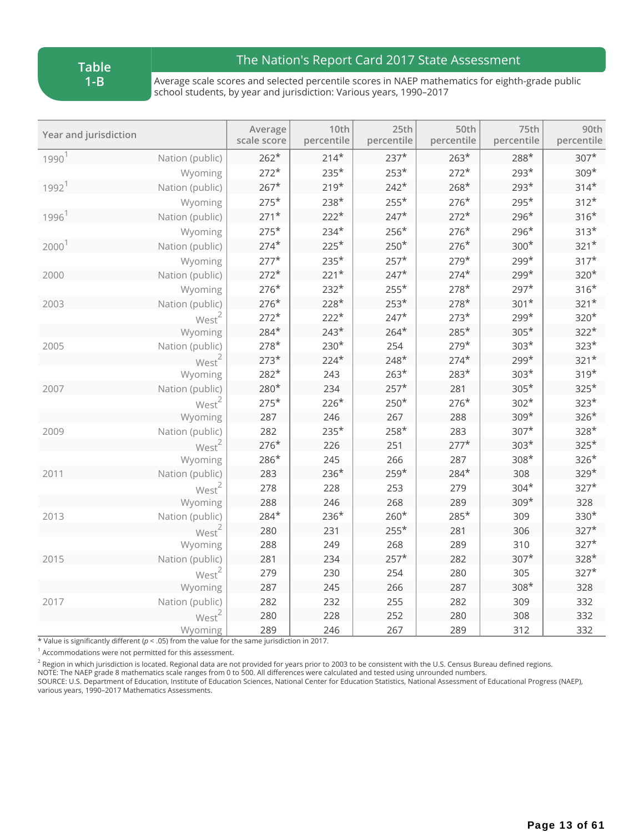**Table 1-B**

### The Nation's Report Card 2017 State Assessment

Average scale scores and selected percentile scores in NAEP mathematics for eighth-grade public school students, by year and jurisdiction: Various years, 1990–2017

| Year and jurisdiction |                   | Average<br>scale score | 10th<br>percentile | 25th<br>percentile | 50th<br>percentile | 75th<br>percentile | 90th<br>percentile |
|-----------------------|-------------------|------------------------|--------------------|--------------------|--------------------|--------------------|--------------------|
| 1990 <sup>1</sup>     | Nation (public)   | $262*$                 | $214*$             | $237*$             | $263*$             | 288*               | $307*$             |
|                       | Wyoming           | $272*$                 | $235*$             | $253*$             | $272*$             | $293*$             | 309*               |
| $1992$ <sup>1</sup>   | Nation (public)   | $267*$                 | $219*$             | $242*$             | $268*$             | 293*               | $314*$             |
|                       | Wyoming           | $275*$                 | $238*$             | $255*$             | $276*$             | 295*               | $312*$             |
| 1996 <sup>1</sup>     | Nation (public)   | $271*$                 | $222*$             | $247*$             | $272*$             | 296*               | $316*$             |
|                       | Wyoming           | $275*$                 | $234*$             | $256*$             | $276*$             | $296*$             | $313*$             |
| 2000 <sup>1</sup>     | Nation (public)   | $274*$                 | $225*$             | $250*$             | $276*$             | $300*$             | $321*$             |
|                       | Wyoming           | $277*$                 | $235*$             | $257*$             | $279*$             | 299*               | $317*$             |
| 2000                  | Nation (public)   | $272*$                 | $221*$             | $247*$             | $274*$             | 299*               | 320*               |
|                       | Wyoming           | $276*$                 | $232*$             | $255*$             | $278*$             | $297*$             | $316*$             |
| 2003                  | Nation (public)   | $276*$                 | 228*               | $253*$             | $278*$             | $301*$             | $321*$             |
|                       | West <sup>2</sup> | $272*$                 | $222*$             | $247*$             | $273*$             | 299*               | 320*               |
|                       | Wyoming           | 284*                   | $243*$             | $264*$             | 285*               | $305*$             | $322*$             |
| 2005                  | Nation (public)   | $278*$                 | $230*$             | 254                | $279*$             | $303*$             | $323*$             |
|                       | West <sup>2</sup> | $273*$                 | $224*$             | $248*$             | $274*$             | 299*               | $321*$             |
|                       | Wyoming           | 282*                   | 243                | $263*$             | $283*$             | $303*$             | $319*$             |
| 2007                  | Nation (public)   | 280*                   | 234                | $257*$             | 281                | $305*$             | $325*$             |
|                       | West <sup>2</sup> | $275*$                 | $226*$             | $250*$             | $276*$             | $302*$             | $323*$             |
|                       | Wyoming           | 287                    | 246                | 267                | 288                | $309*$             | $326*$             |
| 2009                  | Nation (public)   | 282                    | $235*$             | $258*$             | 283                | $307*$             | 328*               |
|                       | West <sup>2</sup> | $276*$                 | 226                | 251                | $277*$             | $303*$             | $325*$             |
|                       | Wyoming           | 286*                   | 245                | 266                | 287                | 308*               | $326*$             |
| 2011                  | Nation (public)   | 283                    | $236*$             | $259*$             | $284*$             | 308                | 329*               |
|                       | West <sup>2</sup> | 278                    | 228                | 253                | 279                | $304*$             | $327*$             |
|                       | Wyoming           | 288                    | 246                | 268                | 289                | 309*               | 328                |
| 2013                  | Nation (public)   | 284*                   | $236*$             | $260*$             | 285*               | 309                | 330*               |
|                       | West <sup>2</sup> | 280                    | 231                | $255*$             | 281                | 306                | $327*$             |
|                       | Wyoming           | 288                    | 249                | 268                | 289                | 310                | $327*$             |
| 2015                  | Nation (public)   | 281                    | 234                | $257*$             | 282                | $307*$             | 328*               |
|                       | West <sup>2</sup> | 279                    | 230                | 254                | 280                | 305                | $327*$             |
|                       | Wyoming           | 287                    | 245                | 266                | 287                | $308*$             | 328                |
| 2017                  | Nation (public)   | 282                    | 232                | 255                | 282                | 309                | 332                |
|                       | West <sup>2</sup> | 280                    | 228                | 252                | 280                | 308                | 332                |
|                       | Wyoming           | 289                    | 246                | 267                | 289                | 312                | 332                |

\* Value is significantly different (*p* < .05) from the value for the same jurisdiction in 2017.

 $1$  Accommodations were not permitted for this assessment.

 $^2$  Region in which jurisdiction is located. Regional data are not provided for years prior to 2003 to be consistent with the U.S. Census Bureau defined regions.

NOTE: The NAEP grade 8 mathematics scale ranges from 0 to 500. All differences were calculated and tested using unrounded numbers.

SOURCE: U.S. Department of Education, Institute of Education Sciences, National Center for Education Statistics, National Assessment of Educational Progress (NAEP), various years, 1990–2017 Mathematics Assessments.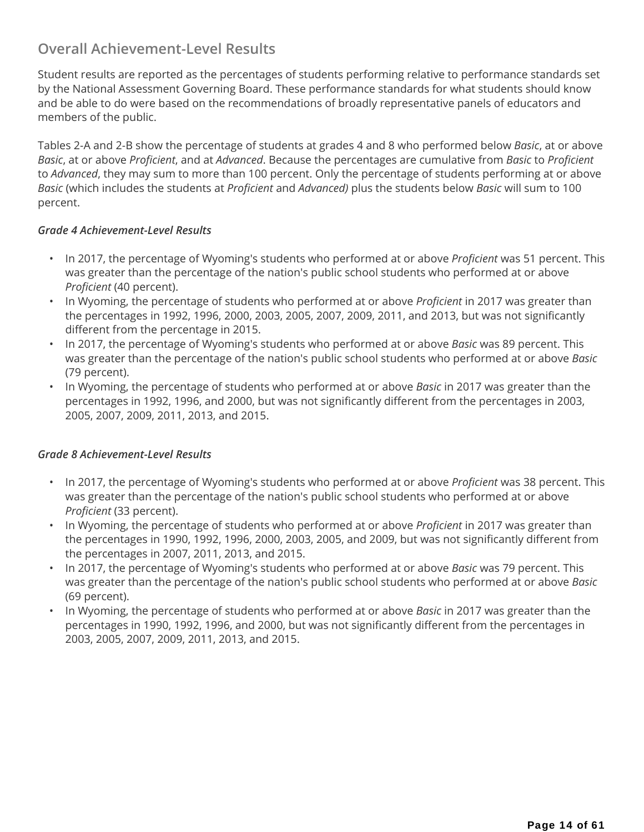### **Overall Achievement-Level Results**

Student results are reported as the percentages of students performing relative to performance standards set by the National Assessment Governing Board. These performance standards for what students should know and be able to do were based on the recommendations of broadly representative panels of educators and members of the public.

Tables 2-A and 2-B show the percentage of students at grades 4 and 8 who performed below *Basic*, at or above *Basic*, at or above *Proficient*, and at *Advanced*. Because the percentages are cumulative from *Basic* to *Proficient* to *Advanced*, they may sum to more than 100 percent. Only the percentage of students performing at or above *Basic* (which includes the students at *Proficient* and *Advanced)* plus the students below *Basic* will sum to 100 percent.

### *Grade 4 Achievement-Level Results*

- In 2017, the percentage of Wyoming's students who performed at or above *Proficient* was 51 percent. This was greater than the percentage of the nation's public school students who performed at or above *Proficient* (40 percent).
- In Wyoming, the percentage of students who performed at or above *Proficient* in 2017 was greater than the percentages in 1992, 1996, 2000, 2003, 2005, 2007, 2009, 2011, and 2013, but was not significantly different from the percentage in 2015.
- In 2017, the percentage of Wyoming's students who performed at or above *Basic* was 89 percent. This was greater than the percentage of the nation's public school students who performed at or above *Basic* (79 percent).
- In Wyoming, the percentage of students who performed at or above *Basic* in 2017 was greater than the percentages in 1992, 1996, and 2000, but was not significantly different from the percentages in 2003, 2005, 2007, 2009, 2011, 2013, and 2015.

### *Grade 8 Achievement-Level Results*

- In 2017, the percentage of Wyoming's students who performed at or above *Proficient* was 38 percent. This was greater than the percentage of the nation's public school students who performed at or above *Proficient* (33 percent).
- In Wyoming, the percentage of students who performed at or above *Proficient* in 2017 was greater than the percentages in 1990, 1992, 1996, 2000, 2003, 2005, and 2009, but was not significantly different from the percentages in 2007, 2011, 2013, and 2015.
- In 2017, the percentage of Wyoming's students who performed at or above *Basic* was 79 percent. This was greater than the percentage of the nation's public school students who performed at or above *Basic* (69 percent).
- In Wyoming, the percentage of students who performed at or above *Basic* in 2017 was greater than the percentages in 1990, 1992, 1996, and 2000, but was not significantly different from the percentages in 2003, 2005, 2007, 2009, 2011, 2013, and 2015.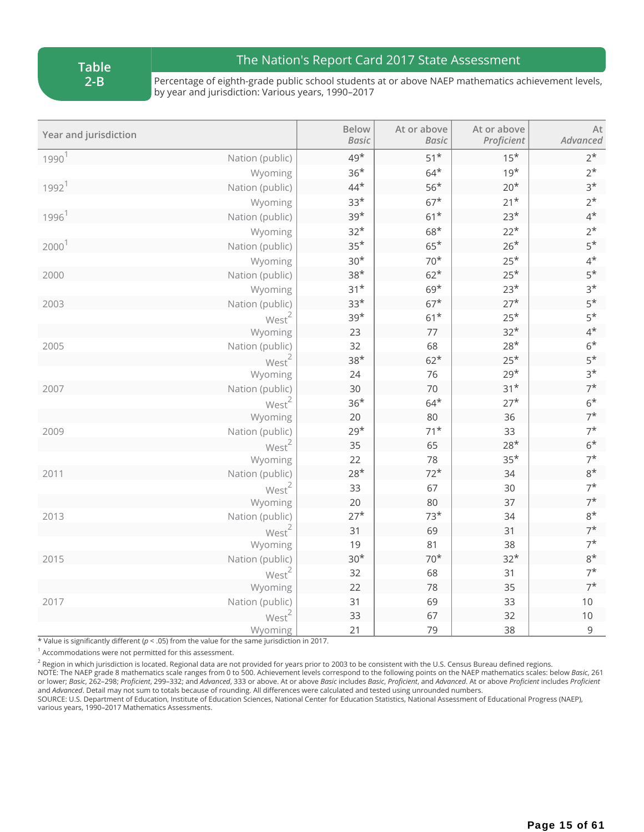**Table 2-B**

## The Nation's Report Card 2017 State Assessment

Percentage of eighth-grade public school students at or above NAEP mathematics achievement levels, by year and jurisdiction: Various years, 1990–2017

| Year and jurisdiction |                   | <b>Below</b><br><b>Basic</b> | At or above<br><b>Basic</b> | At or above<br>Proficient | At<br>Advanced |
|-----------------------|-------------------|------------------------------|-----------------------------|---------------------------|----------------|
| 1990 <sup>1</sup>     | Nation (public)   | 49*                          | $51*$                       | $15*$                     | $2^*$          |
|                       | Wyoming           | $36*$                        | $64*$                       | $19*$                     | $2^{\star}$    |
| 1992 <sup>1</sup>     | Nation (public)   | $44*$                        | $56*$                       | $20*$                     | $3*$           |
|                       | Wyoming           | $33*$                        | $67*$                       | $21*$                     | $2^*$          |
| 1996 <sup>1</sup>     | Nation (public)   | $39*$                        | $61*$                       | $23*$                     | $4^*$          |
|                       | Wyoming           | $32*$                        | $68*$                       | $22*$                     | $2^*$          |
| 2000 <sup>1</sup>     | Nation (public)   | $35*$                        | $65*$                       | $26*$                     | $5*$           |
|                       | Wyoming           | $30*$                        | $70*$                       | $25*$                     | $4^{\star}$    |
| 2000                  | Nation (public)   | $38*$                        | $62*$                       | $25*$                     | $5*$           |
|                       | Wyoming           | $31*$                        | $69*$                       | $23*$                     | $3*$           |
| 2003                  | Nation (public)   | $33*$                        | $67*$                       | $27*$                     | $5*$           |
|                       | West <sup>2</sup> | $39*$                        | $61*$                       | $25*$                     | $5*$           |
|                       | Wyoming           | 23                           | $77 \,$                     | $32*$                     | $4^*$          |
| 2005                  | Nation (public)   | 32                           | 68                          | $28*$                     | $6*$           |
|                       | West <sup>2</sup> | $38*$                        | $62*$                       | $25*$                     | $5*$           |
|                       | Wyoming           | 24                           | 76                          | $29*$                     | $3*$           |
| 2007                  | Nation (public)   | 30                           | 70                          | $31*$                     | $7^*$          |
|                       | West <sup>2</sup> | $36*$                        | $64*$                       | $27*$                     | $6*$           |
|                       | Wyoming           | 20                           | 80                          | 36                        | $7^*$          |
| 2009                  | Nation (public)   | $29*$                        | $71^{\star}$                | 33                        | $7^*$          |
|                       | West <sup>2</sup> | 35                           | 65                          | $28*$                     | $6*$           |
|                       | Wyoming           | 22                           | 78                          | $35*$                     | $7^*$          |
| 2011                  | Nation (public)   | $28*$                        | $72*$                       | 34                        | $8*$           |
|                       | West <sup>2</sup> | 33                           | 67                          | 30                        | $7^*$          |
|                       | Wyoming           | 20                           | 80                          | 37                        | $7^*$          |
| 2013                  | Nation (public)   | $27*$                        | $73*$                       | 34                        | $8*$           |
|                       | West <sup>2</sup> | 31                           | 69                          | 31                        | $7^*$          |
|                       | Wyoming           | 19                           | 81                          | 38                        | $7^*$          |
| 2015                  | Nation (public)   | $30*$                        | $70*$                       | $32*$                     | $8*$           |
|                       | $West^2$          | 32                           | 68                          | 31                        | $7^*$          |
|                       | Wyoming           | 22                           | 78                          | 35                        | $7^*$          |
| 2017                  | Nation (public)   | 31                           | 69                          | 33                        | 10             |
|                       | West <sup>2</sup> | 33                           | 67                          | 32                        | 10             |
|                       | Wyoming           | 21                           | 79                          | 38                        | 9              |

\* Value is significantly different (*p* < .05) from the value for the same jurisdiction in 2017.

 $1$  Accommodations were not permitted for this assessment.

 $^2$  Region in which jurisdiction is located. Regional data are not provided for years prior to 2003 to be consistent with the U.S. Census Bureau defined regions.

NOTE: The NAEP grade 8 mathematics scale ranges from 0 to 500. Achievement levels correspond to the following points on the NAEP mathematics scales: below *Basic*, 261 or lower; Basic, 262-298; Proficient, 299-332; and Advanced, 333 or above. At or above Basic includes Basic, Proficient, and Advanced. At or above Proficient includes Proficient and *Advanced*. Detail may not sum to totals because of rounding. All differences were calculated and tested using unrounded numbers.

SOURCE: U.S. Department of Education, Institute of Education Sciences, National Center for Education Statistics, National Assessment of Educational Progress (NAEP), various years, 1990–2017 Mathematics Assessments.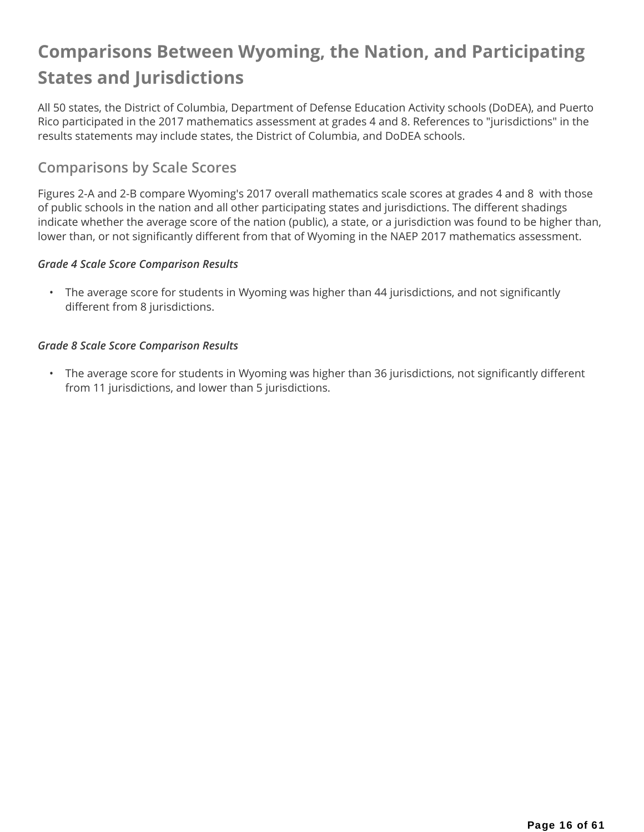## **Comparisons Between Wyoming, the Nation, and Participating States and Jurisdictions**

All 50 states, the District of Columbia, Department of Defense Education Activity schools (DoDEA), and Puerto Rico participated in the 2017 mathematics assessment at grades 4 and 8. References to "jurisdictions" in the results statements may include states, the District of Columbia, and DoDEA schools.

## **Comparisons by Scale Scores**

Figures 2-A and 2-B compare Wyoming's 2017 overall mathematics scale scores at grades 4 and 8 with those of public schools in the nation and all other participating states and jurisdictions. The different shadings indicate whether the average score of the nation (public), a state, or a jurisdiction was found to be higher than, lower than, or not significantly different from that of Wyoming in the NAEP 2017 mathematics assessment.

### *Grade 4 Scale Score Comparison Results*

• The average score for students in Wyoming was higher than 44 jurisdictions, and not significantly different from 8 jurisdictions.

### *Grade 8 Scale Score Comparison Results*

• The average score for students in Wyoming was higher than 36 jurisdictions, not significantly different from 11 jurisdictions, and lower than 5 jurisdictions.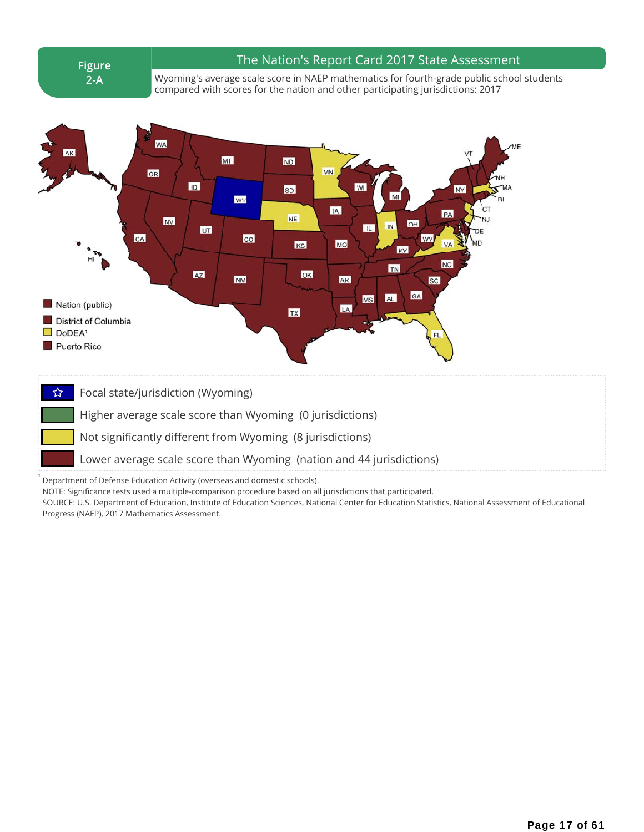**Figure 2-A**

1

#### The Nation's Report Card 2017 State Assessment

Wyoming's average scale score in NAEP mathematics for fourth-grade public school students compared with scores for the nation and other participating jurisdictions: 2017



☆ Focal state/jurisdiction (Wyoming)

Higher average scale score than Wyoming (0 jurisdictions)

Not significantly different from Wyoming (8 jurisdictions)

Lower average scale score than Wyoming (nation and 44 jurisdictions)

Department of Defense Education Activity (overseas and domestic schools).

NOTE: Significance tests used a multiple-comparison procedure based on all jurisdictions that participated.

SOURCE: U.S. Department of Education, Institute of Education Sciences, National Center for Education Statistics, National Assessment of Educational Progress (NAEP), 2017 Mathematics Assessment.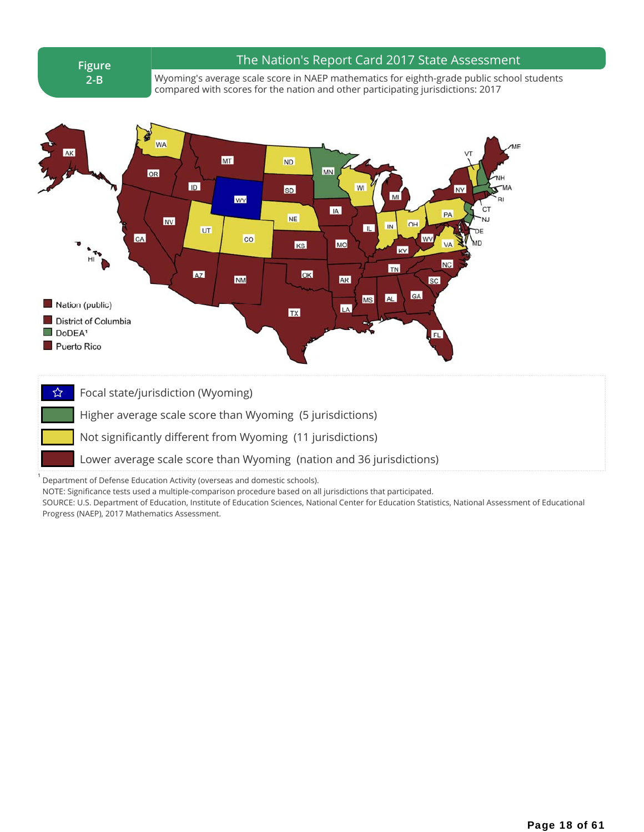**Figure 2-B**

1

#### The Nation's Report Card 2017 State Assessment

Wyoming's average scale score in NAEP mathematics for eighth-grade public school students compared with scores for the nation and other participating jurisdictions: 2017



☆ Focal state/jurisdiction (Wyoming)

Higher average scale score than Wyoming (5 jurisdictions)

Not significantly different from Wyoming (11 jurisdictions)

Lower average scale score than Wyoming (nation and 36 jurisdictions)

Department of Defense Education Activity (overseas and domestic schools).

NOTE: Significance tests used a multiple-comparison procedure based on all jurisdictions that participated.

SOURCE: U.S. Department of Education, Institute of Education Sciences, National Center for Education Statistics, National Assessment of Educational Progress (NAEP), 2017 Mathematics Assessment.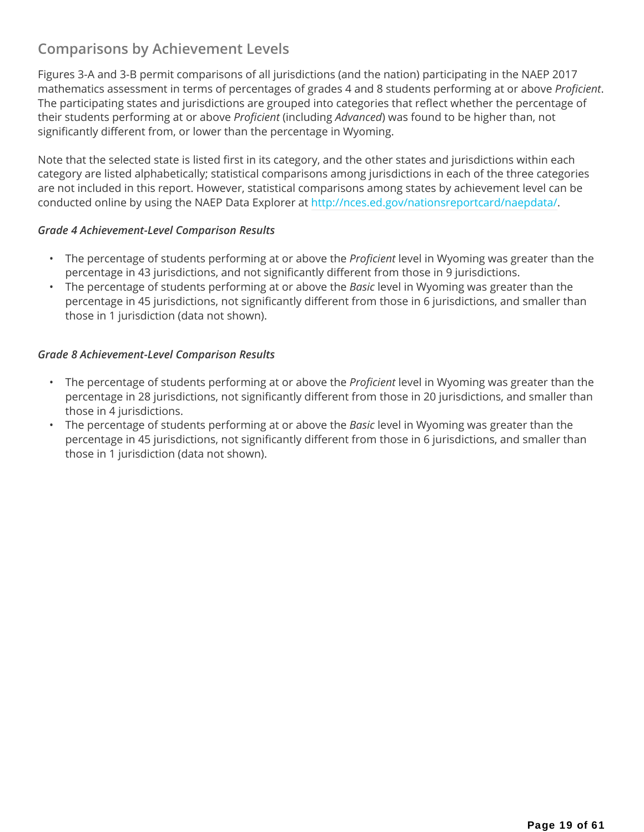## **Comparisons by Achievement Levels**

Figures 3-A and 3-B permit comparisons of all jurisdictions (and the nation) participating in the NAEP 2017 mathematics assessment in terms of percentages of grades 4 and 8 students performing at or above *Proficient*. The participating states and jurisdictions are grouped into categories that reflect whether the percentage of their students performing at or above *Proficient* (including *Advanced*) was found to be higher than, not significantly different from, or lower than the percentage in Wyoming.

Note that the selected state is listed first in its category, and the other states and jurisdictions within each category are listed alphabetically; statistical comparisons among jurisdictions in each of the three categories are not included in this report. However, statistical comparisons among states by achievement level can be conducted online by using the NAEP Data Explorer at http://nces.ed.gov/nationsreportcard/naepdata/.

#### *Grade 4 Achievement-Level Comparison Results*

- The percentage of students performing at or above the *Proficient* level in Wyoming was greater than the percentage in 43 jurisdictions, and not significantly different from those in 9 jurisdictions.
- The percentage of students performing at or above the *Basic* level in Wyoming was greater than the percentage in 45 jurisdictions, not significantly different from those in 6 jurisdictions, and smaller than those in 1 jurisdiction (data not shown).

#### *Grade 8 Achievement-Level Comparison Results*

- The percentage of students performing at or above the *Proficient* level in Wyoming was greater than the percentage in 28 jurisdictions, not significantly different from those in 20 jurisdictions, and smaller than those in 4 jurisdictions.
- The percentage of students performing at or above the *Basic* level in Wyoming was greater than the percentage in 45 jurisdictions, not significantly different from those in 6 jurisdictions, and smaller than those in 1 jurisdiction (data not shown).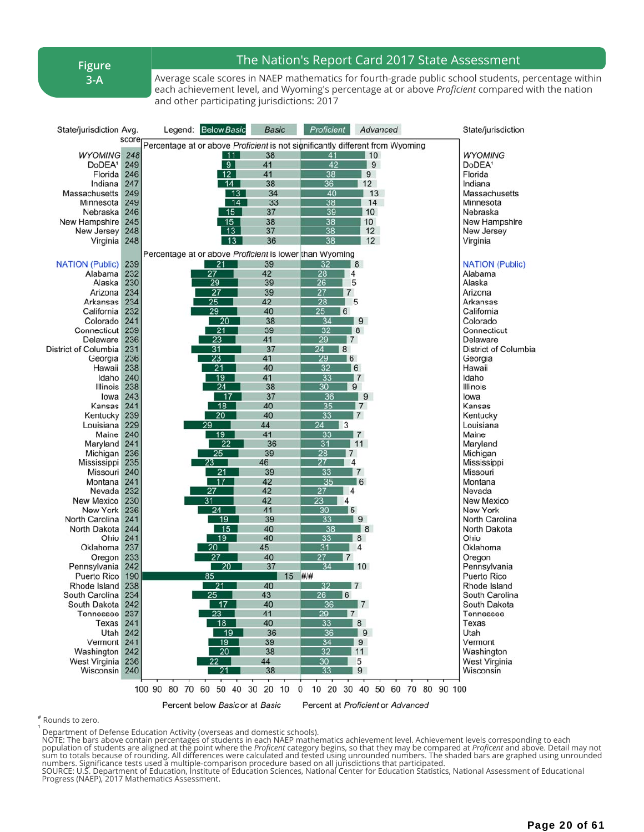**Figure 3-A**

### The Nation's Report Card 2017 State Assessment

Average scale scores in NAEP mathematics for fourth-grade public school students, percentage within each achievement level, and Wyoming's percentage at or above *Proficient* compared with the nation and other participating jurisdictions: 2017

| State/jurisdiction Avg.            |            | Legend: Below Basic                                                           | <b>Basic</b> | Proficient                 | Advanced                          | State/jurisdiction                 |
|------------------------------------|------------|-------------------------------------------------------------------------------|--------------|----------------------------|-----------------------------------|------------------------------------|
|                                    | score      | Percentage at or above Proficient is not significantly different from Wyoming |              |                            |                                   |                                    |
| <b>WYOMING</b>                     | 248        | 11                                                                            | 38           | 41                         | 10                                | <b>WYOMING</b>                     |
| DoDEA <sup>1</sup>                 | 249        | 9                                                                             | 41           | 42                         | 9                                 | DoDEA <sup>1</sup>                 |
| Florida                            | 246        | 12                                                                            | 41           | 38                         | 9                                 | Florida                            |
| Indiana                            | 247        | 14                                                                            | 38           | $\overline{36}$            | 12                                | Indiana                            |
| Massachusetts                      | 249        | 13                                                                            | 34           | 40                         | 13                                | Massachusetts                      |
| Minnesota                          | 249        | 14                                                                            | 33           | 38                         | 14                                | Minnesota                          |
| Nebraska                           | 246        | 15                                                                            | 37           | 39                         | 10                                | Nebraska                           |
| New Hampshire                      | 245        | 15                                                                            | 38           | $\overline{38}$            | 10                                | New Hampshire                      |
| New Jersey                         | 248        | 13                                                                            | 37           | 38                         | 12                                | New Jersey                         |
| Virginia                           | 248        | 13                                                                            | 36           | 38                         | 12                                | Virginia                           |
|                                    |            | Percentage at or above Proficient is lower than Wyoming                       |              |                            |                                   |                                    |
| <b>NATION (Public)</b>             | 239        | 21                                                                            | 39           | 32                         | 8                                 | <b>NATION (Public)</b>             |
| Alabama                            | 232        | 27                                                                            | 42           | 28<br>4                    |                                   | Alabama                            |
| Alaska                             | 230        | 29                                                                            | 39           | 26<br>5                    |                                   | Alaska                             |
| Arizona                            | 234        | 27                                                                            | 39           | 27<br>7                    |                                   | Arizona                            |
| Arkansas                           | 234        | 25                                                                            | 42           | 28                         | 5                                 | Arkansas                           |
| California                         | 232        | $\overline{29}$                                                               | 40           | 25<br>6                    |                                   | California                         |
| Colorado                           | 241        | 20                                                                            | 38           | 34                         | 9                                 | Colorado                           |
| Connecticut                        | 239        | 21                                                                            | 39           | 32                         | 8                                 | Connecticut                        |
| Delaware                           | 236        | 23                                                                            | 41           | 29<br>$\vert$ 7            |                                   | Delaware                           |
| District of Columbia               | 231        | 31<br>23                                                                      | 37           | 24<br>8<br>6               |                                   | District of Columbia               |
| Georgia<br>Hawaii                  | 236<br>238 | $\overline{21}$                                                               | 41<br>40     | 29<br>32                   | 6                                 | Georgia<br>Hawaii                  |
| Idaho                              | 240        | 19                                                                            | 41           | 33                         | $\mathsf{I}7$                     | Idaho                              |
| Illinois                           | 238        | 24                                                                            | 38           | 30                         | 9                                 | <b>Illinois</b>                    |
| lowa                               | 243        | - 17                                                                          | 37           | 36                         | 9                                 | lowa                               |
| Kansas                             | 241        | 18                                                                            | 40           | 35                         | 7                                 | Kansas                             |
| Kentucky                           | 239        | 20                                                                            | 40           | 33                         | $\overline{7}$                    | Kentucky                           |
| Louisiana                          | 229        | 29                                                                            | 44           | 24<br>3                    |                                   | Louisiana                          |
| Maine                              | 240        | 19                                                                            | 41           | 33                         | $\overline{7}$                    | Maine                              |
| Maryland                           | 241        | 22                                                                            | 36           | 31                         | 11                                | Maryland                           |
| Michigan                           | 236        | 25                                                                            | 39           | 28<br>$\overline{7}$       |                                   | Michigan                           |
| Mississippi                        | 235        | 23                                                                            | 46           | 27<br>$\overline{4}$       |                                   | Mississippi                        |
| Missouri                           | 240        | 21                                                                            | 39           | 33                         | $\overline{7}$                    | Missouri                           |
| Montana                            | 241        | 17                                                                            | 42           | 35                         | l 6                               | Montana                            |
| Nevada                             | 232        | 27                                                                            | 42           | 27<br>4                    |                                   | Nevada                             |
| New Mexico                         | 230        | 31                                                                            | 42           | 23<br>4                    |                                   | <b>New Mexico</b>                  |
| New York                           | 236        | 24                                                                            | 41           | 30<br>5                    |                                   | <b>New York</b>                    |
| North Carolina                     | 241        | 19                                                                            | 39           | 33                         | 9                                 | North Carolina                     |
| North Dakota                       | 244        | 15                                                                            | 40           | 38                         | 8                                 | North Dakota                       |
| Ohio                               | 241        | 19                                                                            | 40           | 33                         | 8                                 | Ohio                               |
| Oklahoma                           | 237        | 20                                                                            | 45           | 31                         | 4                                 | Oklahoma                           |
| Oregon                             | 233        | 27                                                                            | 40<br>37     | 27<br>$\overline{7}$<br>34 |                                   | Oregon                             |
| Pennsylvania<br><b>Puerto Rico</b> | 242<br>190 | 20<br>85                                                                      | 15 #/#       |                            | $\blacksquare$ 10                 | Pennsylvania<br><b>Puerto Rico</b> |
| Rhode Island 238                   |            | 21                                                                            | 40           | 32<br>$\overline{7}$       |                                   | Rhode Island                       |
| South Carolina 234                 |            | 25                                                                            | 43           | 26<br>$\overline{6}$       |                                   | South Carolina                     |
| South Dakota 242                   |            | 17                                                                            | 40           | 36                         | $\blacksquare$                    | South Dakota                       |
| Tennessee                          | 237        | 23                                                                            | 41           | 29<br>$\overline{7}$       |                                   | <b>Tennessee</b>                   |
| Texas                              | 241        | 18                                                                            | 40           | 33                         | 8                                 | Texas                              |
| Utah 242                           |            | -19                                                                           | 36           | 36                         | 9                                 | Utah                               |
| Vermont                            | 241        | 19                                                                            | 39           | 34                         | 9                                 | Vermont                            |
| Washington                         | 242        | $\overline{20}$                                                               | 38           | 32                         | 11                                | Washington                         |
| West Virginia                      | 236        | 22                                                                            | 44           | 30                         | 5                                 | West Virginia                      |
| Wisconsin 240                      |            | 21                                                                            | 38           | 33                         | 9                                 | Wisconsin                          |
|                                    |            |                                                                               |              |                            |                                   |                                    |
|                                    |            | 100 90 80 70 60 50 40 30                                                      | 20 10        | 0                          | 10 20 30 40 50 60 70 80 90 100    |                                    |
|                                    |            | Percent below Basic or at Basic                                               |              |                            | Percent at Proficient or Advanced |                                    |

# Rounds to zero.

 $\overline{\phantom{a}}$ 

Department of Defense Education Activity (overseas and domestic schools).<br>
NOTE: The bars above contain percentages of students in each NAEP mathematics achievement level. Achievement levels corresponding to each<br>
populati Progress (NAEP), 2017 Mathematics Assessment.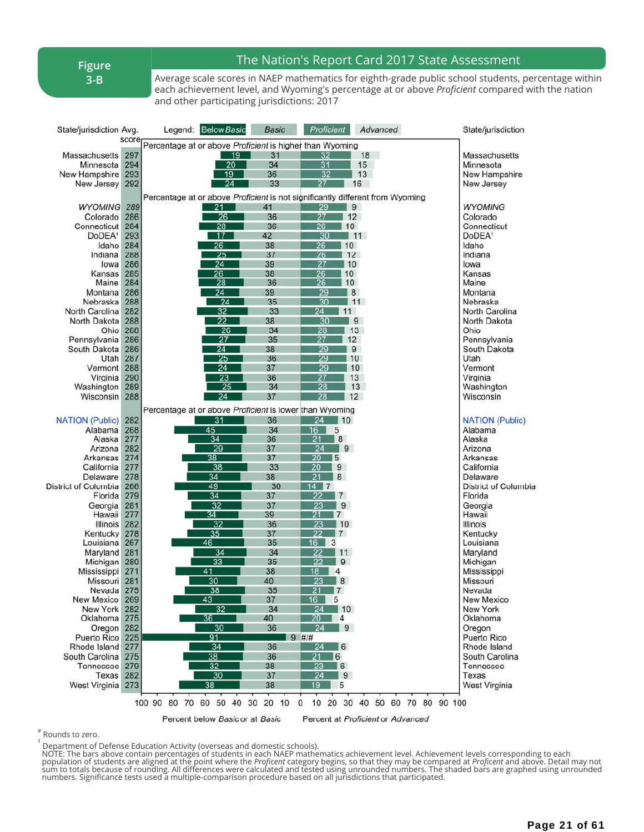**Figure 3-B**

### The Nation's Report Card 2017 State Assessment

Average scale scores in NAEP mathematics for eighth-grade public school students, percentage within each achievement level, and Wyoming's percentage at or above *Proficient* compared with the nation and other participating jurisdictions: 2017

| State/jurisdiction Avg.        |            | Legend: Below Basic                                                           |                 | <b>Basic</b> | Proficient                         | Advanced                          | State/jurisdiction            |
|--------------------------------|------------|-------------------------------------------------------------------------------|-----------------|--------------|------------------------------------|-----------------------------------|-------------------------------|
|                                | score      | Percentage at or above Proficient is higher than Wyoming                      |                 |              |                                    |                                   |                               |
| Massachusetts                  | 297        |                                                                               | 19              | 31           | 32                                 | 18                                | Massachusetts                 |
| Minnesota                      | 294        |                                                                               | $\overline{20}$ | 34           | 31                                 | 15                                | Minnesota                     |
| New Hampshire                  | 293        |                                                                               | 19              | 36           | 32                                 | 13                                | New Hampshire                 |
| New Jersey                     | 292        |                                                                               | 24              | 33           | 27                                 | 16                                | New Jersey                    |
|                                |            | Percentage at or above Proficient is not significantly different from Wyoming |                 |              |                                    |                                   |                               |
| <b>WYOMING 289</b><br>Colorado | 286        | 21<br>26                                                                      |                 | 41<br>36     | 29<br>27                           | $\vert 9 \vert$<br>12             | <b>WYOMING</b><br>Colorado    |
| Connecticut                    | 284        | 28                                                                            |                 | 36           | 26<br> 10                          |                                   | Connecticut                   |
| DoDEA <sup>1</sup>             | 293        | 17                                                                            |                 | 42           | 30                                 | $\vert$ 11                        | DoDEA <sup>1</sup>            |
| Idaho                          | 284        | 26                                                                            |                 | 38           | 26                                 | 10                                | Idaho                         |
| Indiana                        | 288        | 25                                                                            |                 | 37           | 26                                 | 12                                | Indiana                       |
| lowa                           | 286        | 24                                                                            |                 | 39           | 27                                 | 10                                | lowa                          |
| Kansas                         | 285        | 26                                                                            |                 | 38           | 26                                 | 10                                | Kansas                        |
| Maine                          | 284        | 28                                                                            |                 | 36           | 26                                 | 10                                | Maine                         |
| Montana<br>Nebraska            | 286<br>288 | 24<br>24                                                                      |                 | 39<br>35     | 29<br>30                           | 8<br>$\vert$ 11                   | Montana<br>Nebraska           |
| North Carolina                 | 282        | 32                                                                            |                 | 33           | 24<br>11                           |                                   | North Carolina                |
| North Dakota                   | 288        | $\overline{22}$                                                               |                 | 38           | 30                                 | 9                                 | North Dakota                  |
| Ohio                           | 288        | 26                                                                            |                 | 34           | 28                                 | 13                                | Ohio                          |
| Pennsylvania                   | 286        | 27                                                                            |                 | 35           | 27                                 | 12                                | Pennsylvania                  |
| South Dakota                   | 286        | 24                                                                            |                 | 38           | 29                                 | 9                                 | South Dakota                  |
| Utah <sup>1</sup>              | 287        | 25                                                                            |                 | 36           | 29                                 | 10                                | Utah                          |
| Vermont                        | 288        | 24                                                                            |                 | 37           | 29                                 | 10                                | Vermont                       |
| Virginia                       | 290        | 23<br>$\overline{25}$                                                         |                 | 36<br>34     | 27<br>28                           | 13<br>13                          | Virginia                      |
| Washington<br>Wisconsin        | 289<br>288 | $\overline{24}$                                                               |                 | 37           | 28                                 | $\vert$ 12                        | Washington<br>Wisconsin       |
|                                |            |                                                                               |                 |              |                                    |                                   |                               |
|                                |            | Percentage at or above Proficient is lower than Wyoming                       |                 |              |                                    |                                   |                               |
| <b>NATION (Public)</b>         | 282<br>268 | 31                                                                            |                 | 36<br>34     | 24 10<br>16                        |                                   | <b>NATION (Public)</b>        |
| Alabama<br>Alaska              | 277        | 45<br>34                                                                      |                 | 36           | 5<br>21<br>l 8                     |                                   | Alabama<br>Alaska             |
| Arizona                        | 282        | 29                                                                            |                 | 37           | 24<br>$\overline{9}$               |                                   | Arizona                       |
| Arkansas                       | 274        | 38                                                                            |                 | 37           | $\overline{20}$<br><b>5</b>        |                                   | Arkansas                      |
| California                     | 277        | 38                                                                            |                 | 33           | 20<br>9                            |                                   | California                    |
| Delaware                       | 278        | 34                                                                            |                 | 38           | 21<br>8                            |                                   | Delaware                      |
| District of Columbia           | 266        | 49                                                                            |                 | 30           | $14$ 7                             |                                   | District of Columbia          |
| Florida                        | 279        | 34                                                                            |                 | 37           | $\overline{22}$<br>$\vert 7$       |                                   | Florida                       |
| Georgia                        | 281        | 32<br>$\overline{34}$                                                         |                 | 37           | 23<br>9                            |                                   | Georgia                       |
| Hawaii<br>Illinois             | 277<br>282 | 32                                                                            |                 | 39<br>36     | 21<br>$\overline{7}$<br>23<br>10   |                                   | Hawaii<br><b>Illinois</b>     |
| Kentucky                       | 278        | 35                                                                            |                 | 37           | $\overline{22}$<br>$\vert 7 \vert$ |                                   | Kentucky                      |
| Louisiana                      | 267        | 46                                                                            |                 | 35           | 16<br>3                            |                                   | Louisiana                     |
| Maryland                       | 281        | 34                                                                            |                 | 34           | 22<br>11                           |                                   | Maryland                      |
| Michigan                       | 280        | 33                                                                            |                 | 35           | 22<br><b>9</b>                     |                                   | Michigan                      |
| Mississippi                    | 271        | 41                                                                            |                 | 38           | 18<br>$\overline{4}$               |                                   | Mississippi                   |
| Missouri 281                   |            | 30                                                                            |                 | 40           | 23<br> 8                           |                                   | Missouri                      |
| Nevada                         | 275        | 38                                                                            |                 | 35           | 17<br>21                           |                                   | Nevada                        |
| New Mexico<br>New York         | 269<br>282 | 43<br>32                                                                      |                 | 37<br>34     | 5<br>16<br>24<br>$\vert$ 10        |                                   | <b>New Mexico</b><br>New York |
| Oklahoma                       | 275        | 36                                                                            |                 | 40           | 20<br>4                            |                                   | Oklahoma                      |
| Oregon 282                     |            | 30                                                                            |                 | 36           | $24$ 9                             |                                   | Oregon                        |
| Puerto Rico                    | 225        | 91                                                                            |                 | $9$ #/#      |                                    |                                   | Puerto Rico                   |
| Rhode Island 277               |            | 34                                                                            |                 | 36           | $24 \quad 6$                       |                                   | Rhode Island                  |
| South Carolina 275             |            | 38                                                                            |                 | 36           | 21<br>$\overline{6}$               |                                   | South Carolina                |
| Tennessee 279                  |            | 32                                                                            |                 | 38           | 23<br>6                            |                                   | Tennessee                     |
| Texas                          | 282        | 30                                                                            |                 | 37           | 24<br>9                            |                                   | Texas                         |
| West Virginia 273              |            | 38                                                                            |                 | 38           | $19 \quad 5$                       |                                   | <b>West Virginia</b>          |
|                                |            | 100 90 80 70 60 50 40 30 20 10 0                                              |                 |              |                                    | 10 20 30 40 50 60 70 80 90 100    |                               |
|                                |            | Percent below Basic or at Basic                                               |                 |              |                                    | Percent at Proficient or Advanced |                               |
|                                |            |                                                                               |                 |              |                                    |                                   |                               |

# Rounds to zero.

Department of Defense Education Activity (overseas and domestic schools).<br>NOTE: The bars above contain percentages of students in each NAEP mathematics achievement level. Achievement levels corresponding to each Not the population of students are aligned at the point where the Proficent category begins, so that they may be compared at Proficent and above. Detail may not<br>sum to totals because of rounding. All differences were calcu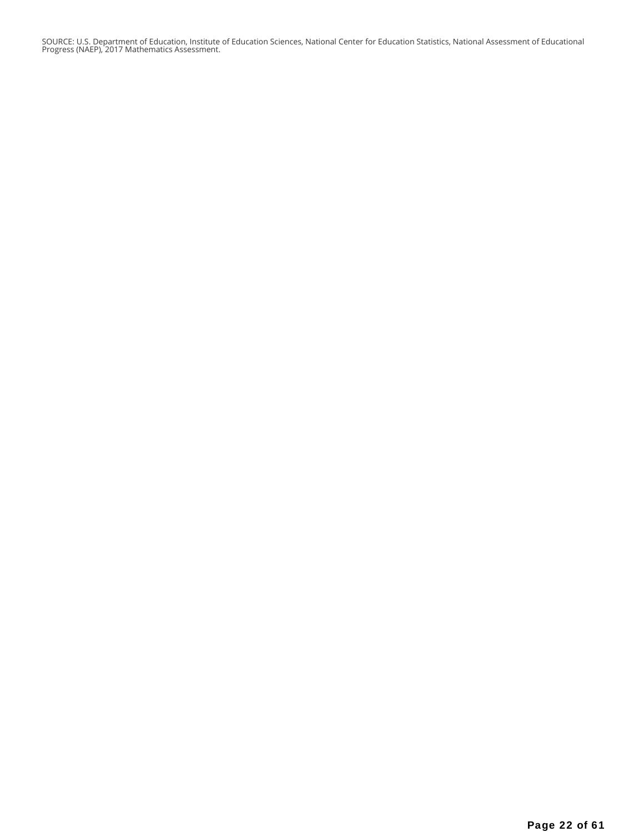SOURCE: U.S. Department of Education, Institute of Education Sciences, National Center for Education Statistics, National Assessment of Educational Progress (NAEP), 2017 Mathematics Assessment.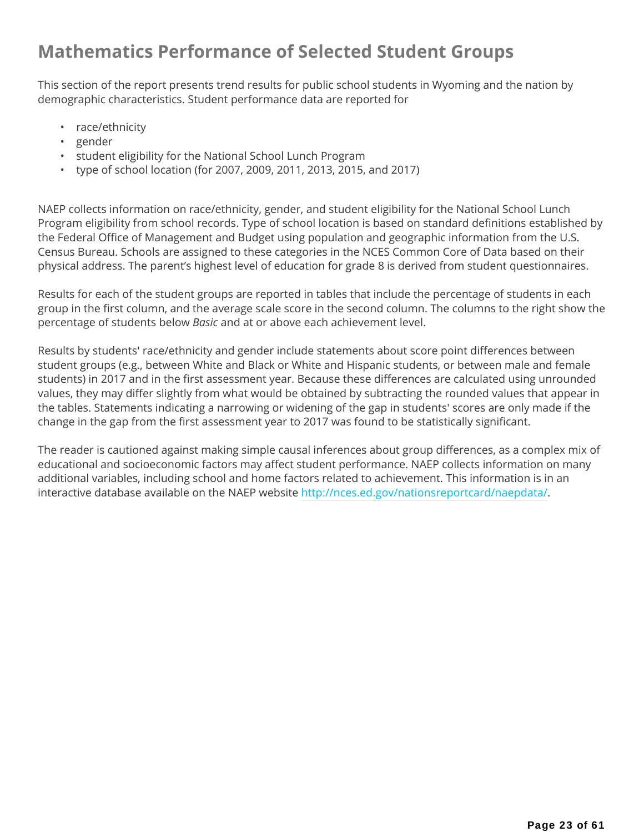## **Mathematics Performance of Selected Student Groups**

This section of the report presents trend results for public school students in Wyoming and the nation by demographic characteristics. Student performance data are reported for

- race/ethnicity
- gender
- student eligibility for the National School Lunch Program
- type of school location (for 2007, 2009, 2011, 2013, 2015, and 2017)

NAEP collects information on race/ethnicity, gender, and student eligibility for the National School Lunch Program eligibility from school records. Type of school location is based on standard definitions established by the Federal Office of Management and Budget using population and geographic information from the U.S. Census Bureau. Schools are assigned to these categories in the NCES Common Core of Data based on their physical address. The parent's highest level of education for grade 8 is derived from student questionnaires.

Results for each of the student groups are reported in tables that include the percentage of students in each group in the first column, and the average scale score in the second column. The columns to the right show the percentage of students below *Basic* and at or above each achievement level.

Results by students' race/ethnicity and gender include statements about score point differences between student groups (e.g., between White and Black or White and Hispanic students, or between male and female students) in 2017 and in the first assessment year. Because these differences are calculated using unrounded values, they may differ slightly from what would be obtained by subtracting the rounded values that appear in the tables. Statements indicating a narrowing or widening of the gap in students' scores are only made if the change in the gap from the first assessment year to 2017 was found to be statistically significant.

The reader is cautioned against making simple causal inferences about group differences, as a complex mix of educational and socioeconomic factors may affect student performance. NAEP collects information on many additional variables, including school and home factors related to achievement. This information is in an interactive database available on the NAEP website http://nces.ed.gov/nationsreportcard/naepdata/.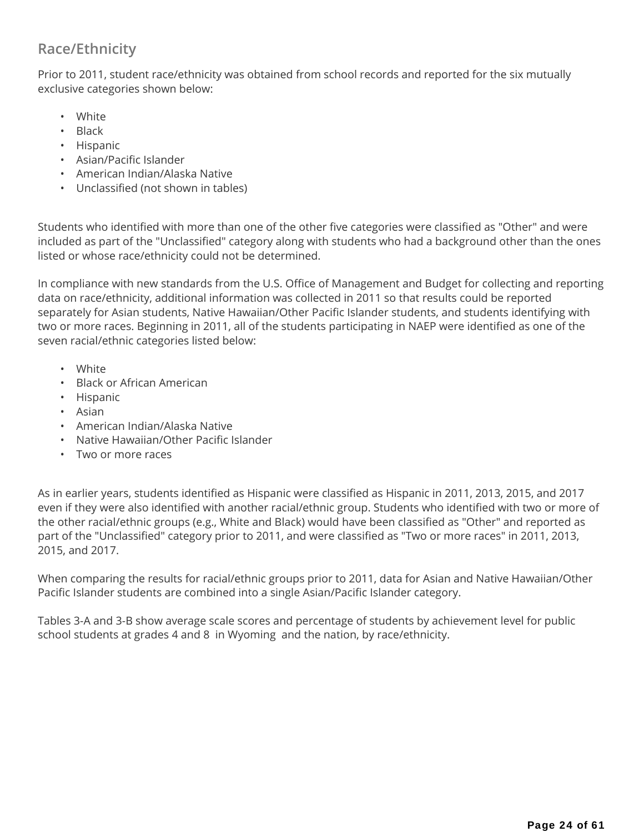## **Race/Ethnicity**

Prior to 2011, student race/ethnicity was obtained from school records and reported for the six mutually exclusive categories shown below:

- White
- Black
- Hispanic
- Asian/Pacific Islander
- American Indian/Alaska Native
- Unclassified (not shown in tables)

Students who identified with more than one of the other five categories were classified as "Other" and were included as part of the "Unclassified" category along with students who had a background other than the ones listed or whose race/ethnicity could not be determined.

In compliance with new standards from the U.S. Office of Management and Budget for collecting and reporting data on race/ethnicity, additional information was collected in 2011 so that results could be reported separately for Asian students, Native Hawaiian/Other Pacific Islander students, and students identifying with two or more races. Beginning in 2011, all of the students participating in NAEP were identified as one of the seven racial/ethnic categories listed below:

- White
- Black or African American
- Hispanic
- Asian
- American Indian/Alaska Native
- Native Hawaiian/Other Pacific Islander
- Two or more races

As in earlier years, students identified as Hispanic were classified as Hispanic in 2011, 2013, 2015, and 2017 even if they were also identified with another racial/ethnic group. Students who identified with two or more of the other racial/ethnic groups (e.g., White and Black) would have been classified as "Other" and reported as part of the "Unclassified" category prior to 2011, and were classified as "Two or more races" in 2011, 2013, 2015, and 2017.

When comparing the results for racial/ethnic groups prior to 2011, data for Asian and Native Hawaiian/Other Pacific Islander students are combined into a single Asian/Pacific Islander category.

Tables 3-A and 3-B show average scale scores and percentage of students by achievement level for public school students at grades 4 and 8 in Wyoming and the nation, by race/ethnicity.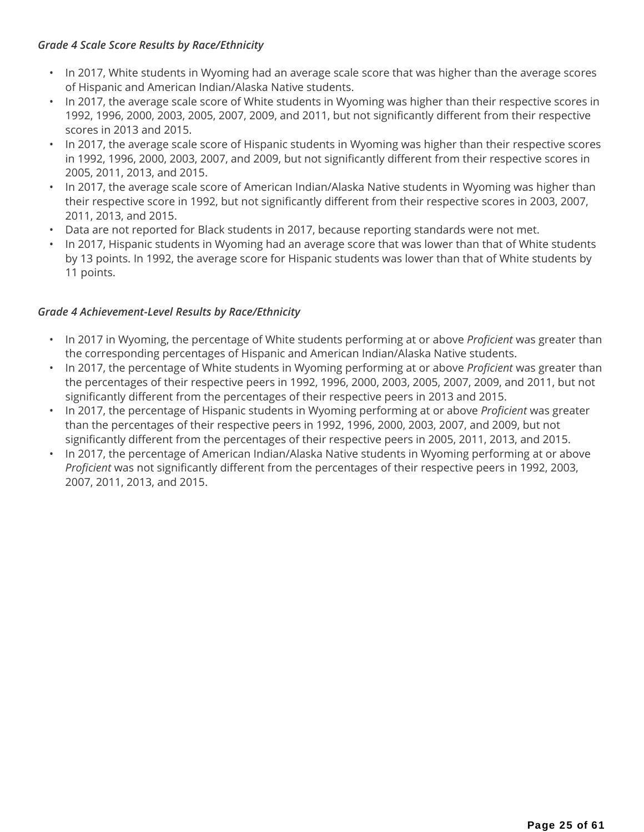#### *Grade 4 Scale Score Results by Race/Ethnicity*

- In 2017, White students in Wyoming had an average scale score that was higher than the average scores of Hispanic and American Indian/Alaska Native students.
- In 2017, the average scale score of White students in Wyoming was higher than their respective scores in 1992, 1996, 2000, 2003, 2005, 2007, 2009, and 2011, but not significantly different from their respective scores in 2013 and 2015.
- In 2017, the average scale score of Hispanic students in Wyoming was higher than their respective scores in 1992, 1996, 2000, 2003, 2007, and 2009, but not significantly different from their respective scores in 2005, 2011, 2013, and 2015.
- In 2017, the average scale score of American Indian/Alaska Native students in Wyoming was higher than their respective score in 1992, but not significantly different from their respective scores in 2003, 2007, 2011, 2013, and 2015.
- Data are not reported for Black students in 2017, because reporting standards were not met.
- In 2017, Hispanic students in Wyoming had an average score that was lower than that of White students by 13 points. In 1992, the average score for Hispanic students was lower than that of White students by 11 points.

### *Grade 4 Achievement-Level Results by Race/Ethnicity*

- In 2017 in Wyoming, the percentage of White students performing at or above *Proficient* was greater than the corresponding percentages of Hispanic and American Indian/Alaska Native students.
- In 2017, the percentage of White students in Wyoming performing at or above *Proficient* was greater than the percentages of their respective peers in 1992, 1996, 2000, 2003, 2005, 2007, 2009, and 2011, but not significantly different from the percentages of their respective peers in 2013 and 2015.
- In 2017, the percentage of Hispanic students in Wyoming performing at or above *Proficient* was greater than the percentages of their respective peers in 1992, 1996, 2000, 2003, 2007, and 2009, but not significantly different from the percentages of their respective peers in 2005, 2011, 2013, and 2015.
- In 2017, the percentage of American Indian/Alaska Native students in Wyoming performing at or above *Proficient* was not significantly different from the percentages of their respective peers in 1992, 2003, 2007, 2011, 2013, and 2015.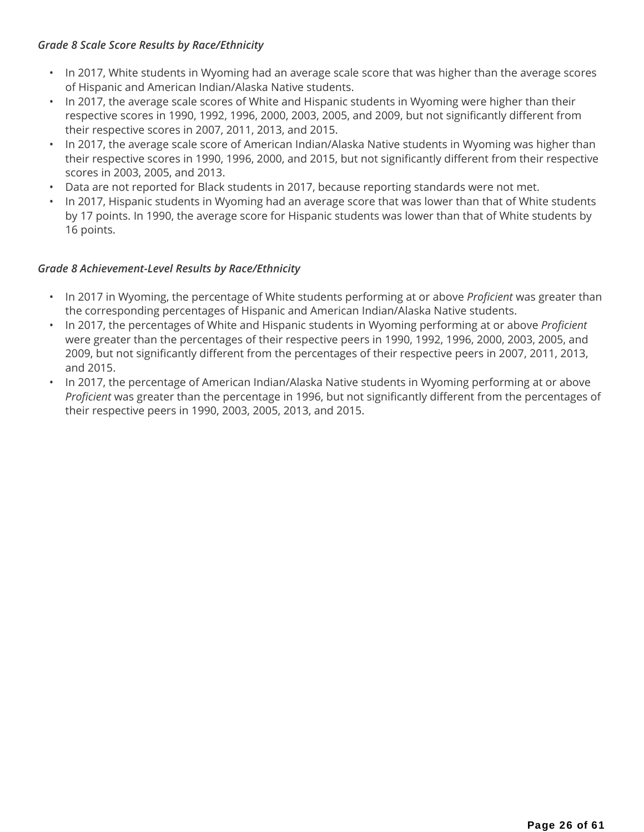#### *Grade 8 Scale Score Results by Race/Ethnicity*

- In 2017, White students in Wyoming had an average scale score that was higher than the average scores of Hispanic and American Indian/Alaska Native students.
- In 2017, the average scale scores of White and Hispanic students in Wyoming were higher than their respective scores in 1990, 1992, 1996, 2000, 2003, 2005, and 2009, but not significantly different from their respective scores in 2007, 2011, 2013, and 2015.
- In 2017, the average scale score of American Indian/Alaska Native students in Wyoming was higher than their respective scores in 1990, 1996, 2000, and 2015, but not significantly different from their respective scores in 2003, 2005, and 2013.
- Data are not reported for Black students in 2017, because reporting standards were not met.
- In 2017, Hispanic students in Wyoming had an average score that was lower than that of White students by 17 points. In 1990, the average score for Hispanic students was lower than that of White students by 16 points.

### *Grade 8 Achievement-Level Results by Race/Ethnicity*

- In 2017 in Wyoming, the percentage of White students performing at or above *Proficient* was greater than the corresponding percentages of Hispanic and American Indian/Alaska Native students.
- In 2017, the percentages of White and Hispanic students in Wyoming performing at or above *Proficient* were greater than the percentages of their respective peers in 1990, 1992, 1996, 2000, 2003, 2005, and 2009, but not significantly different from the percentages of their respective peers in 2007, 2011, 2013, and 2015.
- In 2017, the percentage of American Indian/Alaska Native students in Wyoming performing at or above *Proficient* was greater than the percentage in 1996, but not significantly different from the percentages of their respective peers in 1990, 2003, 2005, 2013, and 2015.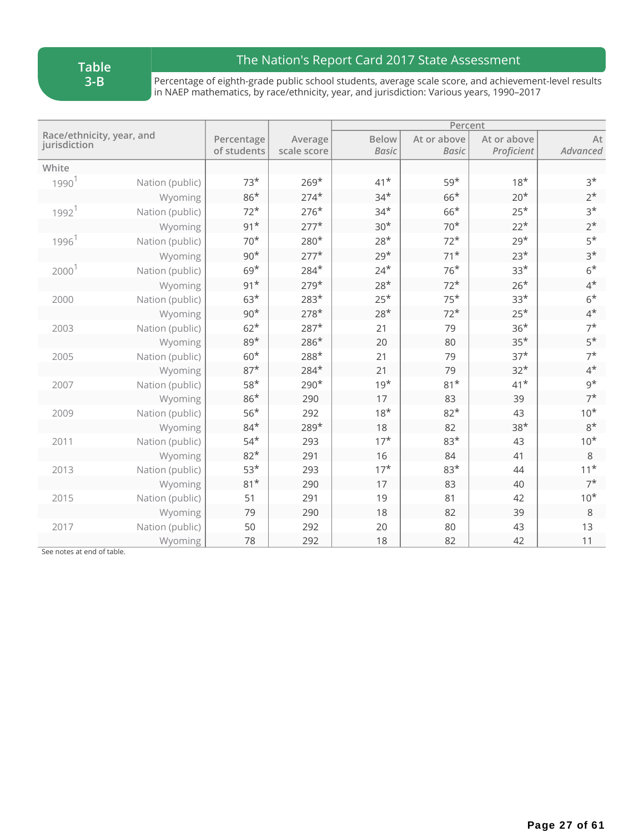## The Nation's Report Card 2017 State Assessment

Percentage of eighth-grade public school students, average scale score, and achievement-level results in NAEP mathematics, by race/ethnicity, year, and jurisdiction: Various years, 1990–2017

|                                           |                 |                           |                        |                              | Percent                     |                           |                |
|-------------------------------------------|-----------------|---------------------------|------------------------|------------------------------|-----------------------------|---------------------------|----------------|
| Race/ethnicity, year, and<br>jurisdiction |                 | Percentage<br>of students | Average<br>scale score | <b>Below</b><br><b>Basic</b> | At or above<br><b>Basic</b> | At or above<br>Proficient | At<br>Advanced |
| White                                     |                 |                           |                        |                              |                             |                           |                |
| $1990^1$                                  | Nation (public) | $73*$                     | $269*$                 | $41*$                        | $59*$                       | $18*$                     | $3*$           |
|                                           | Wyoming         | $86*$                     | $274*$                 | $34*$                        | $66*$                       | $20*$                     | $2^{\star}$    |
| 1992 <sup>1</sup>                         | Nation (public) | $72*$                     | $276*$                 | $34*$                        | $66*$                       | $25*$                     | $3*$           |
|                                           | Wyoming         | $91*$                     | $277*$                 | $30*$                        | $70*$                       | $22*$                     | $2^{\star}$    |
| 1996 <sup>1</sup>                         | Nation (public) | $70*$                     | 280*                   | $28*$                        | $72*$                       | $29*$                     | $5*$           |
|                                           | Wyoming         | $90*$                     | $277*$                 | $29*$                        | $71*$                       | $23*$                     | $3*$           |
| 2000                                      | Nation (public) | $69*$                     | 284*                   | $24*$                        | $76*$                       | $33*$                     | $6*$           |
|                                           | Wyoming         | $91*$                     | $279*$                 | $28*$                        | $72*$                       | $26*$                     | $4^*$          |
| 2000                                      | Nation (public) | $63*$                     | $283*$                 | $25*$                        | $75*$                       | $33*$                     | $6*$           |
|                                           | Wyoming         | $90*$                     | $278*$                 | $28*$                        | $72*$                       | $25*$                     | $4^*$          |
| 2003                                      | Nation (public) | $62*$                     | $287*$                 | 21                           | 79                          | $36*$                     | $7^*$          |
|                                           | Wyoming         | $89*$                     | 286*                   | 20                           | 80                          | $35*$                     | $5*$           |
| 2005                                      | Nation (public) | $60*$                     | 288*                   | 21                           | 79                          | $37*$                     | $7^*$          |
|                                           | Wyoming         | $87*$                     | $284*$                 | 21                           | 79                          | $32*$                     | $4^*$          |
| 2007                                      | Nation (public) | $58*$                     | 290*                   | $19*$                        | $81*$                       | $41*$                     | $9*$           |
|                                           | Wyoming         | $86*$                     | 290                    | 17                           | 83                          | 39                        | $7^*$          |
| 2009                                      | Nation (public) | $56*$                     | 292                    | $18*$                        | $82*$                       | 43                        | $10*$          |
|                                           | Wyoming         | $84*$                     | 289*                   | 18                           | 82                          | $38*$                     | $8*$           |
| 2011                                      | Nation (public) | $54*$                     | 293                    | $17*$                        | $83*$                       | 43                        | $10*$          |
|                                           | Wyoming         | $82*$                     | 291                    | 16                           | 84                          | 41                        | $\,8\,$        |
| 2013                                      | Nation (public) | $53*$                     | 293                    | $17*$                        | $83*$                       | 44                        | $11*$          |
|                                           | Wyoming         | $81*$                     | 290                    | 17                           | 83                          | 40                        | $7^*$          |
| 2015                                      | Nation (public) | 51                        | 291                    | 19                           | 81                          | 42                        | $10*$          |
|                                           | Wyoming         | 79                        | 290                    | 18                           | 82                          | 39                        | 8              |
| 2017                                      | Nation (public) | 50                        | 292                    | 20                           | 80                          | 43                        | 13             |
|                                           | Wyoming         | 78                        | 292                    | 18                           | 82                          | 42                        | 11             |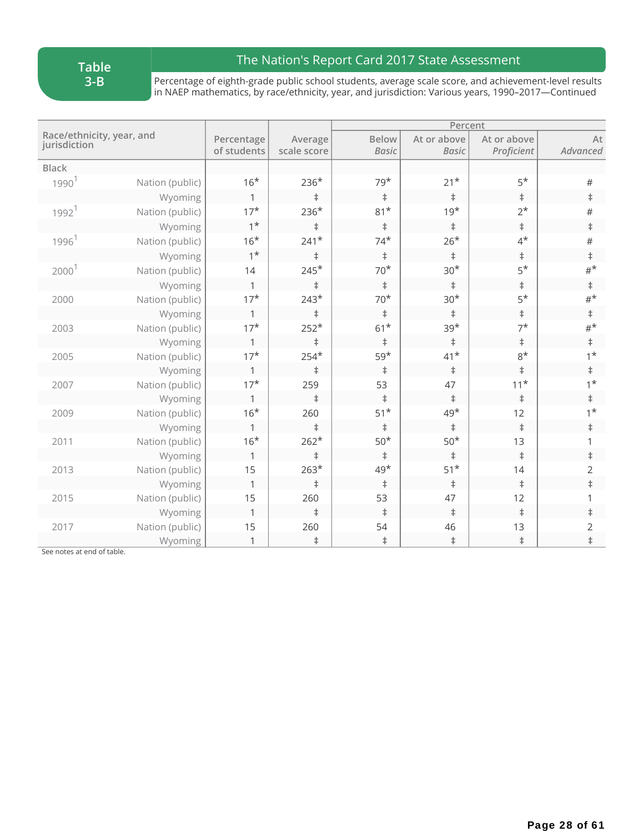## The Nation's Report Card 2017 State Assessment

Percentage of eighth-grade public school students, average scale score, and achievement-level results in NAEP mathematics, by race/ethnicity, year, and jurisdiction: Various years, 1990–2017—Continued

|                                           |                 |                           |                        |                              | Percent                     |                           |                |
|-------------------------------------------|-----------------|---------------------------|------------------------|------------------------------|-----------------------------|---------------------------|----------------|
| Race/ethnicity, year, and<br>jurisdiction |                 | Percentage<br>of students | Average<br>scale score | <b>Below</b><br><b>Basic</b> | At or above<br><b>Basic</b> | At or above<br>Proficient | At<br>Advanced |
| <b>Black</b>                              |                 |                           |                        |                              |                             |                           |                |
| 1990 <sup>1</sup>                         | Nation (public) | $16*$                     | $236*$                 | $79*$                        | $21*$                       | $5*$                      | $\#$           |
|                                           | Wyoming         | $\mathbf{1}$              | $\ddagger$             | $\ddagger$                   | $\ddagger$                  | $\ddagger$                | $\ddagger$     |
| 1992 <sup>1</sup>                         | Nation (public) | $17*$                     | $236*$                 | $81*$                        | $19*$                       | $2^*$                     | $\#$           |
|                                           | Wyoming         | $1*$                      | $\ddagger$             | $\ddagger$                   | $\ddagger$                  | $\ddagger$                | $\ddagger$     |
| 1996 <sup>1</sup>                         | Nation (public) | $16*$                     | $241*$                 | $74*$                        | $26*$                       | $4^*$                     | $\#$           |
|                                           | Wyoming         | $1^*$                     | $\ddagger$             | $\ddagger$                   | $\ddagger$                  | $\ddagger$                | $\ddagger$     |
| $2000$ <sup>1</sup>                       | Nation (public) | 14                        | $245*$                 | $70*$                        | $30*$                       | $5*$                      | $#^{\star}$    |
|                                           | Wyoming         | 1                         | $\ddagger$             | $\ddagger$                   | $\ddagger$                  | $\ddagger$                | $\ddagger$     |
| 2000                                      | Nation (public) | $17*$                     | $243*$                 | $70^{\star}$                 | $30*$                       | $5*$                      | $#^{\star}$    |
|                                           | Wyoming         | 1                         | $\ddagger$             | $\ddagger$                   | $\ddagger$                  | $\ddagger$                | $\ddagger$     |
| 2003                                      | Nation (public) | $17*$                     | $252*$                 | $61^{\star}$                 | $39*$                       | $7^{\star}$               | $\#^{\star}$   |
|                                           | Wyoming         | 1                         | $\ddagger$             | $\ddagger$                   | $\ddagger$                  | $\ddagger$                | $\ddagger$     |
| 2005                                      | Nation (public) | $17*$                     | $254*$                 | $59*$                        | $41*$                       | $8*$                      | $1^{\star}$    |
|                                           | Wyoming         | 1                         | $\ddagger$             | $\ddagger$                   | $\ddagger$                  | $\ddagger$                | $\ddagger$     |
| 2007                                      | Nation (public) | $17*$                     | 259                    | 53                           | 47                          | $11^{\star}$              | $1^{\star}$    |
|                                           | Wyoming         | 1                         | $\ddagger$             | $\ddagger$                   | $\ddagger$                  | $\ddagger$                | $\ddagger$     |
| 2009                                      | Nation (public) | $16*$                     | 260                    | $51^{\star}$                 | $49*$                       | 12                        | $1^*$          |
|                                           | Wyoming         | 1                         | $\ddagger$             | $\ddagger$                   | $\ddagger$                  | $\ddagger$                | $\ddagger$     |
| 2011                                      | Nation (public) | $16*$                     | $262*$                 | $50^{\star}$                 | $50^{\star}$                | 13                        | 1              |
|                                           | Wyoming         | 1                         | $\ddagger$             | $\ddagger$                   | $\ddagger$                  | $\ddagger$                | $\ddagger$     |
| 2013                                      | Nation (public) | 15                        | $263*$                 | $49*$                        | $51^{\star}$                | 14                        | 2              |
|                                           | Wyoming         | $\mathbf 1$               | $\ddagger$             | $\ddagger$                   | $\ddagger$                  | $\ddagger$                | $\ddagger$     |
| 2015                                      | Nation (public) | 15                        | 260                    | 53                           | 47                          | 12                        | 1              |
|                                           | Wyoming         | $\mathbf 1$               | $\ddagger$             | $\ddagger$                   | $\ddagger$                  | $\ddagger$                | $\ddagger$     |
| 2017                                      | Nation (public) | 15                        | 260                    | 54                           | 46                          | 13                        | $\overline{2}$ |
|                                           | Wyoming         | 1                         | $\ddagger$             | $\ddagger$                   | $\ddagger$                  | $\ddagger$                | $\ddagger$     |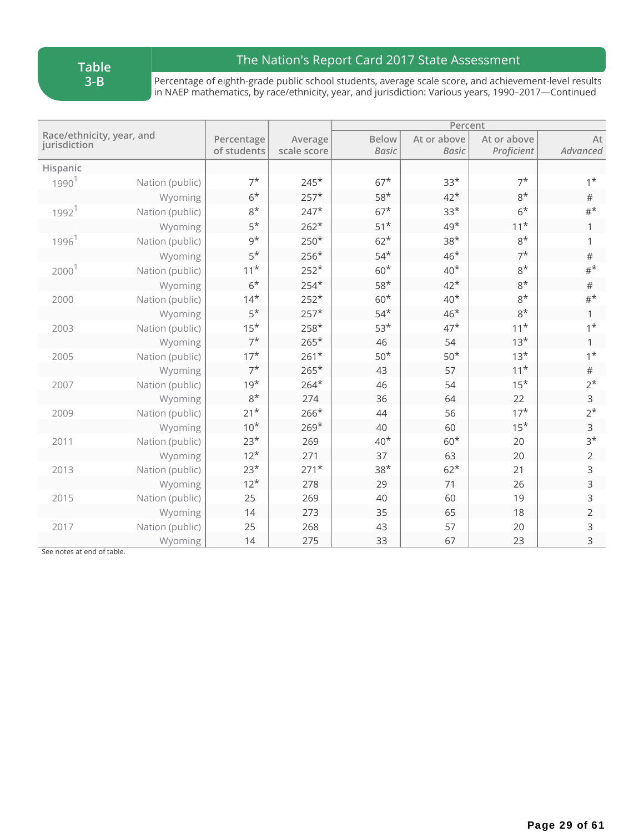## The Nation's Report Card 2017 State Assessment

Percentage of eighth-grade public school students, average scale score, and achievement-level results in NAEP mathematics, by race/ethnicity, year, and jurisdiction: Various years, 1990–2017—Continued

|                                           |                 |                           |                        |                              | Percent                     |                           |                |  |
|-------------------------------------------|-----------------|---------------------------|------------------------|------------------------------|-----------------------------|---------------------------|----------------|--|
| Race/ethnicity, year, and<br>jurisdiction |                 | Percentage<br>of students | Average<br>scale score | <b>Below</b><br><b>Basic</b> | At or above<br><b>Basic</b> | At or above<br>Proficient | At<br>Advanced |  |
| Hispanic                                  |                 |                           |                        |                              |                             |                           |                |  |
| 1990 <sup>1</sup>                         | Nation (public) | $7^*$                     | $245*$                 | $67*$                        | $33*$                       | $7^*$                     | $1^*$          |  |
|                                           | Wyoming         | $6*$                      | $257*$                 | $58*$                        | $42*$                       | $8*$                      | $\#$           |  |
| 1992 <sup>1</sup>                         | Nation (public) | $8*$                      | $247*$                 | $67*$                        | $33*$                       | $6*$                      | $\#^{\star}$   |  |
|                                           | Wyoming         | $5*$                      | $262*$                 | $51*$                        | $49*$                       | $11*$                     | 1              |  |
| 1996 <sup>1</sup>                         | Nation (public) | $9^{\star}$               | $250*$                 | $62*$                        | $38*$                       | $8*$                      | 1              |  |
|                                           | Wyoming         | $5*$                      | $256*$                 | $54*$                        | $46*$                       | $7^*$                     | $\#$           |  |
| 2000                                      | Nation (public) | $11*$                     | $252*$                 | $60*$                        | $40*$                       | $8*$                      | $#^{\star}$    |  |
|                                           | Wyoming         | $6*$                      | $254*$                 | $58*$                        | $42*$                       | $8*$                      | $\#$           |  |
| 2000                                      | Nation (public) | $14*$                     | $252*$                 | $60*$                        | $40*$                       | $8*$                      | $#^{\star}$    |  |
|                                           | Wyoming         | $5*$                      | $257*$                 | $54*$                        | $46*$                       | $8*$                      | $\mathbf{1}$   |  |
| 2003                                      | Nation (public) | $15*$                     | $258*$                 | $53*$                        | $47*$                       | $11*$                     | $1^*$          |  |
|                                           | Wyoming         | $7^*$                     | $265*$                 | 46                           | 54                          | $13*$                     | $\mathbf{1}$   |  |
| 2005                                      | Nation (public) | $17*$                     | $261*$                 | $50*$                        | $50*$                       | $13*$                     | $1^*$          |  |
|                                           | Wyoming         | $7^*$                     | $265*$                 | 43                           | 57                          | $11*$                     | $\#$           |  |
| 2007                                      | Nation (public) | $19*$                     | $264*$                 | 46                           | 54                          | $15*$                     | $2^*$          |  |
|                                           | Wyoming         | $8*$                      | 274                    | 36                           | 64                          | 22                        | 3              |  |
| 2009                                      | Nation (public) | $21*$                     | $266*$                 | 44                           | 56                          | $17*$                     | $2^*$          |  |
|                                           | Wyoming         | $10*$                     | $269*$                 | 40                           | 60                          | $15*$                     | $\mathsf{3}$   |  |
| 2011                                      | Nation (public) | $23*$                     | 269                    | $40*$                        | $60*$                       | 20                        | $3*$           |  |
|                                           | Wyoming         | $12*$                     | 271                    | 37                           | 63                          | 20                        | $\overline{2}$ |  |
| 2013                                      | Nation (public) | $23*$                     | $271*$                 | $38*$                        | $62*$                       | 21                        | 3              |  |
|                                           | Wyoming         | $12*$                     | 278                    | 29                           | 71                          | 26                        | 3              |  |
| 2015                                      | Nation (public) | 25                        | 269                    | 40                           | 60                          | 19                        | 3              |  |
|                                           | Wyoming         | 14                        | 273                    | 35                           | 65                          | 18                        | $\overline{2}$ |  |
| 2017                                      | Nation (public) | 25                        | 268                    | 43                           | 57                          | 20                        | 3              |  |
|                                           | Wyoming         | 14                        | 275                    | 33                           | 67                          | 23                        | 3              |  |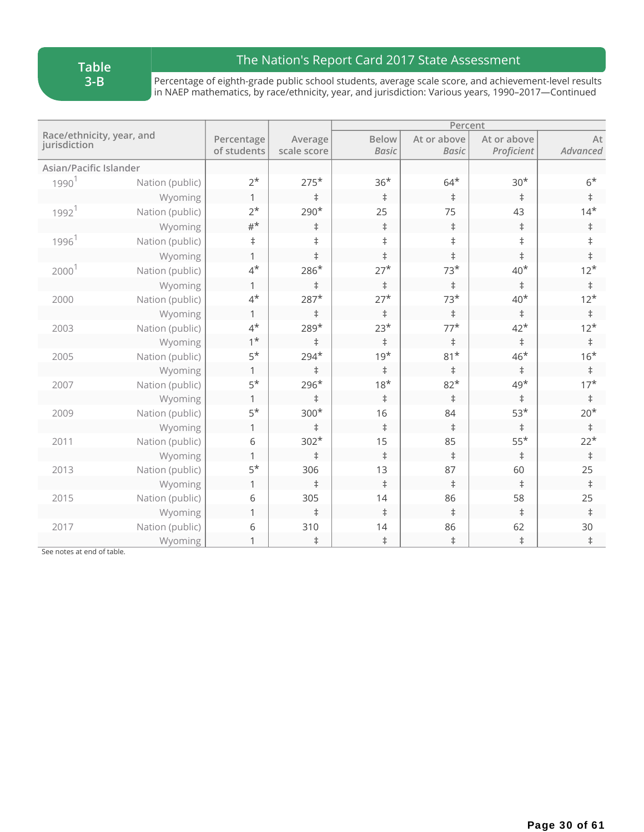## The Nation's Report Card 2017 State Assessment

Percentage of eighth-grade public school students, average scale score, and achievement-level results in NAEP mathematics, by race/ethnicity, year, and jurisdiction: Various years, 1990–2017—Continued

|                                           |                 |                           |                        | Percent                      |                             |                           |                |  |
|-------------------------------------------|-----------------|---------------------------|------------------------|------------------------------|-----------------------------|---------------------------|----------------|--|
| Race/ethnicity, year, and<br>jurisdiction |                 | Percentage<br>of students | Average<br>scale score | <b>Below</b><br><b>Basic</b> | At or above<br><b>Basic</b> | At or above<br>Proficient | At<br>Advanced |  |
| Asian/Pacific Islander                    |                 |                           |                        |                              |                             |                           |                |  |
| $1990^1$                                  | Nation (public) | $2^{\star}$               | $275*$                 | $36*$                        | $64*$                       | $30*$                     | $6*$           |  |
|                                           | Wyoming         | $\mathbf{1}$              | $\ddagger$             | $\ddagger$                   | $\ddagger$                  | $\ddagger$                | $\ddagger$     |  |
| 1992 <sup>1</sup>                         | Nation (public) | $2^*$                     | 290*                   | 25                           | 75                          | 43                        | $14*$          |  |
|                                           | Wyoming         | $#^{\star}$               | $\ddagger$             | $\ddagger$                   | $\ddagger$                  | $\ddagger$                | $\ddagger$     |  |
| 1996 <sup>1</sup>                         | Nation (public) | $^\ddag$                  | $\ddagger$             | $\ddagger$                   | $\ddagger$                  | $\ddagger$                | $\ddagger$     |  |
|                                           | Wyoming         | $\mathbf{1}$              | $\ddagger$             | $\ddagger$                   | $\ddagger$                  | $\ddagger$                | $\ddagger$     |  |
| 2000                                      | Nation (public) | $4^{\star}$               | $286*$                 | $27*$                        | $73*$                       | $40*$                     | $12*$          |  |
|                                           | Wyoming         | 1                         | $\ddagger$             | $\ddagger$                   | $\ddagger$                  | $\ddagger$                | $\ddagger$     |  |
| 2000                                      | Nation (public) | $4^{\star}$               | $287*$                 | $27*$                        | $73*$                       | $40*$                     | $12*$          |  |
|                                           | Wyoming         | 1                         | $\ddagger$             | $\ddagger$                   | $\ddagger$                  | $\ddagger$                | $\ddagger$     |  |
| 2003                                      | Nation (public) | $4^{\star}$               | 289*                   | $23*$                        | $77*$                       | $42*$                     | $12*$          |  |
|                                           | Wyoming         | $1^*$                     | $\ddagger$             | $\ddagger$                   | $\ddagger$                  | $\ddagger$                | $\ddagger$     |  |
| 2005                                      | Nation (public) | $5*$                      | $294*$                 | $19*$                        | $81*$                       | $46*$                     | $16*$          |  |
|                                           | Wyoming         | 1                         | $\ddagger$             | $\ddagger$                   | $\ddagger$                  | $\ddagger$                | $\ddagger$     |  |
| 2007                                      | Nation (public) | $5*$                      | $296*$                 | $18*$                        | $82*$                       | $49*$                     | $17*$          |  |
|                                           | Wyoming         | 1                         | $\ddagger$             | $\ddagger$                   | $\ddagger$                  | $\ddagger$                | $\ddagger$     |  |
| 2009                                      | Nation (public) | $5*$                      | $300*$                 | 16                           | 84                          | $53*$                     | $20*$          |  |
|                                           | Wyoming         | $\mathbf{1}$              | $\ddagger$             | $\ddagger$                   | $\ddagger$                  | $\ddagger$                | $\ddagger$     |  |
| 2011                                      | Nation (public) | 6                         | $302*$                 | 15                           | 85                          | $55*$                     | $22*$          |  |
|                                           | Wyoming         | 1                         | $\ddagger$             | $\ddagger$                   | $\ddagger$                  | $\ddagger$                | $\ddagger$     |  |
| 2013                                      | Nation (public) | $5*$                      | 306                    | 13                           | 87                          | 60                        | 25             |  |
|                                           | Wyoming         | $\mathbf{1}$              | $\ddagger$             | $\ddagger$                   | $\ddagger$                  | $\ddagger$                | $\ddagger$     |  |
| 2015                                      | Nation (public) | 6                         | 305                    | 14                           | 86                          | 58                        | 25             |  |
|                                           | Wyoming         | $\mathbf{1}$              | $\ddagger$             | $\ddagger$                   | $\ddagger$                  | $\ddagger$                | $\ddagger$     |  |
| 2017                                      | Nation (public) | 6                         | 310                    | 14                           | 86                          | 62                        | 30             |  |
|                                           | Wyoming         | $\mathbf{1}$              | $\ddagger$             | $\ddagger$                   | $\ddagger$                  | $\ddagger$                | $\ddagger$     |  |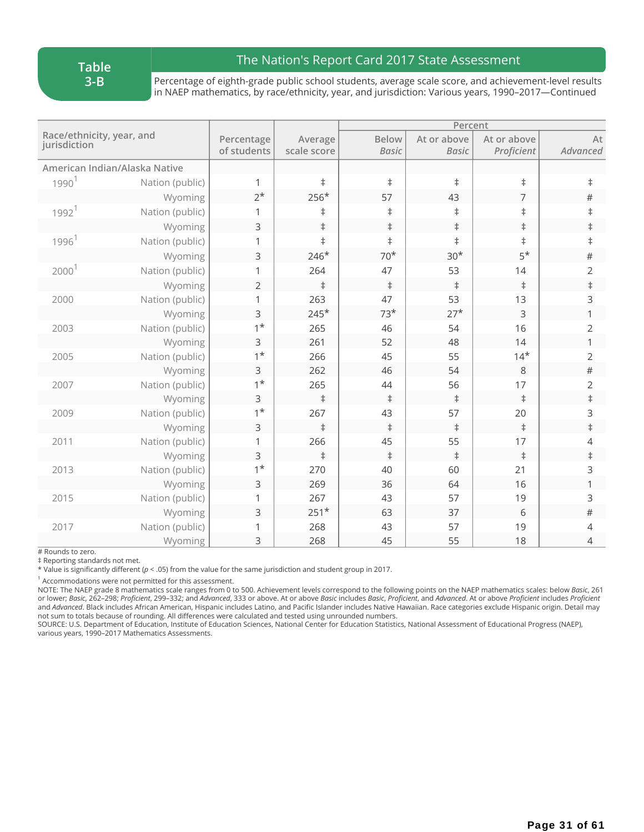## The Nation's Report Card 2017 State Assessment

Percentage of eighth-grade public school students, average scale score, and achievement-level results in NAEP mathematics, by race/ethnicity, year, and jurisdiction: Various years, 1990–2017—Continued

|                                           |                               |                           |                        | Percent                      |                             |                           |                |
|-------------------------------------------|-------------------------------|---------------------------|------------------------|------------------------------|-----------------------------|---------------------------|----------------|
| Race/ethnicity, year, and<br>jurisdiction |                               | Percentage<br>of students | Average<br>scale score | <b>Below</b><br><b>Basic</b> | At or above<br><b>Basic</b> | At or above<br>Proficient | At<br>Advanced |
|                                           | American Indian/Alaska Native |                           |                        |                              |                             |                           |                |
| 1990 <sup>1</sup>                         | Nation (public)               | 1                         | $\ddagger$             | $\ddagger$                   | $\ddagger$                  | $\ddagger$                | $\ddagger$     |
|                                           | Wyoming                       | $2^*$                     | 256*                   | 57                           | 43                          | 7                         | $\#$           |
| 1992 <sup>1</sup>                         | Nation (public)               | 1                         | $\ddagger$             | $\ddagger$                   | $\ddagger$                  | $\ddagger$                | $\ddagger$     |
|                                           | Wyoming                       | $\mathsf{3}$              | $\ddagger$             | $\ddagger$                   | $\ddagger$                  | $\ddagger$                | $\ddagger$     |
| 1996 <sup>1</sup>                         | Nation (public)               | 1                         | $\ddagger$             | $\ddagger$                   | $\ddagger$                  | $\ddagger$                | $\ddagger$     |
|                                           | Wyoming                       | 3                         | $246*$                 | $70*$                        | $30*$                       | $5*$                      | $\#$           |
| 2000 <sup>1</sup>                         | Nation (public)               | 1                         | 264                    | 47                           | 53                          | 14                        | $\overline{2}$ |
|                                           | Wyoming                       | $\overline{2}$            | $\ddagger$             | $\ddagger$                   | $\ddagger$                  | $\ddagger$                | $\ddagger$     |
| 2000                                      | Nation (public)               | 1                         | 263                    | 47                           | 53                          | 13                        | 3              |
|                                           | Wyoming                       | $\mathsf{3}$              | $245*$                 | $73*$                        | $27*$                       | 3                         | 1              |
| 2003                                      | Nation (public)               | $1^*$                     | 265                    | 46                           | 54                          | 16                        | 2              |
|                                           | Wyoming                       | 3                         | 261                    | 52                           | 48                          | 14                        | 1              |
| 2005                                      | Nation (public)               | $1^*$                     | 266                    | 45                           | 55                          | $14*$                     | 2              |
|                                           | Wyoming                       | $\mathsf{3}$              | 262                    | 46                           | 54                          | 8                         | $\#$           |
| 2007                                      | Nation (public)               | $1^*$                     | 265                    | 44                           | 56                          | 17                        | $\overline{2}$ |
|                                           | Wyoming                       | $\mathsf{3}$              | $\ddagger$             | $\ddagger$                   | $\ddagger$                  | $\ddagger$                | $\ddagger$     |
| 2009                                      | Nation (public)               | $1^*$                     | 267                    | 43                           | 57                          | 20                        | 3              |
|                                           | Wyoming                       | $\mathsf{3}$              | $\ddagger$             | $\ddagger$                   | $\ddagger$                  | $\ddagger$                | $\ddagger$     |
| 2011                                      | Nation (public)               | 1                         | 266                    | 45                           | 55                          | 17                        | $\overline{4}$ |
|                                           | Wyoming                       | $\overline{3}$            | $\ddagger$             | $\ddagger$                   | $\ddagger$                  | $\ddagger$                | $\ddagger$     |
| 2013                                      | Nation (public)               | $1^*$                     | 270                    | 40                           | 60                          | 21                        | 3              |
|                                           | Wyoming                       | 3                         | 269                    | 36                           | 64                          | 16                        | 1              |
| 2015                                      | Nation (public)               | 1                         | 267                    | 43                           | 57                          | 19                        | 3              |
|                                           | Wyoming                       | 3                         | $251*$                 | 63                           | 37                          | 6                         | $\#$           |
| 2017                                      | Nation (public)               | 1                         | 268                    | 43                           | 57                          | 19                        | 4              |
|                                           | Wyoming                       | 3                         | 268                    | 45                           | 55                          | 18                        | 4              |

# Rounds to zero.

‡ Reporting standards not met.

\* Value is significantly different (*p* < .05) from the value for the same jurisdiction and student group in 2017.

 $1$  Accommodations were not permitted for this assessment.

NOTE: The NAEP grade 8 mathematics scale ranges from 0 to 500. Achievement levels correspond to the following points on the NAEP mathematics scales: below *Basic*, 261 or lower; Basic, 262-298; Proficient, 299-332; and Advanced, 333 or above. At or above Basic includes Basic, Proficient, and Advanced. At or above Proficient includes Proficient and *Advanced*. Black includes African American, Hispanic includes Latino, and Pacific Islander includes Native Hawaiian. Race categories exclude Hispanic origin. Detail may not sum to totals because of rounding. All differences were calculated and tested using unrounded numbers.

SOURCE: U.S. Department of Education, Institute of Education Sciences, National Center for Education Statistics, National Assessment of Educational Progress (NAEP), various years, 1990–2017 Mathematics Assessments.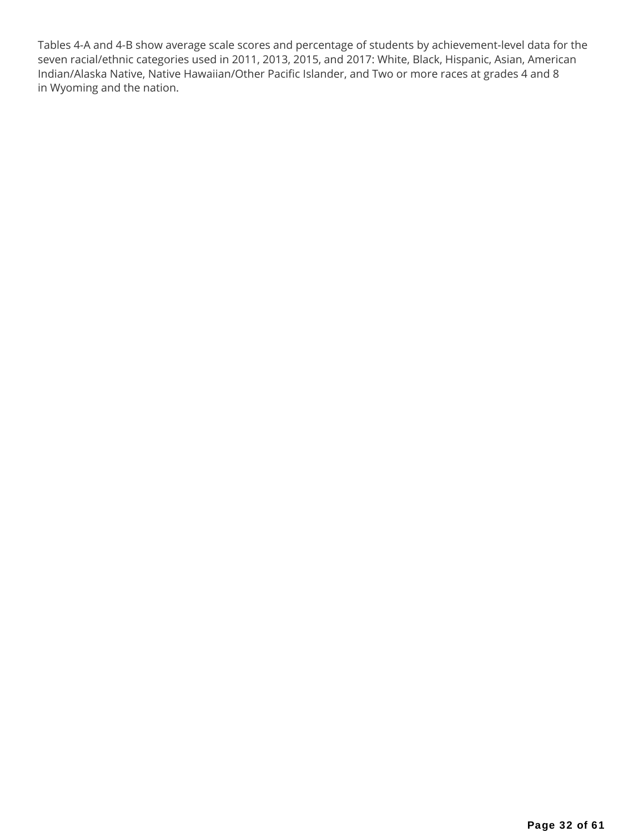Tables 4-A and 4-B show average scale scores and percentage of students by achievement-level data for the seven racial/ethnic categories used in 2011, 2013, 2015, and 2017: White, Black, Hispanic, Asian, American Indian/Alaska Native, Native Hawaiian/Other Pacific Islander, and Two or more races at grades 4 and 8 in Wyoming and the nation.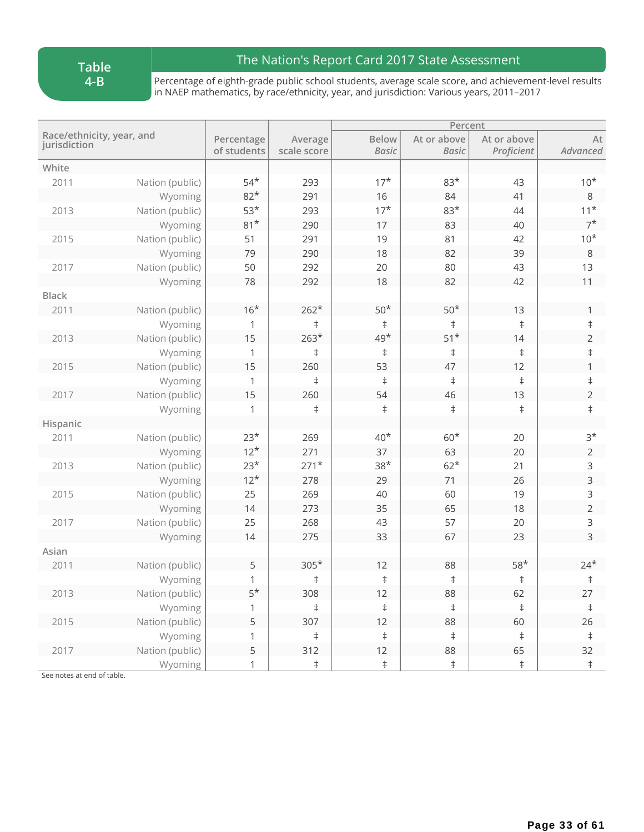**Table 4-B**

## The Nation's Report Card 2017 State Assessment

Percentage of eighth-grade public school students, average scale score, and achievement-level results in NAEP mathematics, by race/ethnicity, year, and jurisdiction: Various years, 2011–2017

|                                           |                 |                           |                        |                              |                             | Percent                   |                |  |
|-------------------------------------------|-----------------|---------------------------|------------------------|------------------------------|-----------------------------|---------------------------|----------------|--|
| Race/ethnicity, year, and<br>jurisdiction |                 | Percentage<br>of students | Average<br>scale score | <b>Below</b><br><b>Basic</b> | At or above<br><b>Basic</b> | At or above<br>Proficient | At<br>Advanced |  |
| White                                     |                 |                           |                        |                              |                             |                           |                |  |
| 2011                                      | Nation (public) | $54*$                     | 293                    | $17*$                        | $83*$                       | 43                        | $10*$          |  |
|                                           | Wyoming         | $82*$                     | 291                    | 16                           | 84                          | 41                        | 8              |  |
| 2013                                      | Nation (public) | $53*$                     | 293                    | $17*$                        | $83*$                       | 44                        | $11*$          |  |
|                                           | Wyoming         | $81*$                     | 290                    | 17                           | 83                          | 40                        | $7^*$          |  |
| 2015                                      | Nation (public) | 51                        | 291                    | 19                           | 81                          | 42                        | $10*$          |  |
|                                           | Wyoming         | 79                        | 290                    | 18                           | 82                          | 39                        | 8              |  |
| 2017                                      | Nation (public) | 50                        | 292                    | 20                           | 80                          | 43                        | 13             |  |
|                                           | Wyoming         | 78                        | 292                    | 18                           | 82                          | 42                        | 11             |  |
| <b>Black</b>                              |                 |                           |                        |                              |                             |                           |                |  |
| 2011                                      | Nation (public) | $16*$                     | $262*$                 | $50*$                        | $50*$                       | 13                        | 1              |  |
|                                           | Wyoming         | 1                         | $\ddagger$             | $\ddagger$                   | $\ddagger$                  | $\ddagger$                | $\ddagger$     |  |
| 2013                                      | Nation (public) | 15                        | $263*$                 | $49*$                        | $51*$                       | 14                        | $\overline{2}$ |  |
|                                           | Wyoming         | 1                         | $\ddagger$             | $\ddagger$                   | $\ddagger$                  | $\ddagger$                | $\ddagger$     |  |
| 2015                                      | Nation (public) | 15                        | 260                    | 53                           | 47                          | 12                        | 1              |  |
|                                           | Wyoming         | 1                         | $\ddagger$             | $\ddagger$                   | $\ddagger$                  | $\ddagger$                | $\ddagger$     |  |
| 2017                                      | Nation (public) | 15                        | 260                    | 54                           | 46                          | 13                        | $\overline{2}$ |  |
|                                           | Wyoming         | 1                         | $\ddagger$             | $\ddagger$                   | $\ddagger$                  | $\ddagger$                | $\ddagger$     |  |
| Hispanic                                  |                 |                           |                        |                              |                             |                           |                |  |
| 2011                                      | Nation (public) | $23*$                     | 269                    | $40*$                        | $60*$                       | 20                        | $3*$           |  |
|                                           | Wyoming         | $12*$                     | 271                    | 37                           | 63                          | 20                        | $\overline{2}$ |  |
| 2013                                      | Nation (public) | $23*$                     | $271*$                 | $38*$                        | $62*$                       | 21                        | 3              |  |
|                                           | Wyoming         | $12*$                     | 278                    | 29                           | 71                          | 26                        | 3              |  |
| 2015                                      | Nation (public) | 25                        | 269                    | 40                           | 60                          | 19                        | 3              |  |
|                                           | Wyoming         | 14                        | 273                    | 35                           | 65                          | 18                        | $\overline{2}$ |  |
| 2017                                      | Nation (public) | 25                        | 268                    | 43                           | 57                          | 20                        | 3              |  |
|                                           | Wyoming         | 14                        | 275                    | 33                           | 67                          | 23                        | $\overline{3}$ |  |
| Asian                                     |                 |                           |                        |                              |                             |                           |                |  |
| 2011                                      | Nation (public) | 5                         | $305*$                 | 12                           | 88                          | $58*$                     | $24*$          |  |
|                                           | Wyoming         | 1                         | $\ddagger$             | $\ddagger$                   | $\ddagger$                  | $\ddagger$                | $\ddagger$     |  |
| 2013                                      | Nation (public) | $5^{\star}$               | 308                    | 12                           | 88                          | 62                        | 27             |  |
|                                           | Wyoming         | $\,1$                     | $\ddagger$             | $\ddagger$                   | $\ddagger$                  | $\ddagger$                | $\ddagger$     |  |
| 2015                                      | Nation (public) | 5                         | 307                    | 12                           | 88                          | 60                        | 26             |  |
|                                           | Wyoming         | 1                         | $\ddagger$             | $\ddagger$                   | $\ddagger$                  | $\ddagger$                | $\ddagger$     |  |
| 2017                                      | Nation (public) | 5                         | 312                    | 12                           | 88                          | 65                        | 32             |  |
|                                           | Wyoming         | 1                         | $\ddagger$             | $\ddagger$                   | $\ddagger$                  | $\ddagger$                | $\ddagger$     |  |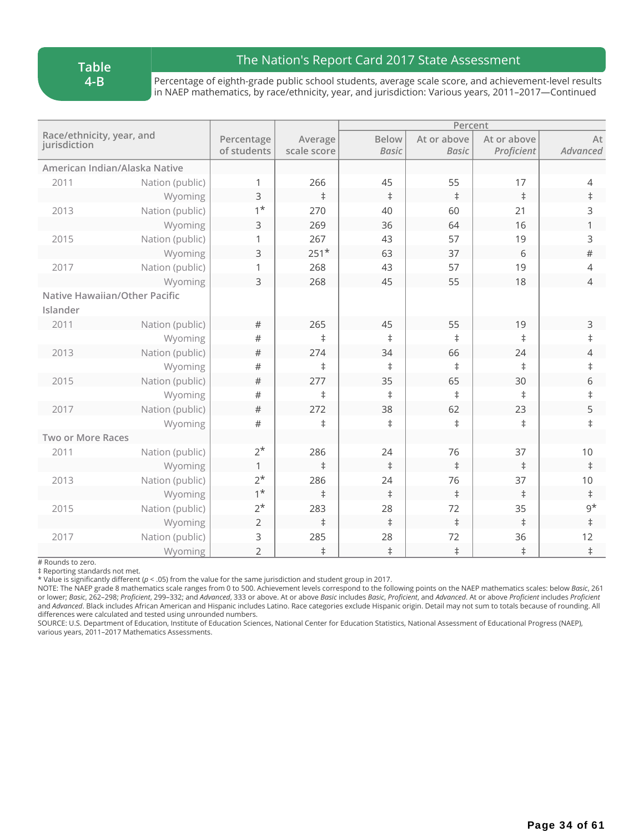#### **Table 4-B**

## The Nation's Report Card 2017 State Assessment

Percentage of eighth-grade public school students, average scale score, and achievement-level results in NAEP mathematics, by race/ethnicity, year, and jurisdiction: Various years, 2011–2017—Continued

|                                           |                               |                           |                        |                              | Percent                     |                           |                |
|-------------------------------------------|-------------------------------|---------------------------|------------------------|------------------------------|-----------------------------|---------------------------|----------------|
| Race/ethnicity, year, and<br>jurisdiction |                               | Percentage<br>of students | Average<br>scale score | <b>Below</b><br><b>Basic</b> | At or above<br><b>Basic</b> | At or above<br>Proficient | At<br>Advanced |
|                                           | American Indian/Alaska Native |                           |                        |                              |                             |                           |                |
| 2011                                      | Nation (public)               | 1                         | 266                    | 45                           | 55                          | 17                        | 4              |
|                                           | Wyoming                       | 3                         | $\ddagger$             | $\ddagger$                   | $\ddagger$                  | $\ddagger$                | $\ddagger$     |
| 2013                                      | Nation (public)               | $1^*$                     | 270                    | 40                           | 60                          | 21                        | 3              |
|                                           | Wyoming                       | 3                         | 269                    | 36                           | 64                          | 16                        | 1              |
| 2015                                      | Nation (public)               | 1                         | 267                    | 43                           | 57                          | 19                        | 3              |
|                                           | Wyoming                       | 3                         | $251*$                 | 63                           | 37                          | 6                         | $\#$           |
| 2017                                      | Nation (public)               | 1                         | 268                    | 43                           | 57                          | 19                        | $\overline{4}$ |
|                                           | Wyoming                       | 3                         | 268                    | 45                           | 55                          | 18                        | $\overline{4}$ |
|                                           | Native Hawaiian/Other Pacific |                           |                        |                              |                             |                           |                |
| Islander                                  |                               |                           |                        |                              |                             |                           |                |
| 2011                                      | Nation (public)               | $\#$                      | 265                    | 45                           | 55                          | 19                        | 3              |
|                                           | Wyoming                       | #                         | $\ddagger$             | $\ddagger$                   | $\ddagger$                  | $\ddagger$                | $\ddagger$     |
| 2013                                      | Nation (public)               | $\#$                      | 274                    | 34                           | 66                          | 24                        | $\overline{4}$ |
|                                           | Wyoming                       | $\#$                      | $\ddagger$             | $^\ddag$                     | $\ddagger$                  | $\ddagger$                | $\ddagger$     |
| 2015                                      | Nation (public)               | $\#$                      | 277                    | 35                           | 65                          | 30                        | 6              |
|                                           | Wyoming                       | #                         | $\ddagger$             | $\ddagger$                   | $\ddagger$                  | $\ddagger$                | $\ddagger$     |
| 2017                                      | Nation (public)               | $\#$                      | 272                    | 38                           | 62                          | 23                        | 5              |
|                                           | Wyoming                       | $\#$                      | $\ddagger$             | $\ddagger$                   | $\ddagger$                  | $\ddagger$                | $\ddagger$     |
| Two or More Races                         |                               |                           |                        |                              |                             |                           |                |
| 2011                                      | Nation (public)               | $2^*$                     | 286                    | 24                           | 76                          | 37                        | $10$           |
|                                           | Wyoming                       | $\mathbf{1}$              | $\ddagger$             | $\ddagger$                   | $\ddagger$                  | $\ddagger$                | $\ddagger$     |
| 2013                                      | Nation (public)               | $2^*$                     | 286                    | 24                           | 76                          | 37                        | 10             |
|                                           | Wyoming                       | $1^*$                     | $\ddagger$             | $\ddagger$                   | $\ddagger$                  | $\ddagger$                | $\ddagger$     |
| 2015                                      | Nation (public)               | $2^*$                     | 283                    | 28                           | 72                          | 35                        | $9^{\star}$    |
|                                           | Wyoming                       | $\overline{2}$            | $\ddagger$             | $\ddagger$                   | $\ddagger$                  | $\ddagger$                | $\ddagger$     |
| 2017                                      | Nation (public)               | 3                         | 285                    | 28                           | 72                          | 36                        | 12             |
|                                           | Wyoming                       | 2                         | $\ddagger$             | $\ddagger$                   | $\ddagger$                  | $\ddagger$                | $\ddagger$     |

# Rounds to zero.

‡ Reporting standards not met.

\* Value is significantly different (*p* < .05) from the value for the same jurisdiction and student group in 2017.

NOTE: The NAEP grade 8 mathematics scale ranges from 0 to 500. Achievement levels correspond to the following points on the NAEP mathematics scales: below *Basic*, 261 or lower; Basic, 262-298; Proficient, 299-332; and Advanced, 333 or above. At or above Basic includes Basic, Proficient, and Advanced. At or above Proficient includes Proficient and *Advanced*. Black includes African American and Hispanic includes Latino. Race categories exclude Hispanic origin. Detail may not sum to totals because of rounding. All differences were calculated and tested using unrounded numbers.

SOURCE: U.S. Department of Education, Institute of Education Sciences, National Center for Education Statistics, National Assessment of Educational Progress (NAEP), various years, 2011–2017 Mathematics Assessments.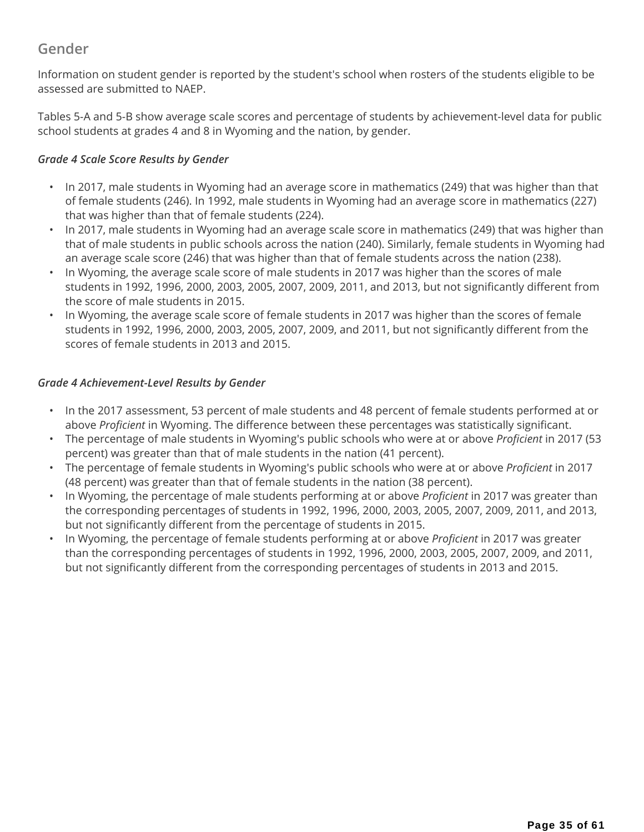## **Gender**

Information on student gender is reported by the student's school when rosters of the students eligible to be assessed are submitted to NAEP.

Tables 5-A and 5-B show average scale scores and percentage of students by achievement-level data for public school students at grades 4 and 8 in Wyoming and the nation, by gender.

### *Grade 4 Scale Score Results by Gender*

- In 2017, male students in Wyoming had an average score in mathematics (249) that was higher than that of female students (246). In 1992, male students in Wyoming had an average score in mathematics (227) that was higher than that of female students (224).
- In 2017, male students in Wyoming had an average scale score in mathematics (249) that was higher than that of male students in public schools across the nation (240). Similarly, female students in Wyoming had an average scale score (246) that was higher than that of female students across the nation (238).
- In Wyoming, the average scale score of male students in 2017 was higher than the scores of male students in 1992, 1996, 2000, 2003, 2005, 2007, 2009, 2011, and 2013, but not significantly different from the score of male students in 2015.
- In Wyoming, the average scale score of female students in 2017 was higher than the scores of female students in 1992, 1996, 2000, 2003, 2005, 2007, 2009, and 2011, but not significantly different from the scores of female students in 2013 and 2015.

### *Grade 4 Achievement-Level Results by Gender*

- In the 2017 assessment, 53 percent of male students and 48 percent of female students performed at or above *Proficient* in Wyoming. The difference between these percentages was statistically significant.
- The percentage of male students in Wyoming's public schools who were at or above *Proficient* in 2017 (53 percent) was greater than that of male students in the nation (41 percent).
- The percentage of female students in Wyoming's public schools who were at or above *Proficient* in 2017 (48 percent) was greater than that of female students in the nation (38 percent).
- In Wyoming, the percentage of male students performing at or above *Proficient* in 2017 was greater than the corresponding percentages of students in 1992, 1996, 2000, 2003, 2005, 2007, 2009, 2011, and 2013, but not significantly different from the percentage of students in 2015.
- In Wyoming, the percentage of female students performing at or above *Proficient* in 2017 was greater than the corresponding percentages of students in 1992, 1996, 2000, 2003, 2005, 2007, 2009, and 2011, but not significantly different from the corresponding percentages of students in 2013 and 2015.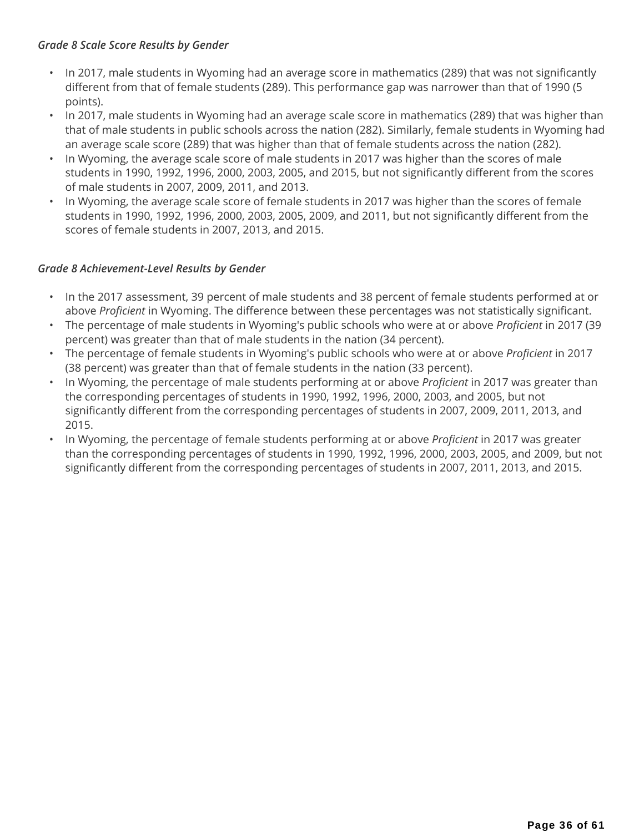#### *Grade 8 Scale Score Results by Gender*

- In 2017, male students in Wyoming had an average score in mathematics (289) that was not significantly different from that of female students (289). This performance gap was narrower than that of 1990 (5 points).
- In 2017, male students in Wyoming had an average scale score in mathematics (289) that was higher than that of male students in public schools across the nation (282). Similarly, female students in Wyoming had an average scale score (289) that was higher than that of female students across the nation (282).
- In Wyoming, the average scale score of male students in 2017 was higher than the scores of male students in 1990, 1992, 1996, 2000, 2003, 2005, and 2015, but not significantly different from the scores of male students in 2007, 2009, 2011, and 2013.
- In Wyoming, the average scale score of female students in 2017 was higher than the scores of female students in 1990, 1992, 1996, 2000, 2003, 2005, 2009, and 2011, but not significantly different from the scores of female students in 2007, 2013, and 2015.

### *Grade 8 Achievement-Level Results by Gender*

- In the 2017 assessment, 39 percent of male students and 38 percent of female students performed at or above *Proficient* in Wyoming. The difference between these percentages was not statistically significant.
- The percentage of male students in Wyoming's public schools who were at or above *Proficient* in 2017 (39 percent) was greater than that of male students in the nation (34 percent).
- The percentage of female students in Wyoming's public schools who were at or above *Proficient* in 2017 (38 percent) was greater than that of female students in the nation (33 percent).
- In Wyoming, the percentage of male students performing at or above *Proficient* in 2017 was greater than the corresponding percentages of students in 1990, 1992, 1996, 2000, 2003, and 2005, but not significantly different from the corresponding percentages of students in 2007, 2009, 2011, 2013, and 2015.
- In Wyoming, the percentage of female students performing at or above *Proficient* in 2017 was greater than the corresponding percentages of students in 1990, 1992, 1996, 2000, 2003, 2005, and 2009, but not significantly different from the corresponding percentages of students in 2007, 2011, 2013, and 2015.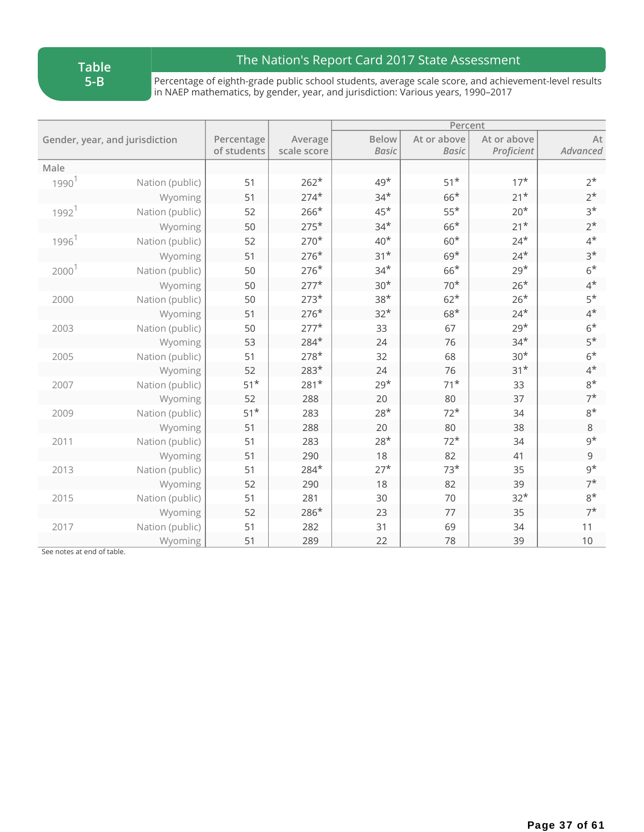**Table 5-B**

## The Nation's Report Card 2017 State Assessment

Percentage of eighth-grade public school students, average scale score, and achievement-level results in NAEP mathematics, by gender, year, and jurisdiction: Various years, 1990–2017

|                     |                                |                           |                        | Percent                      |                             |                           |                |  |
|---------------------|--------------------------------|---------------------------|------------------------|------------------------------|-----------------------------|---------------------------|----------------|--|
|                     | Gender, year, and jurisdiction | Percentage<br>of students | Average<br>scale score | <b>Below</b><br><b>Basic</b> | At or above<br><b>Basic</b> | At or above<br>Proficient | At<br>Advanced |  |
| Male                |                                |                           |                        |                              |                             |                           |                |  |
| 1990 <sup>1</sup>   | Nation (public)                | 51                        | $262*$                 | $49*$                        | $51*$                       | $17*$                     | $2^*$          |  |
|                     | Wyoming                        | 51                        | $274*$                 | $34*$                        | $66*$                       | $21*$                     | $2^*$          |  |
| $1992$ <sup>1</sup> | Nation (public)                | 52                        | $266*$                 | $45*$                        | $55*$                       | $20*$                     | $3*$           |  |
|                     | Wyoming                        | 50                        | $275*$                 | $34*$                        | $66*$                       | $21*$                     | $2^{\star}$    |  |
| 1996 <sup>1</sup>   | Nation (public)                | 52                        | $270*$                 | $40*$                        | $60*$                       | $24*$                     | $4^*$          |  |
|                     | Wyoming                        | 51                        | $276*$                 | $31*$                        | $69*$                       | $24*$                     | $3*$           |  |
| 2000 <sup>1</sup>   | Nation (public)                | 50                        | $276*$                 | $34*$                        | $66*$                       | $29*$                     | $6*$           |  |
|                     | Wyoming                        | 50                        | $277*$                 | $30*$                        | $70*$                       | $26*$                     | $4^*$          |  |
| 2000                | Nation (public)                | 50                        | $273*$                 | $38*$                        | $62*$                       | $26*$                     | $5*$           |  |
|                     | Wyoming                        | 51                        | $276*$                 | $32*$                        | $68*$                       | $24*$                     | $4^*$          |  |
| 2003                | Nation (public)                | 50                        | $277*$                 | 33                           | 67                          | $29*$                     | $6*$           |  |
|                     | Wyoming                        | 53                        | $284*$                 | 24                           | 76                          | $34*$                     | $5*$           |  |
| 2005                | Nation (public)                | 51                        | $278*$                 | 32                           | 68                          | $30*$                     | $6*$           |  |
|                     | Wyoming                        | 52                        | $283*$                 | 24                           | 76                          | $31*$                     | $4^*$          |  |
| 2007                | Nation (public)                | $51*$                     | $281*$                 | $29*$                        | $71*$                       | 33                        | $8*$           |  |
|                     | Wyoming                        | 52                        | 288                    | 20                           | 80                          | 37                        | $7^{\star}$    |  |
| 2009                | Nation (public)                | $51*$                     | 283                    | $28*$                        | $72*$                       | 34                        | $8*$           |  |
|                     | Wyoming                        | 51                        | 288                    | 20                           | 80                          | 38                        | $\,8\,$        |  |
| 2011                | Nation (public)                | 51                        | 283                    | $28*$                        | $72*$                       | 34                        | $9^{\star}$    |  |
|                     | Wyoming                        | 51                        | 290                    | 18                           | 82                          | 41                        | 9              |  |
| 2013                | Nation (public)                | 51                        | 284*                   | $27*$                        | $73*$                       | 35                        | $9^{\star}$    |  |
|                     | Wyoming                        | 52                        | 290                    | 18                           | 82                          | 39                        | $7^*$          |  |
| 2015                | Nation (public)                | 51                        | 281                    | 30                           | 70                          | $32*$                     | $8*$           |  |
|                     | Wyoming                        | 52                        | 286*                   | 23                           | 77                          | 35                        | $7^*$          |  |
| 2017                | Nation (public)                | 51                        | 282                    | 31                           | 69                          | 34                        | 11             |  |
|                     | Wyoming                        | 51                        | 289                    | 22                           | 78                          | 39                        | $10$           |  |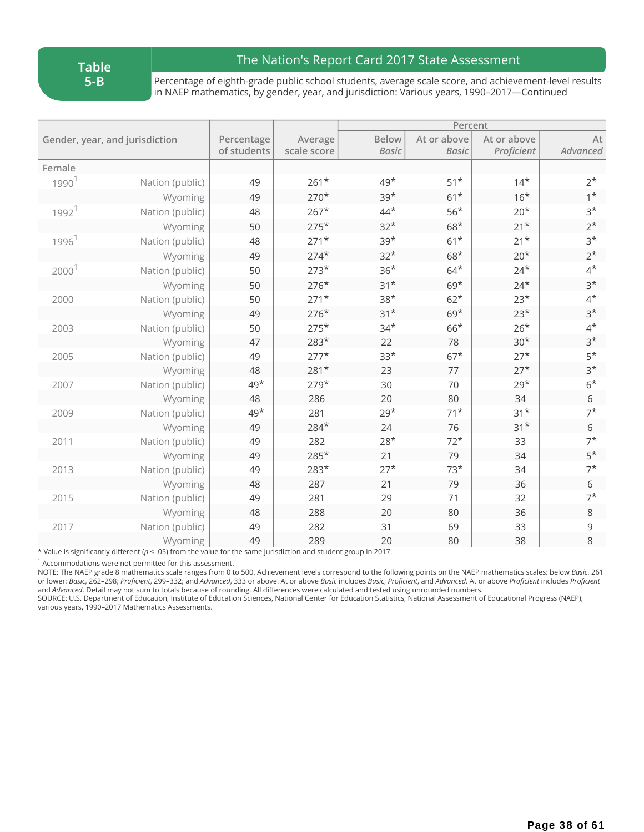**Table 5-B**

### The Nation's Report Card 2017 State Assessment

Percentage of eighth-grade public school students, average scale score, and achievement-level results in NAEP mathematics, by gender, year, and jurisdiction: Various years, 1990–2017—Continued

|                                |                 |                           |                        | Percent                      |                             |                           |                |
|--------------------------------|-----------------|---------------------------|------------------------|------------------------------|-----------------------------|---------------------------|----------------|
| Gender, year, and jurisdiction |                 | Percentage<br>of students | Average<br>scale score | <b>Below</b><br><b>Basic</b> | At or above<br><b>Basic</b> | At or above<br>Proficient | At<br>Advanced |
| Female                         |                 |                           |                        |                              |                             |                           |                |
| 1990 <sup>1</sup>              | Nation (public) | 49                        | $261*$                 | $49*$                        | $51*$                       | $14*$                     | $2^*$          |
|                                | Wyoming         | 49                        | $270*$                 | $39*$                        | $61*$                       | $16*$                     | $1*$           |
| $1992$ <sup>1</sup>            | Nation (public) | 48                        | $267*$                 | $44*$                        | $56*$                       | $20*$                     | $3*$           |
|                                | Wyoming         | 50                        | $275*$                 | $32*$                        | $68*$                       | $21*$                     | $2^*$          |
| 1996 <sup>1</sup>              | Nation (public) | 48                        | $271*$                 | $39*$                        | $61*$                       | $21*$                     | $3*$           |
|                                | Wyoming         | 49                        | $274*$                 | $32*$                        | $68*$                       | $20*$                     | $2^*$          |
| 2000 <sup>1</sup>              | Nation (public) | 50                        | $273*$                 | $36*$                        | $64*$                       | $24*$                     | $4^*$          |
|                                | Wyoming         | 50                        | $276*$                 | $31*$                        | $69*$                       | $24*$                     | $3*$           |
| 2000                           | Nation (public) | 50                        | $271*$                 | $38*$                        | $62*$                       | $23*$                     | $4^*$          |
|                                | Wyoming         | 49                        | $276*$                 | $31*$                        | $69*$                       | $23*$                     | $3*$           |
| 2003                           | Nation (public) | 50                        | $275*$                 | $34*$                        | $66*$                       | $26*$                     | $4^*$          |
|                                | Wyoming         | 47                        | $283*$                 | 22                           | 78                          | $30*$                     | $3*$           |
| 2005                           | Nation (public) | 49                        | $277*$                 | $33*$                        | $67*$                       | $27*$                     | $5*$           |
|                                | Wyoming         | 48                        | $281*$                 | 23                           | 77                          | $27*$                     | $3*$           |
| 2007                           | Nation (public) | $49*$                     | $279*$                 | 30                           | 70                          | $29*$                     | $6*$           |
|                                | Wyoming         | 48                        | 286                    | 20                           | 80                          | 34                        | 6              |
| 2009                           | Nation (public) | $49*$                     | 281                    | $29*$                        | $71*$                       | $31*$                     | $7^*$          |
|                                | Wyoming         | 49                        | 284*                   | 24                           | 76                          | $31*$                     | 6              |
| 2011                           | Nation (public) | 49                        | 282                    | $28*$                        | $72*$                       | 33                        | $7^*$          |
|                                | Wyoming         | 49                        | 285*                   | 21                           | 79                          | 34                        | $5*$           |
| 2013                           | Nation (public) | 49                        | 283*                   | $27*$                        | $73*$                       | 34                        | $7^*$          |
|                                | Wyoming         | 48                        | 287                    | 21                           | 79                          | 36                        | 6              |
| 2015                           | Nation (public) | 49                        | 281                    | 29                           | 71                          | 32                        | $7^*$          |
|                                | Wyoming         | 48                        | 288                    | 20                           | 80                          | 36                        | $\,8\,$        |
| 2017                           | Nation (public) | 49                        | 282                    | 31                           | 69                          | 33                        | 9              |
|                                | Wyoming         | 49                        | 289                    | 20                           | 80                          | 38                        | 8              |

\* Value is significantly different (*p* < .05) from the value for the same jurisdiction and student group in 2017.

 $1$  Accommodations were not permitted for this assessment.

NOTE: The NAEP grade 8 mathematics scale ranges from 0 to 500. Achievement levels correspond to the following points on the NAEP mathematics scales: below *Basic*, 261 or lower; Basic, 262-298; Proficient, 299-332; and Advanced, 333 or above. At or above Basic includes Basic, Proficient, and Advanced. At or above Proficient includes Proficient and *Advanced*. Detail may not sum to totals because of rounding. All differences were calculated and tested using unrounded numbers.

SOURCE: U.S. Department of Education, Institute of Education Sciences, National Center for Education Statistics, National Assessment of Educational Progress (NAEP), various years, 1990–2017 Mathematics Assessments.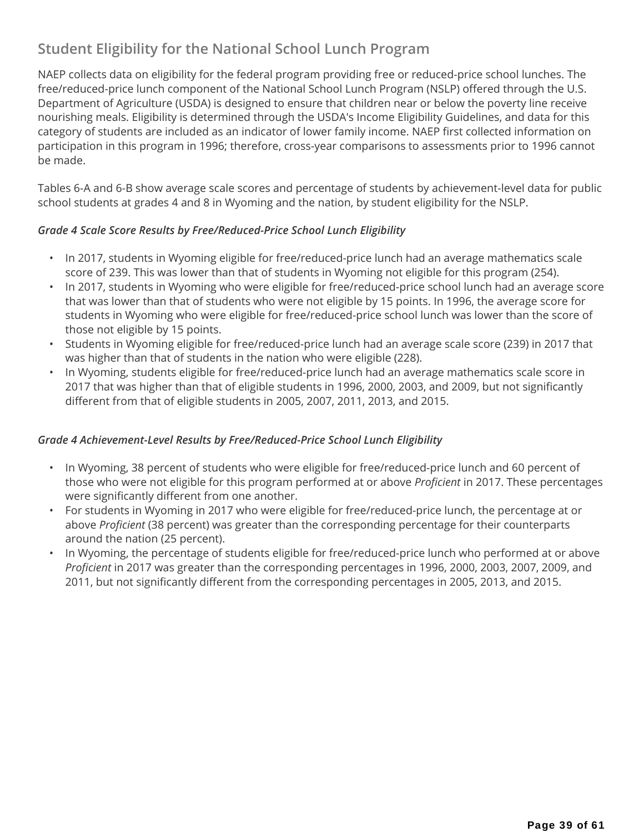## **Student Eligibility for the National School Lunch Program**

NAEP collects data on eligibility for the federal program providing free or reduced-price school lunches. The free/reduced-price lunch component of the National School Lunch Program (NSLP) offered through the U.S. Department of Agriculture (USDA) is designed to ensure that children near or below the poverty line receive nourishing meals. Eligibility is determined through the USDA's Income Eligibility Guidelines, and data for this category of students are included as an indicator of lower family income. NAEP first collected information on participation in this program in 1996; therefore, cross-year comparisons to assessments prior to 1996 cannot be made.

Tables 6-A and 6-B show average scale scores and percentage of students by achievement-level data for public school students at grades 4 and 8 in Wyoming and the nation, by student eligibility for the NSLP.

#### *Grade 4 Scale Score Results by Free/Reduced-Price School Lunch Eligibility*

- In 2017, students in Wyoming eligible for free/reduced-price lunch had an average mathematics scale score of 239. This was lower than that of students in Wyoming not eligible for this program (254).
- In 2017, students in Wyoming who were eligible for free/reduced-price school lunch had an average score that was lower than that of students who were not eligible by 15 points. In 1996, the average score for students in Wyoming who were eligible for free/reduced-price school lunch was lower than the score of those not eligible by 15 points.
- Students in Wyoming eligible for free/reduced-price lunch had an average scale score (239) in 2017 that was higher than that of students in the nation who were eligible (228).
- In Wyoming, students eligible for free/reduced-price lunch had an average mathematics scale score in 2017 that was higher than that of eligible students in 1996, 2000, 2003, and 2009, but not significantly different from that of eligible students in 2005, 2007, 2011, 2013, and 2015.

#### *Grade 4 Achievement-Level Results by Free/Reduced-Price School Lunch Eligibility*

- In Wyoming, 38 percent of students who were eligible for free/reduced-price lunch and 60 percent of those who were not eligible for this program performed at or above *Proficient* in 2017. These percentages were significantly different from one another.
- For students in Wyoming in 2017 who were eligible for free/reduced-price lunch, the percentage at or above *Proficient* (38 percent) was greater than the corresponding percentage for their counterparts around the nation (25 percent).
- In Wyoming, the percentage of students eligible for free/reduced-price lunch who performed at or above *Proficient* in 2017 was greater than the corresponding percentages in 1996, 2000, 2003, 2007, 2009, and 2011, but not significantly different from the corresponding percentages in 2005, 2013, and 2015.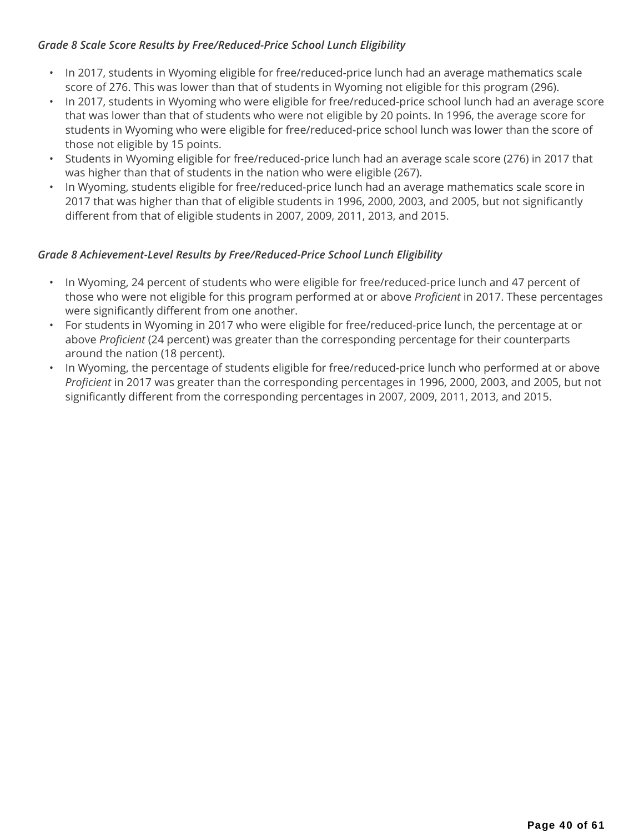#### *Grade 8 Scale Score Results by Free/Reduced-Price School Lunch Eligibility*

- In 2017, students in Wyoming eligible for free/reduced-price lunch had an average mathematics scale score of 276. This was lower than that of students in Wyoming not eligible for this program (296).
- In 2017, students in Wyoming who were eligible for free/reduced-price school lunch had an average score that was lower than that of students who were not eligible by 20 points. In 1996, the average score for students in Wyoming who were eligible for free/reduced-price school lunch was lower than the score of those not eligible by 15 points.
- Students in Wyoming eligible for free/reduced-price lunch had an average scale score (276) in 2017 that was higher than that of students in the nation who were eligible (267).
- In Wyoming, students eligible for free/reduced-price lunch had an average mathematics scale score in 2017 that was higher than that of eligible students in 1996, 2000, 2003, and 2005, but not significantly different from that of eligible students in 2007, 2009, 2011, 2013, and 2015.

### *Grade 8 Achievement-Level Results by Free/Reduced-Price School Lunch Eligibility*

- In Wyoming, 24 percent of students who were eligible for free/reduced-price lunch and 47 percent of those who were not eligible for this program performed at or above *Proficient* in 2017. These percentages were significantly different from one another.
- For students in Wyoming in 2017 who were eligible for free/reduced-price lunch, the percentage at or above *Proficient* (24 percent) was greater than the corresponding percentage for their counterparts around the nation (18 percent).
- In Wyoming, the percentage of students eligible for free/reduced-price lunch who performed at or above *Proficient* in 2017 was greater than the corresponding percentages in 1996, 2000, 2003, and 2005, but not significantly different from the corresponding percentages in 2007, 2009, 2011, 2013, and 2015.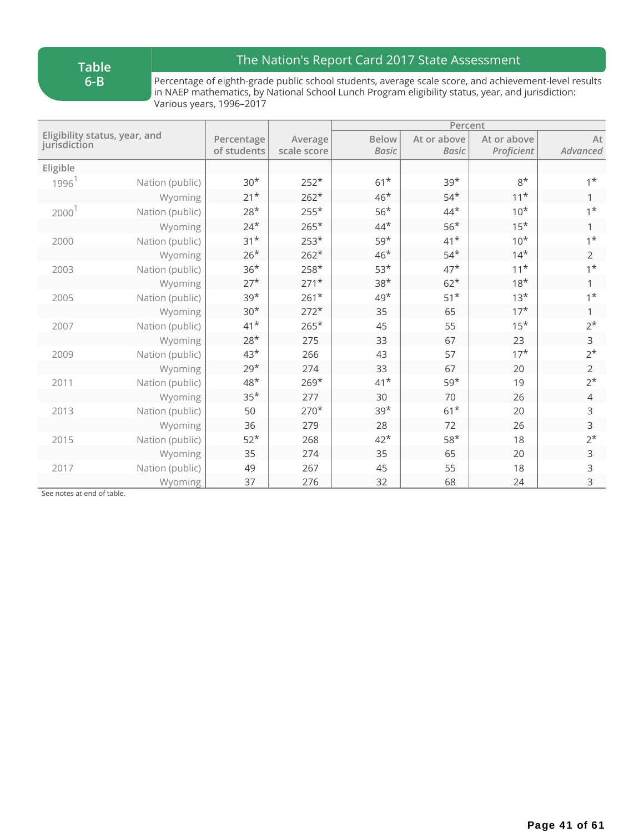**Table 6-B**

## The Nation's Report Card 2017 State Assessment

Percentage of eighth-grade public school students, average scale score, and achievement-level results in NAEP mathematics, by National School Lunch Program eligibility status, year, and jurisdiction: Various years, 1996–2017

|                                               |                 |             |             |              | Percent      |             |                |  |
|-----------------------------------------------|-----------------|-------------|-------------|--------------|--------------|-------------|----------------|--|
| Eligibility status, year, and<br>jurisdiction |                 | Percentage  | Average     | <b>Below</b> | At or above  | At or above | $\mathsf{At}$  |  |
|                                               |                 | of students | scale score | <b>Basic</b> | <b>Basic</b> | Proficient  | Advanced       |  |
| Eligible                                      |                 |             |             |              |              |             |                |  |
| 1996 <sup>1</sup>                             | Nation (public) | $30*$       | $252*$      | $61*$        | $39*$        | $8*$        | $1^*$          |  |
|                                               | Wyoming         | $21*$       | $262*$      | $46*$        | $54*$        | $11*$       | 1              |  |
| 2000 <sup>1</sup>                             | Nation (public) | $28*$       | $255*$      | $56*$        | $44*$        | $10*$       | $1^*$          |  |
|                                               | Wyoming         | $24*$       | $265*$      | $44*$        | $56*$        | $15*$       | 1              |  |
| 2000                                          | Nation (public) | $31*$       | $253*$      | $59*$        | $41*$        | $10*$       | $1^*$          |  |
|                                               | Wyoming         | $26*$       | $262*$      | $46*$        | $54*$        | $14*$       | $\overline{2}$ |  |
| 2003                                          | Nation (public) | $36*$       | $258*$      | $53*$        | $47*$        | $11*$       | $1^*$          |  |
|                                               | Wyoming         | $27*$       | $271*$      | $38*$        | $62*$        | $18*$       |                |  |
| 2005                                          | Nation (public) | $39*$       | $261*$      | $49*$        | $51*$        | $13*$       | $1^{\star}$    |  |
|                                               | Wyoming         | $30*$       | $272*$      | 35           | 65           | $17*$       | 1              |  |
| 2007                                          | Nation (public) | $41*$       | $265*$      | 45           | 55           | $15*$       | $2^*$          |  |
|                                               | Wyoming         | $28*$       | 275         | 33           | 67           | 23          | $\mathsf{3}$   |  |
| 2009                                          | Nation (public) | $43*$       | 266         | 43           | 57           | $17*$       | $2^*$          |  |
|                                               | Wyoming         | $29*$       | 274         | 33           | 67           | 20          | $\overline{2}$ |  |
| 2011                                          | Nation (public) | $48*$       | $269*$      | $41*$        | $59*$        | 19          | $2^*$          |  |
|                                               | Wyoming         | $35*$       | 277         | 30           | 70           | 26          | 4              |  |
| 2013                                          | Nation (public) | 50          | $270*$      | $39*$        | $61*$        | 20          | 3              |  |
|                                               | Wyoming         | 36          | 279         | 28           | 72           | 26          | $\mathsf{3}$   |  |
| 2015                                          | Nation (public) | $52*$       | 268         | $42*$        | $58*$        | 18          | $2^*$          |  |
|                                               | Wyoming         | 35          | 274         | 35           | 65           | 20          | $\mathsf 3$    |  |
| 2017                                          | Nation (public) | 49          | 267         | 45           | 55           | 18          | 3              |  |
|                                               | Wyoming         | 37          | 276         | 32           | 68           | 24          | 3              |  |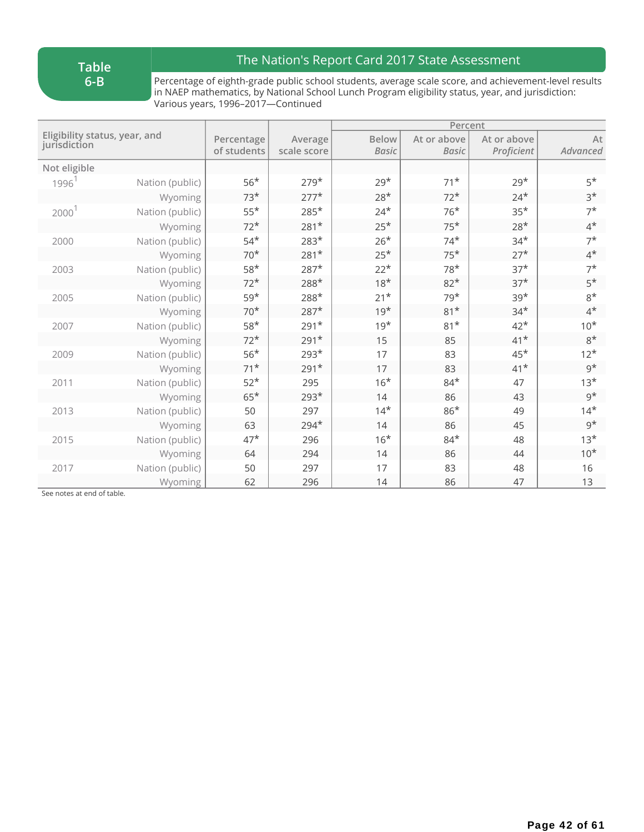**Table 6-B**

## The Nation's Report Card 2017 State Assessment

Percentage of eighth-grade public school students, average scale score, and achievement-level results in NAEP mathematics, by National School Lunch Program eligibility status, year, and jurisdiction: Various years, 1996–2017—Continued

|                                               |                 |             |             |              | Percent      |             |             |  |
|-----------------------------------------------|-----------------|-------------|-------------|--------------|--------------|-------------|-------------|--|
| Eligibility status, year, and<br>jurisdiction |                 | Percentage  | Average     | <b>Below</b> | At or above  | At or above | At          |  |
|                                               |                 | of students | scale score | <b>Basic</b> | <b>Basic</b> | Proficient  | Advanced    |  |
| Not eligible                                  |                 |             |             |              |              |             |             |  |
| 1996 <sup>1</sup>                             | Nation (public) | $56*$       | $279*$      | $29*$        | $71*$        | $29*$       | $5*$        |  |
|                                               | Wyoming         | $73*$       | $277*$      | $28*$        | $72*$        | $24*$       | $3*$        |  |
| $2000$ <sup>1</sup>                           | Nation (public) | $55*$       | $285*$      | $24*$        | $76*$        | $35*$       | $7^*$       |  |
|                                               | Wyoming         | $72*$       | $281*$      | $25*$        | $75*$        | $28*$       | $4^{\star}$ |  |
| 2000                                          | Nation (public) | $54*$       | $283*$      | $26*$        | $74*$        | $34*$       | $7^{\star}$ |  |
|                                               | Wyoming         | $70*$       | $281*$      | $25*$        | $75*$        | $27*$       | $4^*$       |  |
| 2003                                          | Nation (public) | $58*$       | $287*$      | $22*$        | $78*$        | $37*$       | $7^*$       |  |
|                                               | Wyoming         | $72*$       | $288*$      | $18*$        | $82*$        | $37*$       | $5*$        |  |
| 2005                                          | Nation (public) | $59*$       | $288*$      | $21*$        | $79*$        | $39*$       | $8*$        |  |
|                                               | Wyoming         | $70*$       | $287*$      | $19*$        | $81*$        | $34*$       | $4^*$       |  |
| 2007                                          | Nation (public) | $58*$       | $291*$      | $19*$        | $81*$        | $42*$       | $10*$       |  |
|                                               | Wyoming         | $72*$       | $291*$      | 15           | 85           | $41*$       | $8*$        |  |
| 2009                                          | Nation (public) | $56*$       | $293*$      | 17           | 83           | $45*$       | $12*$       |  |
|                                               | Wyoming         | $71*$       | $291*$      | 17           | 83           | $41*$       | $9^{\star}$ |  |
| 2011                                          | Nation (public) | $52*$       | 295         | $16*$        | $84*$        | 47          | $13*$       |  |
|                                               | Wyoming         | $65*$       | $293*$      | 14           | 86           | 43          | $9^{\star}$ |  |
| 2013                                          | Nation (public) | 50          | 297         | $14*$        | $86*$        | 49          | $14*$       |  |
|                                               | Wyoming         | 63          | $294*$      | 14           | 86           | 45          | $9^{\star}$ |  |
| 2015                                          | Nation (public) | $47*$       | 296         | $16*$        | $84*$        | 48          | $13*$       |  |
|                                               | Wyoming         | 64          | 294         | 14           | 86           | 44          | $10*$       |  |
| 2017                                          | Nation (public) | 50          | 297         | 17           | 83           | 48          | 16          |  |
|                                               | Wyoming         | 62          | 296         | 14           | 86           | 47          | 13          |  |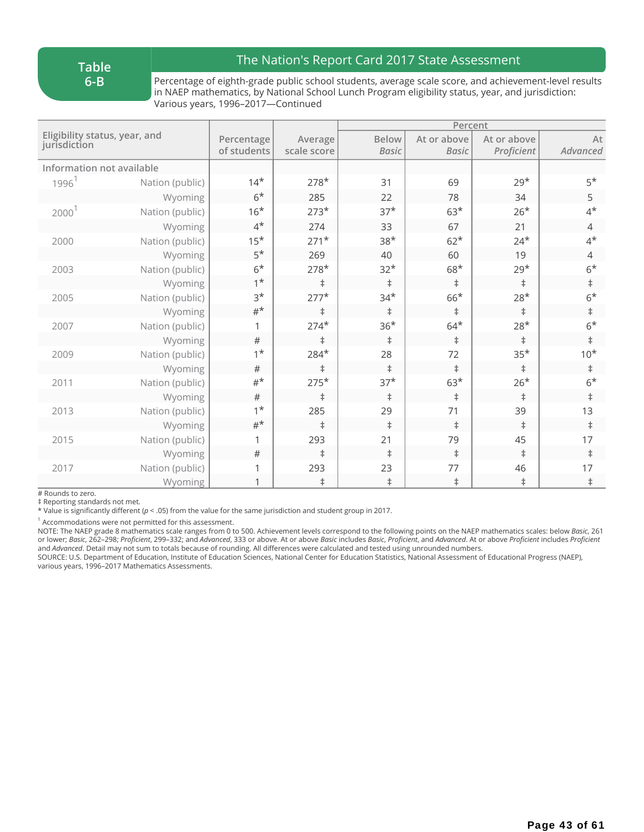**Table 6-B**

### The Nation's Report Card 2017 State Assessment

Percentage of eighth-grade public school students, average scale score, and achievement-level results in NAEP mathematics, by National School Lunch Program eligibility status, year, and jurisdiction: Various years, 1996–2017—Continued

|                                               |                 |             |             |              | Percent      |             |                |
|-----------------------------------------------|-----------------|-------------|-------------|--------------|--------------|-------------|----------------|
| Eligibility status, year, and<br>jurisdiction |                 | Percentage  | Average     | <b>Below</b> | At or above  | At or above | At             |
|                                               |                 | of students | scale score | <b>Basic</b> | <b>Basic</b> | Proficient  | Advanced       |
| Information not available                     |                 |             |             |              |              |             |                |
| 1996 <sup>1</sup>                             | Nation (public) | $14*$       | $278*$      | 31           | 69           | $29*$       | $5*$           |
|                                               | Wyoming         | $6*$        | 285         | 22           | 78           | 34          | 5              |
| 2000 <sup>1</sup>                             | Nation (public) | $16*$       | $273*$      | $37*$        | $63*$        | $26*$       | $4^{\star}$    |
|                                               | Wyoming         | $4^*$       | 274         | 33           | 67           | 21          | $\overline{4}$ |
| 2000                                          | Nation (public) | $15*$       | $271*$      | $38*$        | $62*$        | $24*$       | $4^{\star}$    |
|                                               | Wyoming         | $5*$        | 269         | 40           | 60           | 19          | $\overline{4}$ |
| 2003                                          | Nation (public) | $6*$        | $278*$      | $32*$        | $68*$        | $29*$       | $6*$           |
|                                               | Wyoming         | $1^*$       | $\ddagger$  | $\ddagger$   | $\ddagger$   | $\ddagger$  | $\ddagger$     |
| 2005                                          | Nation (public) | $3*$        | $277*$      | $34*$        | $66*$        | $28*$       | $6*$           |
|                                               | Wyoming         | $#^{\star}$ | $\ddagger$  | $\ddagger$   | $\ddagger$   | $\ddagger$  | $\ddagger$     |
| 2007                                          | Nation (public) |             | $274*$      | $36*$        | $64*$        | $28*$       | $6*$           |
|                                               | Wyoming         | #           | $\ddagger$  | $\ddagger$   | $\ddagger$   | $\ddagger$  | $\ddagger$     |
| 2009                                          | Nation (public) | $1^*$       | $284*$      | 28           | 72           | $35*$       | $10*$          |
|                                               | Wyoming         | $\#$        | $\ddagger$  | $\ddagger$   | $\ddagger$   | $\ddagger$  | $\ddagger$     |
| 2011                                          | Nation (public) | $#^{\star}$ | $275*$      | $37*$        | $63*$        | $26*$       | $6*$           |
|                                               | Wyoming         | $\#$        | $\ddagger$  | $\ddagger$   | $\ddagger$   | $\ddagger$  | $\ddagger$     |
| 2013                                          | Nation (public) | $1^*$       | 285         | 29           | 71           | 39          | 13             |
|                                               | Wyoming         | $#^{\star}$ | $\ddagger$  | $\ddagger$   | $\ddagger$   | $\ddagger$  | $\ddagger$     |
| 2015                                          | Nation (public) |             | 293         | 21           | 79           | 45          | 17             |
|                                               | Wyoming         | $\#$        | $\ddagger$  | $\ddagger$   | $\ddagger$   | $\ddagger$  | $\ddagger$     |
| 2017                                          | Nation (public) |             | 293         | 23           | 77           | 46          | 17             |
|                                               | Wyoming         |             | $\ddagger$  | $\ddagger$   | $\ddagger$   | $\ddagger$  | $\ddagger$     |

# Rounds to zero.

‡ Reporting standards not met.

\* Value is significantly different (*p* < .05) from the value for the same jurisdiction and student group in 2017.

 $1$  Accommodations were not permitted for this assessment.

NOTE: The NAEP grade 8 mathematics scale ranges from 0 to 500. Achievement levels correspond to the following points on the NAEP mathematics scales: below *Basic*, 261 or lower; Basic, 262-298; Proficient, 299-332; and Advanced, 333 or above. At or above Basic includes Basic, Proficient, and Advanced. At or above Proficient includes Proficient and *Advanced*. Detail may not sum to totals because of rounding. All differences were calculated and tested using unrounded numbers.

SOURCE: U.S. Department of Education, Institute of Education Sciences, National Center for Education Statistics, National Assessment of Educational Progress (NAEP), various years, 1996–2017 Mathematics Assessments.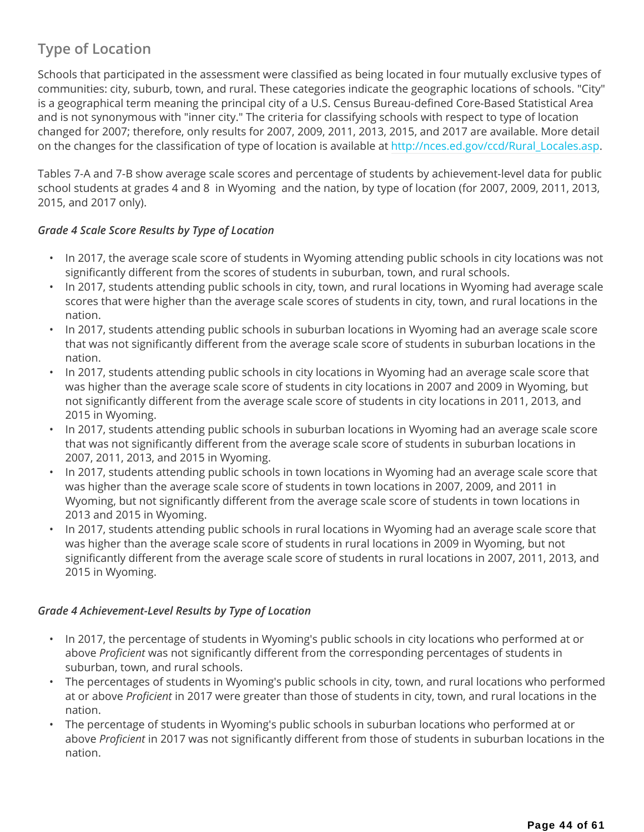## **Type of Location**

Schools that participated in the assessment were classified as being located in four mutually exclusive types of communities: city, suburb, town, and rural. These categories indicate the geographic locations of schools. "City" is a geographical term meaning the principal city of a U.S. Census Bureau-defined Core-Based Statistical Area and is not synonymous with "inner city." The criteria for classifying schools with respect to type of location changed for 2007; therefore, only results for 2007, 2009, 2011, 2013, 2015, and 2017 are available. More detail on the changes for the classification of type of location is available at http://nces.ed.gov/ccd/Rural\_Locales.asp.

Tables 7-A and 7-B show average scale scores and percentage of students by achievement-level data for public school students at grades 4 and 8 in Wyoming and the nation, by type of location (for 2007, 2009, 2011, 2013, 2015, and 2017 only).

### *Grade 4 Scale Score Results by Type of Location*

- In 2017, the average scale score of students in Wyoming attending public schools in city locations was not significantly different from the scores of students in suburban, town, and rural schools.
- In 2017, students attending public schools in city, town, and rural locations in Wyoming had average scale scores that were higher than the average scale scores of students in city, town, and rural locations in the nation.
- In 2017, students attending public schools in suburban locations in Wyoming had an average scale score that was not significantly different from the average scale score of students in suburban locations in the nation.
- In 2017, students attending public schools in city locations in Wyoming had an average scale score that was higher than the average scale score of students in city locations in 2007 and 2009 in Wyoming, but not significantly different from the average scale score of students in city locations in 2011, 2013, and 2015 in Wyoming.
- In 2017, students attending public schools in suburban locations in Wyoming had an average scale score that was not significantly different from the average scale score of students in suburban locations in 2007, 2011, 2013, and 2015 in Wyoming.
- In 2017, students attending public schools in town locations in Wyoming had an average scale score that was higher than the average scale score of students in town locations in 2007, 2009, and 2011 in Wyoming, but not significantly different from the average scale score of students in town locations in 2013 and 2015 in Wyoming.
- In 2017, students attending public schools in rural locations in Wyoming had an average scale score that was higher than the average scale score of students in rural locations in 2009 in Wyoming, but not significantly different from the average scale score of students in rural locations in 2007, 2011, 2013, and 2015 in Wyoming.

### *Grade 4 Achievement-Level Results by Type of Location*

- In 2017, the percentage of students in Wyoming's public schools in city locations who performed at or above *Proficient* was not significantly different from the corresponding percentages of students in suburban, town, and rural schools.
- The percentages of students in Wyoming's public schools in city, town, and rural locations who performed at or above *Proficient* in 2017 were greater than those of students in city, town, and rural locations in the nation.
- The percentage of students in Wyoming's public schools in suburban locations who performed at or above *Proficient* in 2017 was not significantly different from those of students in suburban locations in the nation.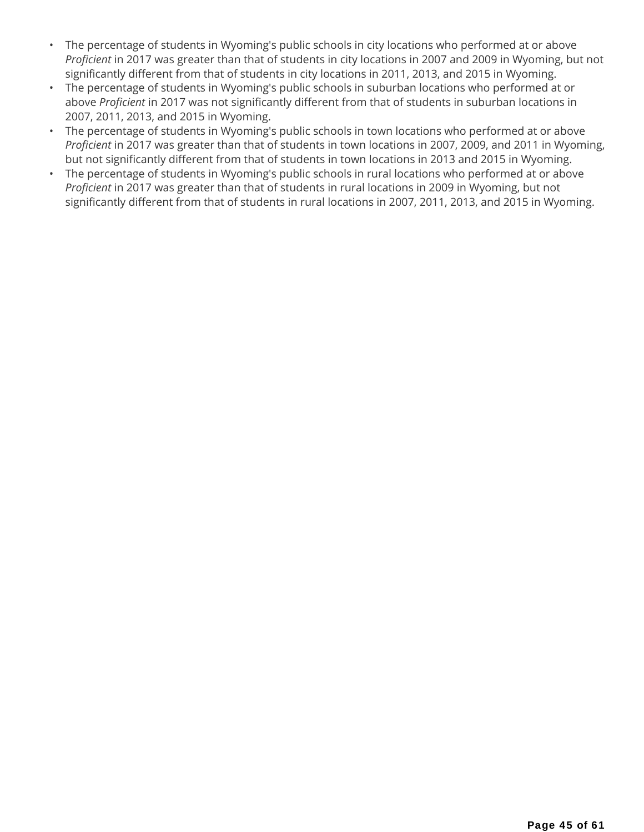- The percentage of students in Wyoming's public schools in city locations who performed at or above *Proficient* in 2017 was greater than that of students in city locations in 2007 and 2009 in Wyoming, but not significantly different from that of students in city locations in 2011, 2013, and 2015 in Wyoming.
- The percentage of students in Wyoming's public schools in suburban locations who performed at or above *Proficient* in 2017 was not significantly different from that of students in suburban locations in 2007, 2011, 2013, and 2015 in Wyoming.
- The percentage of students in Wyoming's public schools in town locations who performed at or above *Proficient* in 2017 was greater than that of students in town locations in 2007, 2009, and 2011 in Wyoming, but not significantly different from that of students in town locations in 2013 and 2015 in Wyoming.
- The percentage of students in Wyoming's public schools in rural locations who performed at or above *Proficient* in 2017 was greater than that of students in rural locations in 2009 in Wyoming, but not significantly different from that of students in rural locations in 2007, 2011, 2013, and 2015 in Wyoming.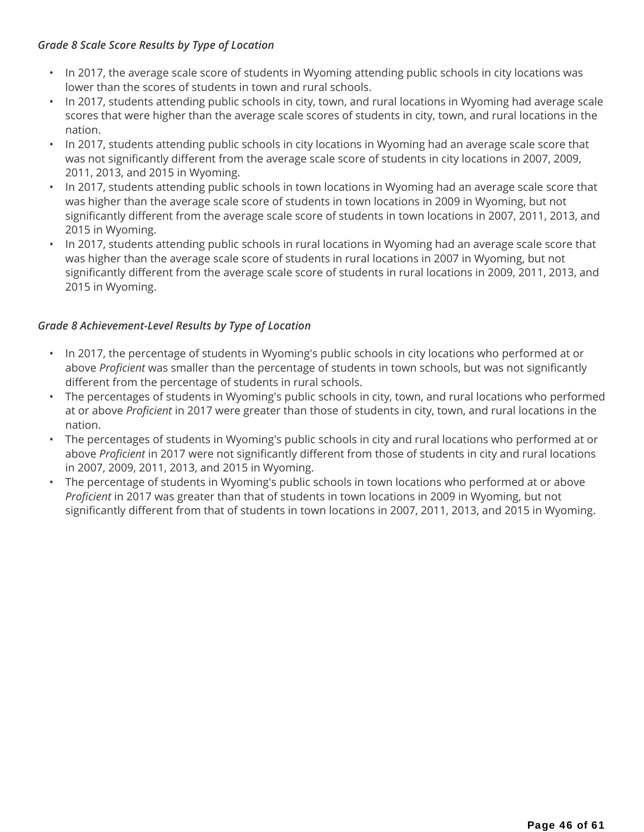### *Grade 8 Scale Score Results by Type of Location*

- In 2017, the average scale score of students in Wyoming attending public schools in city locations was lower than the scores of students in town and rural schools.
- In 2017, students attending public schools in city, town, and rural locations in Wyoming had average scale scores that were higher than the average scale scores of students in city, town, and rural locations in the nation.
- In 2017, students attending public schools in city locations in Wyoming had an average scale score that was not significantly different from the average scale score of students in city locations in 2007, 2009, 2011, 2013, and 2015 in Wyoming.
- In 2017, students attending public schools in town locations in Wyoming had an average scale score that was higher than the average scale score of students in town locations in 2009 in Wyoming, but not significantly different from the average scale score of students in town locations in 2007, 2011, 2013, and 2015 in Wyoming.
- In 2017, students attending public schools in rural locations in Wyoming had an average scale score that was higher than the average scale score of students in rural locations in 2007 in Wyoming, but not significantly different from the average scale score of students in rural locations in 2009, 2011, 2013, and 2015 in Wyoming.

### *Grade 8 Achievement-Level Results by Type of Location*

- In 2017, the percentage of students in Wyoming's public schools in city locations who performed at or above *Proficient* was smaller than the percentage of students in town schools, but was not significantly different from the percentage of students in rural schools.
- The percentages of students in Wyoming's public schools in city, town, and rural locations who performed at or above *Proficient* in 2017 were greater than those of students in city, town, and rural locations in the nation.
- The percentages of students in Wyoming's public schools in city and rural locations who performed at or above *Proficient* in 2017 were not significantly different from those of students in city and rural locations in 2007, 2009, 2011, 2013, and 2015 in Wyoming.
- The percentage of students in Wyoming's public schools in town locations who performed at or above *Proficient* in 2017 was greater than that of students in town locations in 2009 in Wyoming, but not significantly different from that of students in town locations in 2007, 2011, 2013, and 2015 in Wyoming.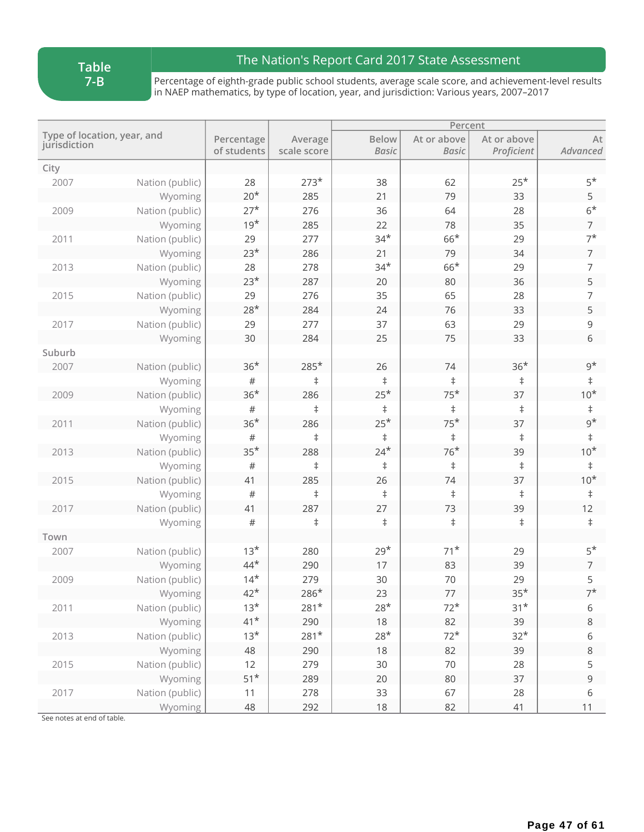**Table 7-B**

## The Nation's Report Card 2017 State Assessment

Percentage of eighth-grade public school students, average scale score, and achievement-level results in NAEP mathematics, by type of location, year, and jurisdiction: Various years, 2007–2017

|              |                             |                           |                        |                              | Percent                     |                           |                |
|--------------|-----------------------------|---------------------------|------------------------|------------------------------|-----------------------------|---------------------------|----------------|
| jurisdiction | Type of location, year, and | Percentage<br>of students | Average<br>scale score | <b>Below</b><br><b>Basic</b> | At or above<br><b>Basic</b> | At or above<br>Proficient | At<br>Advanced |
| City         |                             |                           |                        |                              |                             |                           |                |
| 2007         | Nation (public)             | 28                        | $273*$                 | 38                           | 62                          | $25*$                     | $5*$           |
|              | Wyoming                     | $20*$                     | 285                    | 21                           | 79                          | 33                        | 5              |
| 2009         | Nation (public)             | $27*$                     | 276                    | 36                           | 64                          | 28                        | $6*$           |
|              | Wyoming                     | $19*$                     | 285                    | 22                           | 78                          | 35                        | $\overline{7}$ |
| 2011         | Nation (public)             | 29                        | 277                    | $34*$                        | $66*$                       | 29                        | $7^*$          |
|              | Wyoming                     | $23*$                     | 286                    | 21                           | 79                          | 34                        | 7              |
| 2013         | Nation (public)             | 28                        | 278                    | $34*$                        | $66*$                       | 29                        | 7              |
|              | Wyoming                     | $23*$                     | 287                    | 20                           | 80                          | 36                        | 5              |
| 2015         | Nation (public)             | 29                        | 276                    | 35                           | 65                          | 28                        | 7              |
|              | Wyoming                     | $28*$                     | 284                    | 24                           | 76                          | 33                        | 5              |
| 2017         | Nation (public)             | 29                        | 277                    | 37                           | 63                          | 29                        | 9              |
|              | Wyoming                     | 30                        | 284                    | 25                           | 75                          | 33                        | 6              |
| Suburb       |                             |                           |                        |                              |                             |                           |                |
| 2007         | Nation (public)             | $36*$                     | $285*$                 | 26                           | 74                          | $36*$                     | $9^{\star}$    |
|              | Wyoming                     | $\#$                      | $\ddagger$             | $\ddagger$                   | $\ddagger$                  | $\ddagger$                | $\ddagger$     |
| 2009         | Nation (public)             | $36*$                     | 286                    | $25*$                        | $75*$                       | 37                        | $10*$          |
|              | Wyoming                     | #                         | $\ddagger$             | $\ddagger$                   | $\ddagger$                  | $\ddagger$                | $\ddagger$     |
| 2011         | Nation (public)             | $36*$                     | 286                    | $25*$                        | $75*$                       | 37                        | $9^{\star}$    |
|              | Wyoming                     | $\#$                      | $\ddagger$             | $\ddagger$                   | $\ddagger$                  | $\ddagger$                | $\ddagger$     |
| 2013         | Nation (public)             | $35*$                     | 288                    | $24*$                        | $76*$                       | 39                        | $10*$          |
|              | Wyoming                     | $\#$                      | $\ddagger$             | $\ddagger$                   | $\ddagger$                  | $\ddagger$                | $\ddagger$     |
| 2015         | Nation (public)             | 41                        | 285                    | 26                           | 74                          | 37                        | $10*$          |
|              | Wyoming                     | $\#$                      | $\ddagger$             | $\ddagger$                   | $\ddagger$                  | $\ddagger$                | $\ddagger$     |
| 2017         | Nation (public)             | 41                        | 287                    | 27                           | 73                          | 39                        | 12             |
|              | Wyoming                     | $\#$                      | ŧ                      | $\ddagger$                   | $\ddagger$                  | $\ddagger$                | $\ddagger$     |
| Town         |                             |                           |                        |                              |                             |                           |                |
| 2007         | Nation (public)             | $13*$                     | 280                    | $29*$                        | $71*$                       | 29                        | $5*$           |
|              | Wyoming                     | $44*$                     | 290                    | 17                           | 83                          | 39                        | 7              |
| 2009         | Nation (public)             | $14*$                     | 279                    | 30                           | 70                          | 29                        | 5              |
|              | Wyoming                     | $42*$                     | $286*$                 | 23                           | 77                          | $35*$                     | $7^*$          |
| 2011         | Nation (public)             | $13*$                     | $281*$                 | $28*$                        | $72*$                       | $31*$                     | 6              |
|              | Wyoming                     | $41*$                     | 290                    | $18$                         | 82                          | 39                        | $\,8\,$        |
| 2013         | Nation (public)             | $13*$                     | $281*$                 | $28*$                        | $72*$                       | $32*$                     | 6              |
|              | Wyoming                     | 48                        | 290                    | $18$                         | 82                          | 39                        | 8              |
| 2015         | Nation (public)             | 12                        | 279                    | 30                           | 70                          | 28                        | 5              |
|              | Wyoming                     | $51*$                     | 289                    | 20                           | 80                          | 37                        | $\mathsf 9$    |
| 2017         | Nation (public)             | 11                        | 278                    | 33                           | 67                          | 28                        | $\,$ 6 $\,$    |
|              | Wyoming                     | 48                        | 292                    | $18$                         | 82                          | 41                        | 11             |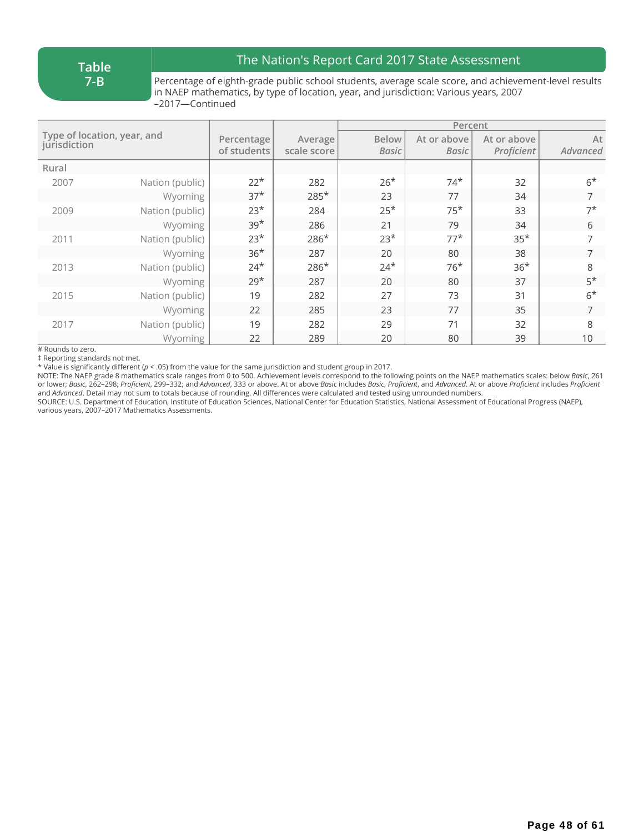### The Nation's Report Card 2017 State Assessment

Percentage of eighth-grade public school students, average scale score, and achievement-level results in NAEP mathematics, by type of location, year, and jurisdiction: Various years, 2007 –2017—Continued

|                                             |                 |                           |                        | Percent               |                      |                           |                |
|---------------------------------------------|-----------------|---------------------------|------------------------|-----------------------|----------------------|---------------------------|----------------|
| Type of location, year, and<br>jurisdiction |                 | Percentage<br>of students | Average<br>scale score | <b>Below</b><br>Basic | At or above<br>Basic | At or above<br>Proficient | At<br>Advanced |
| Rural                                       |                 |                           |                        |                       |                      |                           |                |
| 2007                                        | Nation (public) | $22*$                     | 282                    | $26*$                 | $74*$                | 32                        | $6*$           |
|                                             | Wyoming         | $37*$                     | $285*$                 | 23                    | 77                   | 34                        | 7              |
| 2009                                        | Nation (public) | $23*$                     | 284                    | $25*$                 | $75*$                | 33                        | $7^{\star}$    |
|                                             | Wyoming         | $39*$                     | 286                    | 21                    | 79                   | 34                        | 6              |
| 2011                                        | Nation (public) | $23*$                     | $286*$                 | $23*$                 | $77*$                | $35*$                     | $\overline{7}$ |
|                                             | Wyoming         | $36*$                     | 287                    | 20                    | 80                   | 38                        | 7              |
| 2013                                        | Nation (public) | $24*$                     | $286*$                 | $24*$                 | $76*$                | $36*$                     | 8              |
|                                             | Wyoming         | $29*$                     | 287                    | 20                    | 80                   | 37                        | $5*$           |
| 2015                                        | Nation (public) | 19                        | 282                    | 27                    | 73                   | 31                        | $6*$           |
|                                             | Wyoming         | 22                        | 285                    | 23                    | 77                   | 35                        | 7              |
| 2017                                        | Nation (public) | 19                        | 282                    | 29                    | 71                   | 32                        | 8              |
|                                             | Wyoming         | 22                        | 289                    | 20                    | 80                   | 39                        | 10             |

# Rounds to zero.

‡ Reporting standards not met.

\* Value is significantly different (*p* < .05) from the value for the same jurisdiction and student group in 2017.

NOTE: The NAEP grade 8 mathematics scale ranges from 0 to 500. Achievement levels correspond to the following points on the NAEP mathematics scales: below *Basic*, 261 or lower; Basic, 262-298; Proficient, 299-332; and Advanced, 333 or above. At or above Basic includes Basic, Proficient, and Advanced. At or above Proficient includes Proficient and *Advanced*. Detail may not sum to totals because of rounding. All differences were calculated and tested using unrounded numbers.

SOURCE: U.S. Department of Education, Institute of Education Sciences, National Center for Education Statistics, National Assessment of Educational Progress (NAEP), various years, 2007–2017 Mathematics Assessments.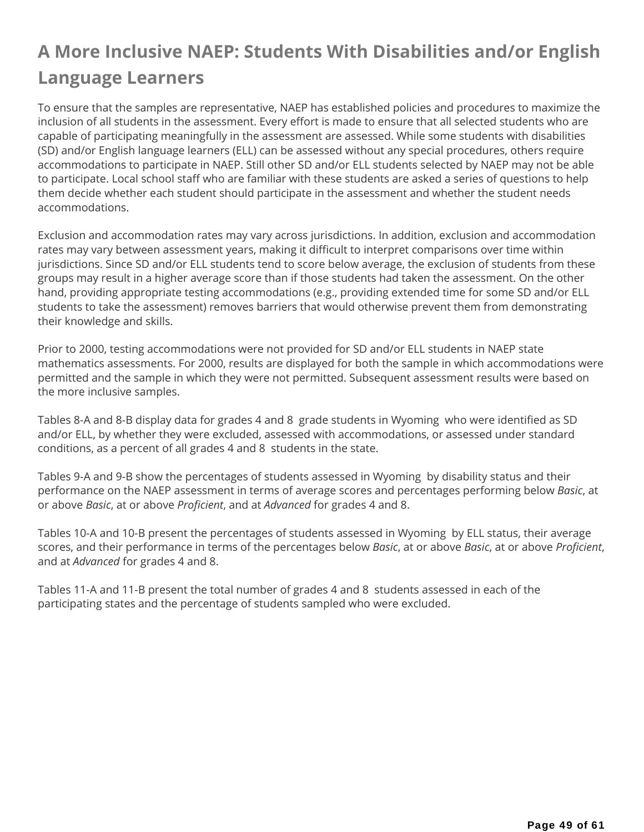## **A More Inclusive NAEP: Students With Disabilities and/or English Language Learners**

To ensure that the samples are representative, NAEP has established policies and procedures to maximize the inclusion of all students in the assessment. Every effort is made to ensure that all selected students who are capable of participating meaningfully in the assessment are assessed. While some students with disabilities (SD) and/or English language learners (ELL) can be assessed without any special procedures, others require accommodations to participate in NAEP. Still other SD and/or ELL students selected by NAEP may not be able to participate. Local school staff who are familiar with these students are asked a series of questions to help them decide whether each student should participate in the assessment and whether the student needs accommodations.

Exclusion and accommodation rates may vary across jurisdictions. In addition, exclusion and accommodation rates may vary between assessment years, making it difficult to interpret comparisons over time within jurisdictions. Since SD and/or ELL students tend to score below average, the exclusion of students from these groups may result in a higher average score than if those students had taken the assessment. On the other hand, providing appropriate testing accommodations (e.g., providing extended time for some SD and/or ELL students to take the assessment) removes barriers that would otherwise prevent them from demonstrating their knowledge and skills.

Prior to 2000, testing accommodations were not provided for SD and/or ELL students in NAEP state mathematics assessments. For 2000, results are displayed for both the sample in which accommodations were permitted and the sample in which they were not permitted. Subsequent assessment results were based on the more inclusive samples.

Tables 8-A and 8-B display data for grades 4 and 8 grade students in Wyoming who were identified as SD and/or ELL, by whether they were excluded, assessed with accommodations, or assessed under standard conditions, as a percent of all grades 4 and 8 students in the state.

Tables 9-A and 9-B show the percentages of students assessed in Wyoming by disability status and their performance on the NAEP assessment in terms of average scores and percentages performing below *Basic*, at or above *Basic*, at or above *Proficient*, and at *Advanced* for grades 4 and 8.

Tables 10-A and 10-B present the percentages of students assessed in Wyoming by ELL status, their average scores, and their performance in terms of the percentages below *Basic*, at or above *Basic*, at or above *Proficient*, and at *Advanced* for grades 4 and 8.

Tables 11-A and 11-B present the total number of grades 4 and 8 students assessed in each of the participating states and the percentage of students sampled who were excluded.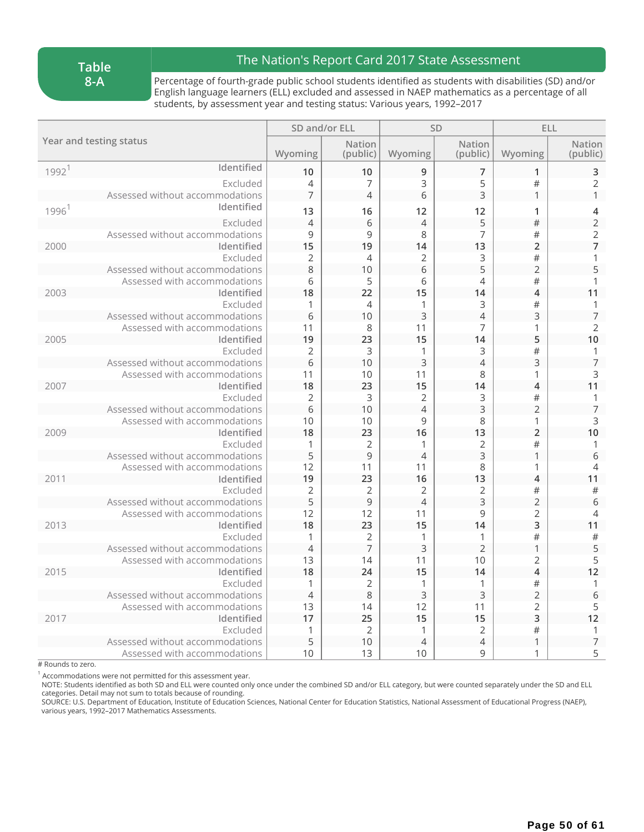#### **Table 8-A**

### The Nation's Report Card 2017 State Assessment

Percentage of fourth-grade public school students identified as students with disabilities (SD) and/or English language learners (ELL) excluded and assessed in NAEP mathematics as a percentage of all students, by assessment year and testing status: Various years, 1992–2017

| <b>Nation</b><br><b>Nation</b><br>Wyoming<br>Wyoming<br>Wyoming<br>(public)<br>(public)<br>Identified<br>1992 <sup>1</sup><br>10<br>10<br>9<br>7<br>1<br>3<br>#<br>Excluded<br>$\overline{7}$<br>5<br>$\overline{4}$<br>$\overline{7}$<br>3<br>$\overline{4}$<br>6<br>Assessed without accommodations<br>1<br>Identified<br>1996 <sup>1</sup><br>13<br>16<br>12<br>12<br>$\mathbf{1}$<br>5<br>#<br>Excluded<br>$\overline{4}$<br>6<br>$\overline{4}$<br>$\mathsf 9$<br>9<br>8<br>7<br>#<br>Assessed without accommodations<br>19<br>13<br>$\overline{2}$<br>Identified<br>15<br>14<br>2000<br>Excluded<br>$\overline{2}$<br>#<br>$\overline{4}$<br>2<br>3<br>5<br>$\overline{2}$<br>8<br>6<br>10<br>Assessed without accommodations<br>Assessed with accommodations<br>6<br>5<br>6<br>#<br>4<br>18<br>15<br>22<br>14<br>$\overline{\mathcal{A}}$<br>Identified<br>2003<br>Excluded<br>#<br>$\mathbf{1}$<br>$\overline{4}$<br>3<br>1<br>3<br>6<br>$\overline{4}$<br>3<br>Assessed without accommodations<br>10<br>7<br>Assessed with accommodations<br>11<br>8<br>11<br>1<br>5<br>2005<br>19<br>23<br>15<br>14<br>Identified<br>#<br>Excluded<br>$\overline{2}$<br>$\mathsf{3}$<br>1<br>3<br>3<br>3<br>6<br>10<br>$\overline{4}$<br>Assessed without accommodations<br>Assessed with accommodations<br>11<br>10<br>11<br>8<br>1<br>Identified<br>18<br>23<br>15<br>14<br>$\overline{4}$<br>2007<br>$\overline{2}$<br>3<br>$\overline{2}$<br>$\#$<br>Excluded<br>3<br>3<br>$\overline{2}$<br>$\overline{4}$<br>Assessed without accommodations<br>6<br>10<br>9<br>Assessed with accommodations<br>10<br>10<br>8<br>1<br>$\overline{2}$<br>18<br>16<br>13<br>Identified<br>23<br>2009<br>#<br>Excluded<br>$\overline{2}$<br>$\overline{2}$<br>1<br>1<br>5<br>9<br>3<br>$\overline{4}$<br>Assessed without accommodations<br>1<br>Assessed with accommodations<br>12<br>8<br>11<br>11<br>1<br>19<br>23<br>16<br>13<br>$\overline{4}$<br>2011<br>Identified<br>Excluded |                         |                | SD and/or ELL  |                | <b>SD</b> | <b>ELL</b> |                           |
|--------------------------------------------------------------------------------------------------------------------------------------------------------------------------------------------------------------------------------------------------------------------------------------------------------------------------------------------------------------------------------------------------------------------------------------------------------------------------------------------------------------------------------------------------------------------------------------------------------------------------------------------------------------------------------------------------------------------------------------------------------------------------------------------------------------------------------------------------------------------------------------------------------------------------------------------------------------------------------------------------------------------------------------------------------------------------------------------------------------------------------------------------------------------------------------------------------------------------------------------------------------------------------------------------------------------------------------------------------------------------------------------------------------------------------------------------------------------------------------------------------------------------------------------------------------------------------------------------------------------------------------------------------------------------------------------------------------------------------------------------------------------------------------------------------------------------------------------------------------------------------------------------------------------------------------------------------------------|-------------------------|----------------|----------------|----------------|-----------|------------|---------------------------|
|                                                                                                                                                                                                                                                                                                                                                                                                                                                                                                                                                                                                                                                                                                                                                                                                                                                                                                                                                                                                                                                                                                                                                                                                                                                                                                                                                                                                                                                                                                                                                                                                                                                                                                                                                                                                                                                                                                                                                                    | Year and testing status |                |                |                |           |            | <b>Nation</b><br>(public) |
|                                                                                                                                                                                                                                                                                                                                                                                                                                                                                                                                                                                                                                                                                                                                                                                                                                                                                                                                                                                                                                                                                                                                                                                                                                                                                                                                                                                                                                                                                                                                                                                                                                                                                                                                                                                                                                                                                                                                                                    |                         |                |                |                |           |            | 3                         |
|                                                                                                                                                                                                                                                                                                                                                                                                                                                                                                                                                                                                                                                                                                                                                                                                                                                                                                                                                                                                                                                                                                                                                                                                                                                                                                                                                                                                                                                                                                                                                                                                                                                                                                                                                                                                                                                                                                                                                                    |                         |                |                |                |           |            | $\overline{2}$            |
|                                                                                                                                                                                                                                                                                                                                                                                                                                                                                                                                                                                                                                                                                                                                                                                                                                                                                                                                                                                                                                                                                                                                                                                                                                                                                                                                                                                                                                                                                                                                                                                                                                                                                                                                                                                                                                                                                                                                                                    |                         |                |                |                |           |            | $\mathbf{1}$              |
|                                                                                                                                                                                                                                                                                                                                                                                                                                                                                                                                                                                                                                                                                                                                                                                                                                                                                                                                                                                                                                                                                                                                                                                                                                                                                                                                                                                                                                                                                                                                                                                                                                                                                                                                                                                                                                                                                                                                                                    |                         |                |                |                |           |            | 4                         |
|                                                                                                                                                                                                                                                                                                                                                                                                                                                                                                                                                                                                                                                                                                                                                                                                                                                                                                                                                                                                                                                                                                                                                                                                                                                                                                                                                                                                                                                                                                                                                                                                                                                                                                                                                                                                                                                                                                                                                                    |                         |                |                |                |           |            | $\overline{2}$            |
|                                                                                                                                                                                                                                                                                                                                                                                                                                                                                                                                                                                                                                                                                                                                                                                                                                                                                                                                                                                                                                                                                                                                                                                                                                                                                                                                                                                                                                                                                                                                                                                                                                                                                                                                                                                                                                                                                                                                                                    |                         |                |                |                |           |            | $\overline{2}$            |
|                                                                                                                                                                                                                                                                                                                                                                                                                                                                                                                                                                                                                                                                                                                                                                                                                                                                                                                                                                                                                                                                                                                                                                                                                                                                                                                                                                                                                                                                                                                                                                                                                                                                                                                                                                                                                                                                                                                                                                    |                         |                |                |                |           |            | $\overline{7}$            |
|                                                                                                                                                                                                                                                                                                                                                                                                                                                                                                                                                                                                                                                                                                                                                                                                                                                                                                                                                                                                                                                                                                                                                                                                                                                                                                                                                                                                                                                                                                                                                                                                                                                                                                                                                                                                                                                                                                                                                                    |                         |                |                |                |           |            | 1                         |
|                                                                                                                                                                                                                                                                                                                                                                                                                                                                                                                                                                                                                                                                                                                                                                                                                                                                                                                                                                                                                                                                                                                                                                                                                                                                                                                                                                                                                                                                                                                                                                                                                                                                                                                                                                                                                                                                                                                                                                    |                         |                |                |                |           |            | 5                         |
|                                                                                                                                                                                                                                                                                                                                                                                                                                                                                                                                                                                                                                                                                                                                                                                                                                                                                                                                                                                                                                                                                                                                                                                                                                                                                                                                                                                                                                                                                                                                                                                                                                                                                                                                                                                                                                                                                                                                                                    |                         |                |                |                |           |            | 1                         |
|                                                                                                                                                                                                                                                                                                                                                                                                                                                                                                                                                                                                                                                                                                                                                                                                                                                                                                                                                                                                                                                                                                                                                                                                                                                                                                                                                                                                                                                                                                                                                                                                                                                                                                                                                                                                                                                                                                                                                                    |                         |                |                |                |           |            | 11                        |
|                                                                                                                                                                                                                                                                                                                                                                                                                                                                                                                                                                                                                                                                                                                                                                                                                                                                                                                                                                                                                                                                                                                                                                                                                                                                                                                                                                                                                                                                                                                                                                                                                                                                                                                                                                                                                                                                                                                                                                    |                         |                |                |                |           |            | 1                         |
|                                                                                                                                                                                                                                                                                                                                                                                                                                                                                                                                                                                                                                                                                                                                                                                                                                                                                                                                                                                                                                                                                                                                                                                                                                                                                                                                                                                                                                                                                                                                                                                                                                                                                                                                                                                                                                                                                                                                                                    |                         |                |                |                |           |            | $\overline{7}$            |
|                                                                                                                                                                                                                                                                                                                                                                                                                                                                                                                                                                                                                                                                                                                                                                                                                                                                                                                                                                                                                                                                                                                                                                                                                                                                                                                                                                                                                                                                                                                                                                                                                                                                                                                                                                                                                                                                                                                                                                    |                         |                |                |                |           |            | $\overline{2}$            |
|                                                                                                                                                                                                                                                                                                                                                                                                                                                                                                                                                                                                                                                                                                                                                                                                                                                                                                                                                                                                                                                                                                                                                                                                                                                                                                                                                                                                                                                                                                                                                                                                                                                                                                                                                                                                                                                                                                                                                                    |                         |                |                |                |           |            | 10                        |
|                                                                                                                                                                                                                                                                                                                                                                                                                                                                                                                                                                                                                                                                                                                                                                                                                                                                                                                                                                                                                                                                                                                                                                                                                                                                                                                                                                                                                                                                                                                                                                                                                                                                                                                                                                                                                                                                                                                                                                    |                         |                |                |                |           |            | 1<br>$\overline{7}$       |
|                                                                                                                                                                                                                                                                                                                                                                                                                                                                                                                                                                                                                                                                                                                                                                                                                                                                                                                                                                                                                                                                                                                                                                                                                                                                                                                                                                                                                                                                                                                                                                                                                                                                                                                                                                                                                                                                                                                                                                    |                         |                |                |                |           |            | 3                         |
|                                                                                                                                                                                                                                                                                                                                                                                                                                                                                                                                                                                                                                                                                                                                                                                                                                                                                                                                                                                                                                                                                                                                                                                                                                                                                                                                                                                                                                                                                                                                                                                                                                                                                                                                                                                                                                                                                                                                                                    |                         |                |                |                |           |            | 11                        |
|                                                                                                                                                                                                                                                                                                                                                                                                                                                                                                                                                                                                                                                                                                                                                                                                                                                                                                                                                                                                                                                                                                                                                                                                                                                                                                                                                                                                                                                                                                                                                                                                                                                                                                                                                                                                                                                                                                                                                                    |                         |                |                |                |           |            | 1                         |
|                                                                                                                                                                                                                                                                                                                                                                                                                                                                                                                                                                                                                                                                                                                                                                                                                                                                                                                                                                                                                                                                                                                                                                                                                                                                                                                                                                                                                                                                                                                                                                                                                                                                                                                                                                                                                                                                                                                                                                    |                         |                |                |                |           |            | $\overline{7}$            |
|                                                                                                                                                                                                                                                                                                                                                                                                                                                                                                                                                                                                                                                                                                                                                                                                                                                                                                                                                                                                                                                                                                                                                                                                                                                                                                                                                                                                                                                                                                                                                                                                                                                                                                                                                                                                                                                                                                                                                                    |                         |                |                |                |           |            | 3                         |
|                                                                                                                                                                                                                                                                                                                                                                                                                                                                                                                                                                                                                                                                                                                                                                                                                                                                                                                                                                                                                                                                                                                                                                                                                                                                                                                                                                                                                                                                                                                                                                                                                                                                                                                                                                                                                                                                                                                                                                    |                         |                |                |                |           |            | 10                        |
|                                                                                                                                                                                                                                                                                                                                                                                                                                                                                                                                                                                                                                                                                                                                                                                                                                                                                                                                                                                                                                                                                                                                                                                                                                                                                                                                                                                                                                                                                                                                                                                                                                                                                                                                                                                                                                                                                                                                                                    |                         |                |                |                |           |            | 1                         |
|                                                                                                                                                                                                                                                                                                                                                                                                                                                                                                                                                                                                                                                                                                                                                                                                                                                                                                                                                                                                                                                                                                                                                                                                                                                                                                                                                                                                                                                                                                                                                                                                                                                                                                                                                                                                                                                                                                                                                                    |                         |                |                |                |           |            | 6                         |
|                                                                                                                                                                                                                                                                                                                                                                                                                                                                                                                                                                                                                                                                                                                                                                                                                                                                                                                                                                                                                                                                                                                                                                                                                                                                                                                                                                                                                                                                                                                                                                                                                                                                                                                                                                                                                                                                                                                                                                    |                         |                |                |                |           |            | $\overline{4}$            |
|                                                                                                                                                                                                                                                                                                                                                                                                                                                                                                                                                                                                                                                                                                                                                                                                                                                                                                                                                                                                                                                                                                                                                                                                                                                                                                                                                                                                                                                                                                                                                                                                                                                                                                                                                                                                                                                                                                                                                                    |                         |                |                |                |           |            | 11                        |
|                                                                                                                                                                                                                                                                                                                                                                                                                                                                                                                                                                                                                                                                                                                                                                                                                                                                                                                                                                                                                                                                                                                                                                                                                                                                                                                                                                                                                                                                                                                                                                                                                                                                                                                                                                                                                                                                                                                                                                    |                         | $\overline{2}$ | $\overline{2}$ | $\overline{2}$ | 2         | $\#$       | $\#$                      |
| 9<br>3<br>5<br>$\overline{4}$<br>$\overline{2}$<br>Assessed without accommodations                                                                                                                                                                                                                                                                                                                                                                                                                                                                                                                                                                                                                                                                                                                                                                                                                                                                                                                                                                                                                                                                                                                                                                                                                                                                                                                                                                                                                                                                                                                                                                                                                                                                                                                                                                                                                                                                                 |                         |                |                |                |           |            | 6                         |
| $\overline{2}$<br>Assessed with accommodations<br>12<br>12<br>11<br>9                                                                                                                                                                                                                                                                                                                                                                                                                                                                                                                                                                                                                                                                                                                                                                                                                                                                                                                                                                                                                                                                                                                                                                                                                                                                                                                                                                                                                                                                                                                                                                                                                                                                                                                                                                                                                                                                                              |                         |                |                |                |           |            | $\overline{4}$            |
| 15<br>3<br>18<br>23<br>14<br>2013<br>Identified                                                                                                                                                                                                                                                                                                                                                                                                                                                                                                                                                                                                                                                                                                                                                                                                                                                                                                                                                                                                                                                                                                                                                                                                                                                                                                                                                                                                                                                                                                                                                                                                                                                                                                                                                                                                                                                                                                                    |                         |                |                |                |           |            | 11                        |
| $\overline{2}$<br>#<br>Excluded<br>1<br>1<br>$\mathbf{1}$                                                                                                                                                                                                                                                                                                                                                                                                                                                                                                                                                                                                                                                                                                                                                                                                                                                                                                                                                                                                                                                                                                                                                                                                                                                                                                                                                                                                                                                                                                                                                                                                                                                                                                                                                                                                                                                                                                          |                         |                |                |                |           |            | $\#$                      |
| $\overline{7}$<br>3<br>$\overline{2}$<br>Assessed without accommodations<br>$\mathbf{1}$<br>$\overline{4}$                                                                                                                                                                                                                                                                                                                                                                                                                                                                                                                                                                                                                                                                                                                                                                                                                                                                                                                                                                                                                                                                                                                                                                                                                                                                                                                                                                                                                                                                                                                                                                                                                                                                                                                                                                                                                                                         |                         |                |                |                |           |            | 5                         |
| Assessed with accommodations<br>13<br>14<br>11<br>10<br>$\overline{2}$                                                                                                                                                                                                                                                                                                                                                                                                                                                                                                                                                                                                                                                                                                                                                                                                                                                                                                                                                                                                                                                                                                                                                                                                                                                                                                                                                                                                                                                                                                                                                                                                                                                                                                                                                                                                                                                                                             |                         |                |                |                |           |            | 5                         |
| 15<br>$\overline{4}$<br>2015<br>18<br>24<br>Identified<br>14                                                                                                                                                                                                                                                                                                                                                                                                                                                                                                                                                                                                                                                                                                                                                                                                                                                                                                                                                                                                                                                                                                                                                                                                                                                                                                                                                                                                                                                                                                                                                                                                                                                                                                                                                                                                                                                                                                       |                         |                |                |                |           |            | 12                        |
| #<br>Excluded<br>1<br>$\overline{2}$<br>$\mathbf{1}$<br>1<br>8<br>3<br>$\overline{2}$<br>$\overline{4}$                                                                                                                                                                                                                                                                                                                                                                                                                                                                                                                                                                                                                                                                                                                                                                                                                                                                                                                                                                                                                                                                                                                                                                                                                                                                                                                                                                                                                                                                                                                                                                                                                                                                                                                                                                                                                                                            |                         |                |                |                |           |            | 1                         |
| 3<br>Assessed without accommodations<br>Assessed with accommodations<br>13<br>12<br>14<br>11                                                                                                                                                                                                                                                                                                                                                                                                                                                                                                                                                                                                                                                                                                                                                                                                                                                                                                                                                                                                                                                                                                                                                                                                                                                                                                                                                                                                                                                                                                                                                                                                                                                                                                                                                                                                                                                                       |                         |                |                |                |           |            | 6<br>5                    |
| $\overline{2}$<br>$\overline{3}$<br>17<br>25<br>15<br>15<br>Identified<br>2017                                                                                                                                                                                                                                                                                                                                                                                                                                                                                                                                                                                                                                                                                                                                                                                                                                                                                                                                                                                                                                                                                                                                                                                                                                                                                                                                                                                                                                                                                                                                                                                                                                                                                                                                                                                                                                                                                     |                         |                |                |                |           |            | 12                        |
| 2<br>$\mathbf{1}$<br>$\overline{2}$<br>#<br>Excluded<br>1                                                                                                                                                                                                                                                                                                                                                                                                                                                                                                                                                                                                                                                                                                                                                                                                                                                                                                                                                                                                                                                                                                                                                                                                                                                                                                                                                                                                                                                                                                                                                                                                                                                                                                                                                                                                                                                                                                          |                         |                |                |                |           |            | 1                         |
| 5<br>Assessed without accommodations<br>10<br>$\overline{4}$<br>4<br>1                                                                                                                                                                                                                                                                                                                                                                                                                                                                                                                                                                                                                                                                                                                                                                                                                                                                                                                                                                                                                                                                                                                                                                                                                                                                                                                                                                                                                                                                                                                                                                                                                                                                                                                                                                                                                                                                                             |                         |                |                |                |           |            | $\overline{7}$            |
| 10<br>13<br>10<br>9<br>1<br>Assessed with accommodations                                                                                                                                                                                                                                                                                                                                                                                                                                                                                                                                                                                                                                                                                                                                                                                                                                                                                                                                                                                                                                                                                                                                                                                                                                                                                                                                                                                                                                                                                                                                                                                                                                                                                                                                                                                                                                                                                                           |                         |                |                |                |           |            | 5                         |

# Rounds to zero.

 $^{\text{1}}$  Accommodations were not permitted for this assessment year.

NOTE: Students identified as both SD and ELL were counted only once under the combined SD and/or ELL category, but were counted separately under the SD and ELL categories. Detail may not sum to totals because of rounding.

SOURCE: U.S. Department of Education, Institute of Education Sciences, National Center for Education Statistics, National Assessment of Educational Progress (NAEP), various years, 1992–2017 Mathematics Assessments.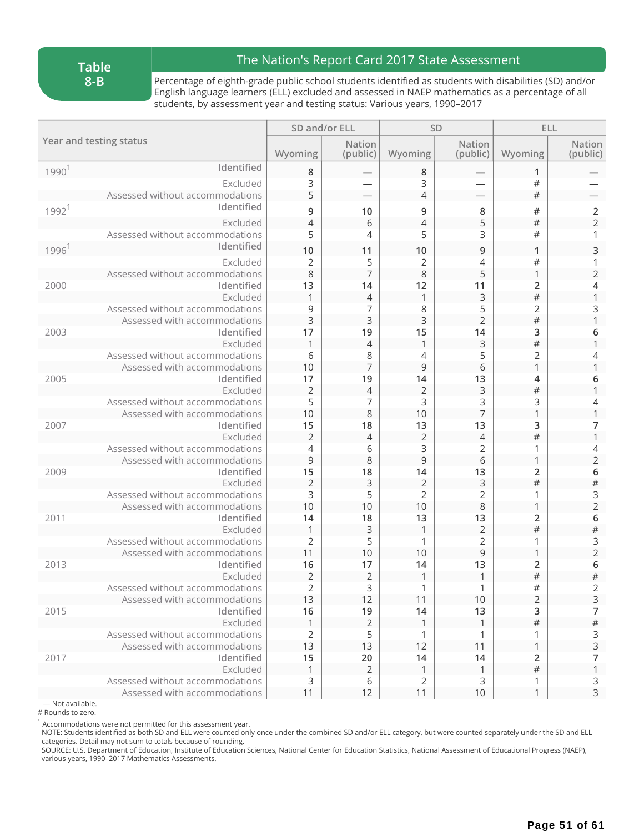#### **Table 8-B**

### The Nation's Report Card 2017 State Assessment

Percentage of eighth-grade public school students identified as students with disabilities (SD) and/or English language learners (ELL) excluded and assessed in NAEP mathematics as a percentage of all students, by assessment year and testing status: Various years, 1990–2017

|                         |                                                                 | SD and/or ELL  |                           |                | SD                        | ELL                 |                               |
|-------------------------|-----------------------------------------------------------------|----------------|---------------------------|----------------|---------------------------|---------------------|-------------------------------|
| Year and testing status |                                                                 | Wyoming        | <b>Nation</b><br>(public) | Wyoming        | <b>Nation</b><br>(public) | Wyoming             | <b>Nation</b><br>(public)     |
| 1990 <sup>1</sup>       | Identified                                                      | 8              |                           | 8              | -                         | 1                   |                               |
|                         | Excluded                                                        | 3              |                           | 3              |                           | #                   |                               |
|                         | Assessed without accommodations                                 | 5              |                           | $\overline{4}$ |                           | $\#$                |                               |
| 1992 <sup>1</sup>       | Identified                                                      | 9              | 10                        | 9              | 8                         | #                   | $\mathbf 2$                   |
|                         | Excluded                                                        | $\overline{4}$ | 6                         | $\overline{4}$ | 5                         | $\#$                | $\overline{2}$                |
|                         | Assessed without accommodations                                 | 5              | 4                         | 5              | 3                         | #                   | 1                             |
| 1996 <sup>1</sup>       | Identified                                                      | 10             | 11                        | 10             | 9                         | $\mathbf{1}$        | 3                             |
|                         | Excluded                                                        | 2              | 5                         | $\overline{2}$ | 4                         | #                   |                               |
|                         | Assessed without accommodations                                 | 8              | $\overline{7}$            | 8              | 5                         | 1                   | $\overline{2}$                |
| 2000                    | Identified                                                      | 13             | 14                        | 12             | 11                        | 2                   | 4                             |
|                         | Excluded                                                        |                | $\overline{4}$            | $\mathbf{1}$   | 3                         | $\#$                | 1                             |
|                         | Assessed without accommodations                                 | 9              | 7                         | 8              | 5                         | $\overline{2}$      | 3                             |
|                         | Assessed with accommodations                                    | 3              | 3                         | 3              | $\overline{2}$            | $\#$                |                               |
| 2003                    | Identified                                                      | 17             | 19                        | 15             | 14                        | 3                   | 6                             |
|                         | Excluded                                                        | $\mathbf{1}$   | $\overline{4}$            | $\mathbf{1}$   | 3                         | $\#$                | 1                             |
|                         | Assessed without accommodations                                 | 6              | 8                         | 4              | 5                         | 2                   | 4                             |
|                         | Assessed with accommodations                                    | 10             | $\overline{7}$            | 9              | 6                         | 1                   | 1                             |
| 2005                    | Identified                                                      | 17             | 19                        | 14             | 13                        | 4                   | 6                             |
|                         | Excluded                                                        | $\overline{2}$ | $\overline{4}$            | $\overline{2}$ | 3                         | $\#$                | 1                             |
|                         | Assessed without accommodations<br>Assessed with accommodations | 5<br>10        | 7<br>8                    | 3<br>10        | 3<br>$\overline{7}$       | 3<br>1              | 4<br>1                        |
| 2007                    | Identified                                                      | 15             | 18                        | 13             | 13                        | 3                   | 7                             |
|                         | Excluded                                                        | $\overline{2}$ | $\overline{4}$            | $\overline{2}$ | 4                         | $\#$                | 1                             |
|                         | Assessed without accommodations                                 | $\overline{4}$ | 6                         | 3              | 2                         | 1                   | 4                             |
|                         | Assessed with accommodations                                    | 9              | 8                         | 9              | 6                         | 1                   | $\mathbf 2$                   |
| 2009                    | Identified                                                      | 15             | 18                        | 14             | 13                        | $\overline{2}$      | 6                             |
|                         | Excluded                                                        | $\overline{2}$ | $\mathsf{3}$              | $\sqrt{2}$     | 3                         | $\#$                | $\#$                          |
|                         | Assessed without accommodations                                 | 3              | 5                         | $\overline{2}$ | 2                         | 1                   | 3                             |
|                         | Assessed with accommodations                                    | 10             | 10                        | 10             | 8                         | 1                   | $\overline{2}$                |
| 2011                    | Identified                                                      | 14             | 18                        | 13             | 13                        | 2                   | 6                             |
|                         | Excluded                                                        | 1              | $\overline{3}$            | $\mathbf{1}$   | $\overline{2}$            | $\#$                | $\#$                          |
|                         | Assessed without accommodations                                 | 2              | 5                         | 1              | $\overline{2}$            | 1                   | 3                             |
|                         | Assessed with accommodations                                    | 11             | 10                        | 10             | $\mathsf 9$               | 1                   | $\overline{2}$                |
| 2013                    | Identified                                                      | 16             | 17                        | 14             | 13                        | $\overline{2}$      | 6                             |
|                         | Excluded                                                        | $\overline{2}$ | $\overline{2}$            | $\mathbf{1}$   | 1                         | $\#$                | $\#$                          |
|                         | Assessed without accommodations<br>Assessed with accommodations | 2<br>13        | 3<br>12                   | 1<br>11        | 1<br>10                   | #<br>$\overline{2}$ | $\overline{2}$<br>$\mathsf 3$ |
| 2015                    | Identified                                                      | 16             | 19                        | 14             | 13                        | 3                   | 7                             |
|                         | Excluded                                                        |                | $\overline{2}$            |                | $\mathbf{1}$              | $\#$                | $\#$                          |
|                         | Assessed without accommodations                                 | 2              | 5                         | 1              | 1                         | 1                   |                               |
|                         | Assessed with accommodations                                    | 13             | 13                        | 12             | 11                        | 1                   | $\frac{3}{3}$                 |
| 2017                    | Identified                                                      | 15             | 20                        | 14             | 14                        | 2                   | 7                             |
|                         | Excluded                                                        |                | 2                         | 1              | 1                         | $\#$                | $\mathbf{1}$                  |
|                         | Assessed without accommodations                                 | 3              | 6                         | 2              | 3                         | 1                   | 3                             |
|                         | Assessed with accommodations                                    | 11             | 12                        | 11             | 10                        | 1                   | $\mathsf{3}$                  |

— Not available. # Rounds to zero.

 $^{\text{1}}$  Accommodations were not permitted for this assessment year.

NOTE: Students identified as both SD and ELL were counted only once under the combined SD and/or ELL category, but were counted separately under the SD and ELL categories. Detail may not sum to totals because of rounding.

SOURCE: U.S. Department of Education, Institute of Education Sciences, National Center for Education Statistics, National Assessment of Educational Progress (NAEP), various years, 1990–2017 Mathematics Assessments.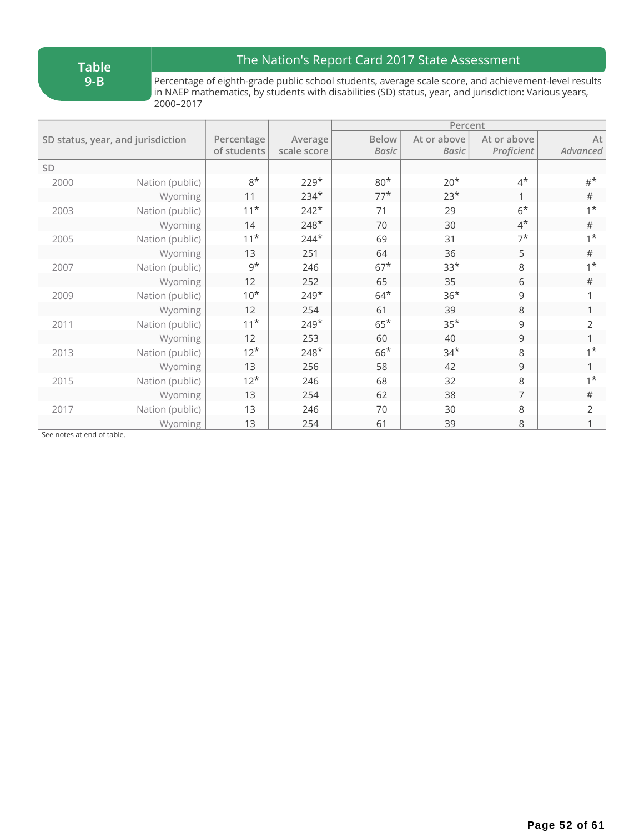**Table 9-B**

## The Nation's Report Card 2017 State Assessment

Percentage of eighth-grade public school students, average scale score, and achievement-level results in NAEP mathematics, by students with disabilities (SD) status, year, and jurisdiction: Various years, 2000–2017

|           |                                   |             |             | Percent      |              |                   |                |  |
|-----------|-----------------------------------|-------------|-------------|--------------|--------------|-------------------|----------------|--|
|           | SD status, year, and jurisdiction | Percentage  | Average     | <b>Below</b> | At or above  | At or above       | At             |  |
|           |                                   | of students | scale score | <b>Basic</b> | <b>Basic</b> | <b>Proficient</b> | Advanced       |  |
| <b>SD</b> |                                   |             |             |              |              |                   |                |  |
| 2000      | Nation (public)                   | $8*$        | $229*$      | $80*$        | $20*$        | $4^*$             | $#^{\star}$    |  |
|           | Wyoming                           | 11          | $234*$      | $77*$        | $23*$        | 1                 | $\#$           |  |
| 2003      | Nation (public)                   | $11*$       | $242*$      | 71           | 29           | $6*$              | $1^*$          |  |
|           | Wyoming                           | 14          | $248*$      | 70           | 30           | $4^{\star}$       | #              |  |
| 2005      | Nation (public)                   | $11*$       | $244*$      | 69           | 31           | $7^{\star}$       | $1^*$          |  |
|           | Wyoming                           | 13          | 251         | 64           | 36           | 5                 | $\#$           |  |
| 2007      | Nation (public)                   | $9^{\star}$ | 246         | $67*$        | $33*$        | 8                 | $1^*$          |  |
|           | Wyoming                           | 12          | 252         | 65           | 35           | 6                 | $\#$           |  |
| 2009      | Nation (public)                   | $10*$       | $249*$      | $64*$        | $36*$        | 9                 |                |  |
|           | Wyoming                           | 12          | 254         | 61           | 39           | 8                 |                |  |
| 2011      | Nation (public)                   | $11*$       | $249*$      | $65*$        | $35*$        | 9                 | $\overline{2}$ |  |
|           | Wyoming                           | 12          | 253         | 60           | 40           | 9                 |                |  |
| 2013      | Nation (public)                   | $12*$       | $248*$      | $66*$        | $34*$        | 8                 | $1^*$          |  |
|           | Wyoming                           | 13          | 256         | 58           | 42           | 9                 |                |  |
| 2015      | Nation (public)                   | $12*$       | 246         | 68           | 32           | 8                 | $1^{\star}$    |  |
|           | Wyoming                           | 13          | 254         | 62           | 38           | 7                 | #              |  |
| 2017      | Nation (public)                   | 13          | 246         | 70           | 30           | 8                 | $\overline{2}$ |  |
|           | Wyoming                           | 13          | 254         | 61           | 39           | 8                 |                |  |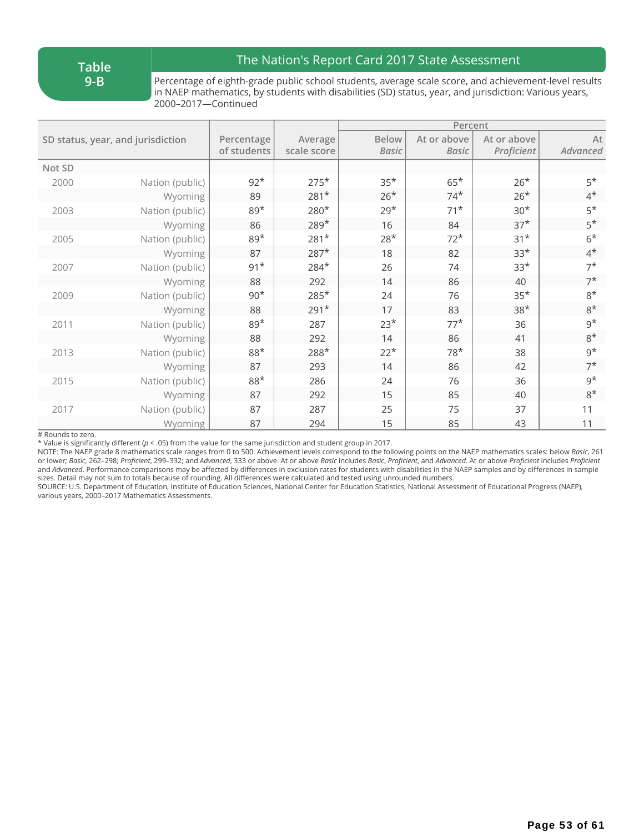**Table 9-B**

## The Nation's Report Card 2017 State Assessment

Percentage of eighth-grade public school students, average scale score, and achievement-level results in NAEP mathematics, by students with disabilities (SD) status, year, and jurisdiction: Various years, 2000–2017—Continued

|        |                                   |             |             |              | Percent     |             |             |
|--------|-----------------------------------|-------------|-------------|--------------|-------------|-------------|-------------|
|        | SD status, year, and jurisdiction | Percentage  | Average     | <b>Below</b> | At or above | At or above | At          |
|        |                                   | of students | scale score | <b>Basic</b> | Basic       | Proficient  | Advanced    |
| Not SD |                                   |             |             |              |             |             |             |
| 2000   | Nation (public)                   | $92*$       | $275*$      | $35*$        | $65*$       | $26*$       | $5*$        |
|        | Wyoming                           | 89          | $281*$      | $26*$        | $74*$       | $26*$       | $4^*$       |
| 2003   | Nation (public)                   | $89*$       | $280*$      | $29*$        | $71*$       | $30*$       | $5*$        |
|        | Wyoming                           | 86          | $289*$      | 16           | 84          | $37*$       | $5*$        |
| 2005   | Nation (public)                   | $89*$       | $281*$      | $28*$        | $72*$       | $31*$       | $6*$        |
|        | Wyoming                           | 87          | $287*$      | 18           | 82          | $33*$       | $4^*$       |
| 2007   | Nation (public)                   | $91*$       | $284*$      | 26           | 74          | $33*$       | $7^{\star}$ |
|        | Wyoming                           | 88          | 292         | 14           | 86          | 40          | $7^{\star}$ |
| 2009   | Nation (public)                   | $90*$       | $285*$      | 24           | 76          | $35*$       | $8*$        |
|        | Wyoming                           | 88          | $291*$      | 17           | 83          | $38*$       | $8*$        |
| 2011   | Nation (public)                   | $89*$       | 287         | $23*$        | $77*$       | 36          | $9^{\star}$ |
|        | Wyoming                           | 88          | 292         | 14           | 86          | 41          | $8*$        |
| 2013   | Nation (public)                   | $88*$       | 288*        | $22*$        | $78*$       | 38          | $9^{\star}$ |
|        | Wyoming                           | 87          | 293         | 14           | 86          | 42          | $7^*$       |
| 2015   | Nation (public)                   | $88*$       | 286         | 24           | 76          | 36          | $9^*$       |
|        | Wyoming                           | 87          | 292         | 15           | 85          | 40          | $8*$        |
| 2017   | Nation (public)                   | 87          | 287         | 25           | 75          | 37          | 11          |
|        | Wyoming                           | 87          | 294         | 15           | 85          | 43          | 11          |

# Rounds to zero.

\* Value is significantly different (*p* < .05) from the value for the same jurisdiction and student group in 2017.

NOTE: The NAEP grade 8 mathematics scale ranges from 0 to 500. Achievement levels correspond to the following points on the NAEP mathematics scales: below *Basic*, 261 or lower; Basic, 262-298; Proficient, 299-332; and Advanced, 333 or above. At or above Basic includes Basic, Proficient, and Advanced. At or above Proficient includes Proficient and *Advanced*. Performance comparisons may be affected by differences in exclusion rates for students with disabilities in the NAEP samples and by differences in sample sizes. Detail may not sum to totals because of rounding. All differences were calculated and tested using unrounded numbers.

SOURCE: U.S. Department of Education, Institute of Education Sciences, National Center for Education Statistics, National Assessment of Educational Progress (NAEP), various years, 2000–2017 Mathematics Assessments.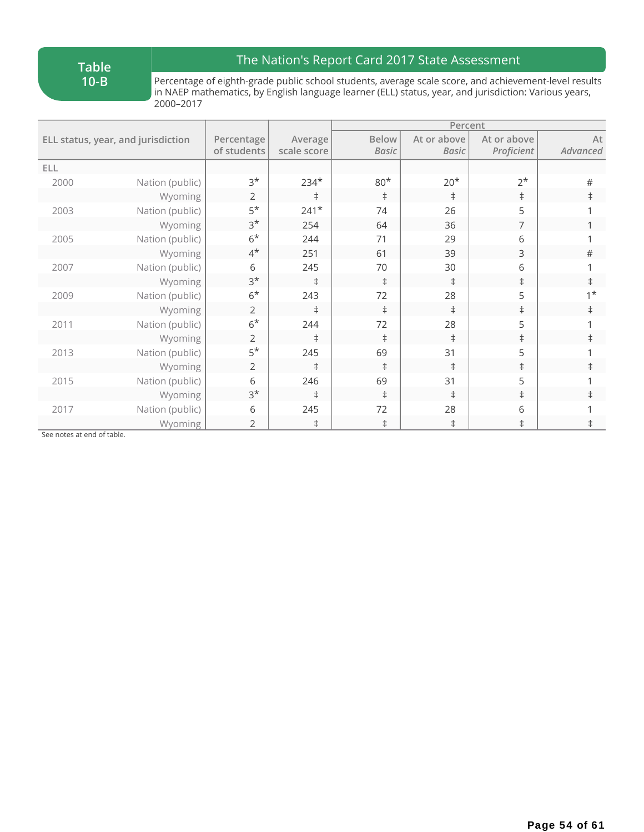**Table 10-B**

## The Nation's Report Card 2017 State Assessment

Percentage of eighth-grade public school students, average scale score, and achievement-level results in NAEP mathematics, by English language learner (ELL) status, year, and jurisdiction: Various years, 2000–2017

|      |                                    |                |             |              | Percent     |             |             |
|------|------------------------------------|----------------|-------------|--------------|-------------|-------------|-------------|
|      | ELL status, year, and jurisdiction | Percentage     | Average     | Below        | At or above | At or above | At          |
|      |                                    | of students    | scale score | <b>Basic</b> | Basic       | Proficient  | Advanced    |
| ELL  |                                    |                |             |              |             |             |             |
| 2000 | Nation (public)                    | $3*$           | $234*$      | $80*$        | $20*$       | $2^*$       | $\#$        |
|      | Wyoming                            | 2              | $\ddagger$  | $\ddagger$   | $\ddagger$  | $\ddagger$  | $\ddagger$  |
| 2003 | Nation (public)                    | $5*$           | $241*$      | 74           | 26          | 5           |             |
|      | Wyoming                            | $3^{\star}$    | 254         | 64           | 36          | 7           |             |
| 2005 | Nation (public)                    | $6*$           | 244         | 71           | 29          | 6           |             |
|      | Wyoming                            | $4^*$          | 251         | 61           | 39          | 3           | $\#$        |
| 2007 | Nation (public)                    | 6              | 245         | 70           | 30          | 6           |             |
|      | Wyoming                            | $3^{\star}$    | $\pm$       | $\ddagger$   | $\ddagger$  | $\ddagger$  | $\ddagger$  |
| 2009 | Nation (public)                    | $6*$           | 243         | 72           | 28          | 5           | $1^{\star}$ |
|      | Wyoming                            | 2              | $\ddagger$  | $\ddagger$   | $\ddagger$  | $\ddagger$  | $\ddagger$  |
| 2011 | Nation (public)                    | $6*$           | 244         | 72           | 28          | 5           |             |
|      | Wyoming                            | 2              | $\ddagger$  | $\ddagger$   | $\ddagger$  | $\ddagger$  | $\ddagger$  |
| 2013 | Nation (public)                    | $5*$           | 245         | 69           | 31          | 5           |             |
|      | Wyoming                            | 2              | $\ddagger$  | $\ddagger$   | $\ddagger$  | $\ddagger$  | $\ddagger$  |
| 2015 | Nation (public)                    | 6              | 246         | 69           | 31          | 5           |             |
|      | Wyoming                            | $3*$           | $\ddagger$  | $\ddagger$   | $\ddagger$  | $\ddagger$  | $\ddagger$  |
| 2017 | Nation (public)                    | 6              | 245         | 72           | 28          | 6           |             |
|      | Wyoming                            | $\overline{2}$ | $\ddagger$  | $\ddagger$   | $\ddagger$  | $\ddagger$  | $\ddagger$  |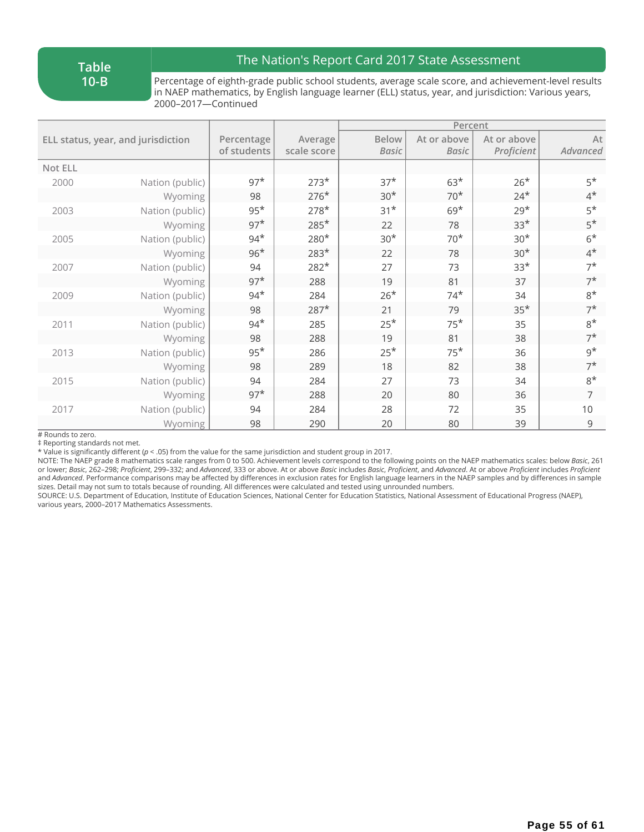**Table 10-B**

## The Nation's Report Card 2017 State Assessment

Percentage of eighth-grade public school students, average scale score, and achievement-level results in NAEP mathematics, by English language learner (ELL) status, year, and jurisdiction: Various years, 2000–2017—Continued

|         | ELL status, year, and jurisdiction | Percentage  | Average     | <b>Below</b> | At or above  | At or above | At          |
|---------|------------------------------------|-------------|-------------|--------------|--------------|-------------|-------------|
|         |                                    | of students | scale score | <b>Basic</b> | <b>Basic</b> | Proficient  | Advanced    |
| Not ELL |                                    |             |             |              |              |             |             |
| 2000    | Nation (public)                    | $97*$       | $273*$      | $37*$        | $63*$        | $26*$       | $5*$        |
|         | Wyoming                            | 98          | $276*$      | $30*$        | $70*$        | $24*$       | $4^*$       |
| 2003    | Nation (public)                    | $95*$       | $278*$      | $31*$        | $69*$        | $29*$       | $5*$        |
|         | Wyoming                            | $97*$       | $285*$      | 22           | 78           | $33*$       | $5*$        |
| 2005    | Nation (public)                    | $94*$       | $280*$      | $30*$        | $70*$        | $30*$       | $6*$        |
|         | Wyoming                            | $96*$       | $283*$      | 22           | 78           | $30*$       | $4^*$       |
| 2007    | Nation (public)                    | 94          | $282*$      | 27           | 73           | $33*$       | $7^{\star}$ |
|         | Wyoming                            | $97*$       | 288         | 19           | 81           | 37          | $7^*$       |
| 2009    | Nation (public)                    | $94*$       | 284         | $26*$        | $74*$        | 34          | $8*$        |
|         | Wyoming                            | 98          | $287*$      | 21           | 79           | $35*$       | $7^*$       |
| 2011    | Nation (public)                    | $94*$       | 285         | $25*$        | $75*$        | 35          | $8*$        |
|         | Wyoming                            | 98          | 288         | 19           | 81           | 38          | $7^*$       |
| 2013    | Nation (public)                    | $95*$       | 286         | $25*$        | $75*$        | 36          | $9^{\star}$ |
|         | Wyoming                            | 98          | 289         | 18           | 82           | 38          | $7^{\star}$ |
| 2015    | Nation (public)                    | 94          | 284         | 27           | 73           | 34          | $8*$        |
|         | Wyoming                            | $97*$       | 288         | 20           | 80           | 36          | 7           |
| 2017    | Nation (public)                    | 94          | 284         | 28           | 72           | 35          | 10          |
|         | Wyoming                            | 98          | 290         | 20           | 80           | 39          | 9           |

# Rounds to zero.

‡ Reporting standards not met.

\* Value is significantly different (*p* < .05) from the value for the same jurisdiction and student group in 2017.

NOTE: The NAEP grade 8 mathematics scale ranges from 0 to 500. Achievement levels correspond to the following points on the NAEP mathematics scales: below *Basic*, 261 or lower; Basic, 262-298; Proficient, 299-332; and Advanced, 333 or above. At or above Basic includes Basic, Proficient, and Advanced. At or above Proficient includes Proficient and *Advanced*. Performance comparisons may be affected by differences in exclusion rates for English language learners in the NAEP samples and by differences in sample sizes. Detail may not sum to totals because of rounding. All differences were calculated and tested using unrounded numbers.

SOURCE: U.S. Department of Education, Institute of Education Sciences, National Center for Education Statistics, National Assessment of Educational Progress (NAEP), various years, 2000–2017 Mathematics Assessments.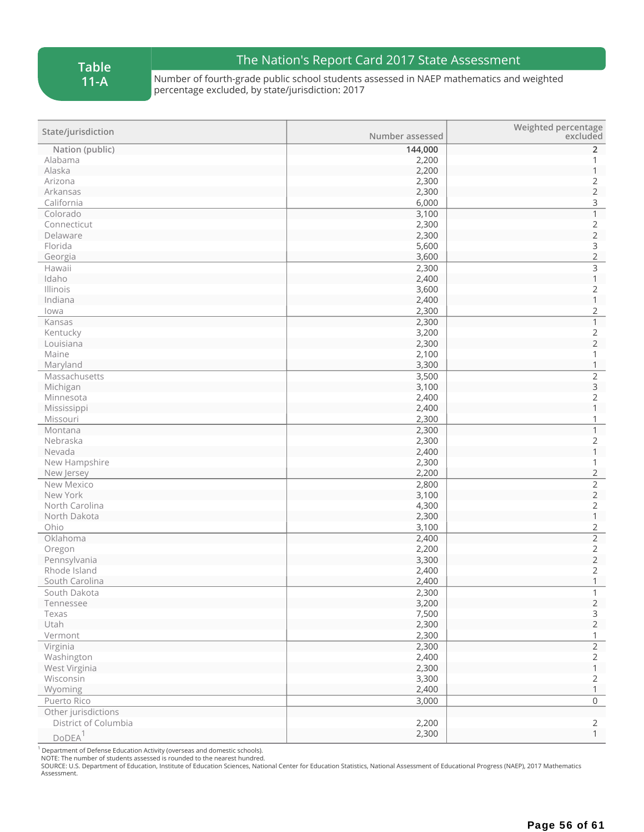## The Nation's Report Card 2017 State Assessment

Number of fourth-grade public school students assessed in NAEP mathematics and weighted percentage excluded, by state/jurisdiction: 2017

| State/jurisdiction   | Number assessed | Weighted percentage<br>excluded       |
|----------------------|-----------------|---------------------------------------|
| Nation (public)      | 144,000         | $\overline{2}$                        |
| Alabama              | 2,200           |                                       |
| Alaska               | 2,200           | $\mathbf{1}$                          |
| Arizona              | 2,300           | $\overline{c}$                        |
| Arkansas             | 2,300           | $\overline{2}$                        |
| California           | 6,000           | 3                                     |
| Colorado             | 3,100           | $\overline{1}$                        |
| Connecticut          | 2,300           | $\begin{array}{c} 2 \\ 2 \end{array}$ |
| Delaware             | 2,300           |                                       |
| Florida              | 5,600           |                                       |
| Georgia              | 3,600           | $\frac{3}{2}$                         |
| Hawaii               | 2,300           | $\overline{\mathbf{3}}$               |
| Idaho                | 2,400           | $\mathbbm{1}$                         |
| Illinois             | 3,600           | $\overline{2}$                        |
| Indiana              | 2,400           | $\mathbf{1}$                          |
| lowa                 | 2,300           | $\sqrt{2}$                            |
| Kansas               | 2,300           | $\overline{1}$                        |
| Kentucky             | 3,200           | $\overline{c}$                        |
| Louisiana            | 2,300           | $\overline{2}$                        |
| Maine                | 2,100           | 1                                     |
| Maryland             | 3,300           | $\mathbf{1}$                          |
| Massachusetts        | 3,500           | $\overline{2}$                        |
| Michigan             | 3,100           | 3                                     |
| Minnesota            | 2,400           | $\overline{2}$                        |
| Mississippi          | 2,400           | $\mathbf 1$                           |
| Missouri             | 2,300           | $\mathbf{1}$                          |
| Montana              | 2,300           | $\mathbf{1}$                          |
| Nebraska             | 2,300           | $\overline{2}$                        |
| Nevada               | 2,400           | $\mathbf{1}$                          |
| New Hampshire        | 2,300           | 1                                     |
| New Jersey           | 2,200           | $\overline{2}$                        |
| New Mexico           | 2,800           | $\overline{2}$                        |
| New York             | 3,100           | $\overline{2}$                        |
| North Carolina       | 4,300           | $\overline{2}$                        |
| North Dakota         | 2,300           | $\mathbbm{1}$                         |
| Ohio                 | 3,100           |                                       |
| Oklahoma             | 2,400           | $\frac{2}{2}$                         |
| Oregon               | 2,200           | $\overline{c}$                        |
| Pennsylvania         | 3,300           | $\overline{2}$                        |
| Rhode Island         | 2,400           | $\overline{2}$                        |
| South Carolina       | 2,400           | $\mathbf{1}$                          |
| South Dakota         | 2,300           | $\mathbf{1}$                          |
| Tennessee            | 3,200           | $\overline{2}$                        |
| Texas                | 7,500           | $\mathsf{3}$                          |
| Utah                 | 2,300           | $\overline{2}$                        |
| Vermont              | 2,300           | $\mathbf{1}$                          |
| Virginia             | 2,300           | $\overline{2}$                        |
| Washington           | 2,400           | $\overline{2}$                        |
| West Virginia        | 2,300           | $\mathbf{1}$                          |
| Wisconsin            | 3,300           | $\overline{2}$                        |
| Wyoming              | 2,400           | $\mathbf{1}$                          |
| Puerto Rico          | 3,000           | $\overline{0}$                        |
| Other jurisdictions  |                 |                                       |
| District of Columbia | 2,200           | $\overline{2}$                        |
| DODEA <sup>1</sup>   | 2,300           | $\mathbf{1}$                          |
|                      |                 |                                       |

1 Department of Defense Education Activity (overseas and domestic schools). NOTE: The number of students assessed is rounded to the nearest hundred.

SOURCE: U.S. Department of Education, Institute of Education Sciences, National Center for Education Statistics, National Assessment of Educational Progress (NAEP), 2017 Mathematics Assessment.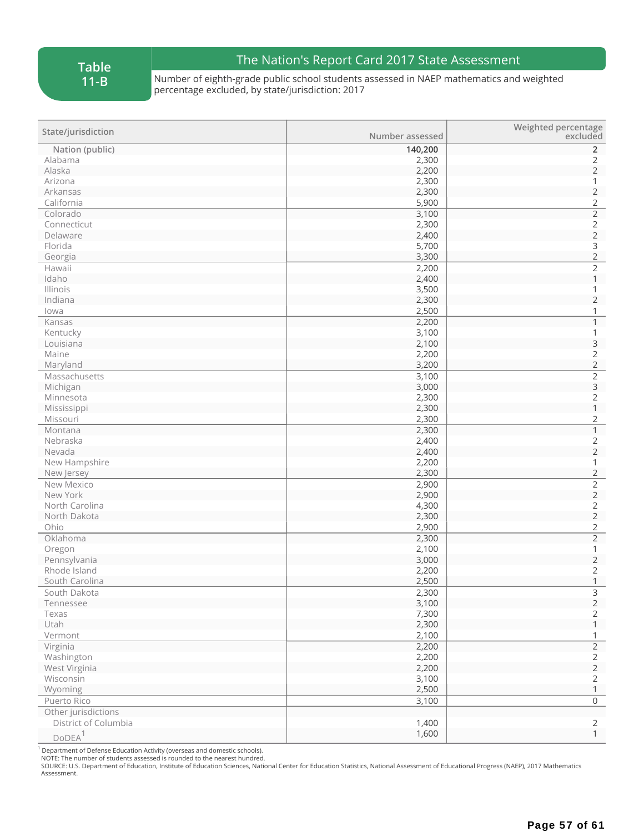**Table 11-B**

## The Nation's Report Card 2017 State Assessment

Number of eighth-grade public school students assessed in NAEP mathematics and weighted percentage excluded, by state/jurisdiction: 2017

| State/jurisdiction   | Number assessed | Weighted percentage<br>excluded       |
|----------------------|-----------------|---------------------------------------|
| Nation (public)      | 140,200         | $\overline{2}$                        |
| Alabama              | 2,300           | 2                                     |
| Alaska               | 2,200           | $\overline{2}$                        |
| Arizona              | 2,300           | 1                                     |
| Arkansas             | 2,300           | $\overline{2}$                        |
| California           | 5,900           | $\overline{c}$                        |
| Colorado             | 3,100           | $\overline{2}$                        |
| Connecticut          | 2,300           | $\begin{array}{c} 2 \\ 2 \end{array}$ |
| Delaware             | 2,400           |                                       |
| Florida              | 5,700           | $\frac{3}{2}$                         |
| Georgia              | 3,300           |                                       |
| Hawaii               | 2,200           | $\overline{c}$                        |
| Idaho                | 2,400           | $\mathbf{1}$                          |
| Illinois             | 3,500           | 1                                     |
| Indiana              | 2,300           | $\sqrt{2}$                            |
| lowa                 | 2,500           | 1                                     |
| Kansas               | 2,200           | $\mathbf{1}$                          |
| Kentucky             | 3,100           | 1                                     |
| Louisiana            | 2,100           | 3                                     |
| Maine                | 2,200           | $\overline{c}$                        |
| Maryland             | 3,200           | $\overline{2}$                        |
| Massachusetts        | 3,100           | $\overline{2}$                        |
| Michigan             | 3,000           | $\mathsf 3$                           |
| Minnesota            | 2,300           | $\overline{2}$                        |
| Mississippi          | 2,300           | $\mathbf{1}$                          |
| Missouri             | 2,300           | $\overline{2}$                        |
| Montana              | 2,300           | $\mathbf{1}$                          |
| Nebraska             | 2,400           | $\overline{c}$                        |
| Nevada               | 2,400           | $\overline{2}$                        |
| New Hampshire        | 2,200           | 1                                     |
| New Jersey           | 2,300           | $\overline{2}$                        |
| New Mexico           | 2,900           | $\overline{2}$                        |
| New York             | 2,900           | $\overline{2}$                        |
| North Carolina       | 4,300           | $\overline{c}$                        |
| North Dakota         | 2,300           | $\overline{2}$                        |
| Ohio                 | 2,900           | $\overline{c}$                        |
| Oklahoma             | 2,300           | $\overline{2}$                        |
| Oregon               | 2,100           | 1                                     |
| Pennsylvania         | 3,000           | $\overline{2}$                        |
| Rhode Island         | 2,200           | $\overline{2}$                        |
| South Carolina       | 2,500           | 1                                     |
|                      |                 |                                       |
| South Dakota         | 2,300           | 3<br>$\overline{2}$                   |
| Tennessee<br>Texas   | 3,100<br>7,300  |                                       |
| Utah                 |                 | $\overline{2}$<br>1                   |
| Vermont              | 2,300           |                                       |
|                      | 2,100           | 1                                     |
| Virginia             | 2,200           | $\overline{2}$                        |
| Washington           | 2,200           | $\overline{2}$<br>$\overline{2}$      |
| West Virginia        | 2,200           |                                       |
| Wisconsin            | 3,100           | $\overline{2}$                        |
| Wyoming              | 2,500           | $\mathbf{1}$                          |
| Puerto Rico          | 3,100           | $\mathsf{O}$                          |
| Other jurisdictions  |                 |                                       |
| District of Columbia | 1,400           | $\overline{2}$                        |
| DODEA <sup>1</sup>   | 1,600           | $\mathbf{1}$                          |

1 Department of Defense Education Activity (overseas and domestic schools). NOTE: The number of students assessed is rounded to the nearest hundred.

SOURCE: U.S. Department of Education, Institute of Education Sciences, National Center for Education Statistics, National Assessment of Educational Progress (NAEP), 2017 Mathematics Assessment.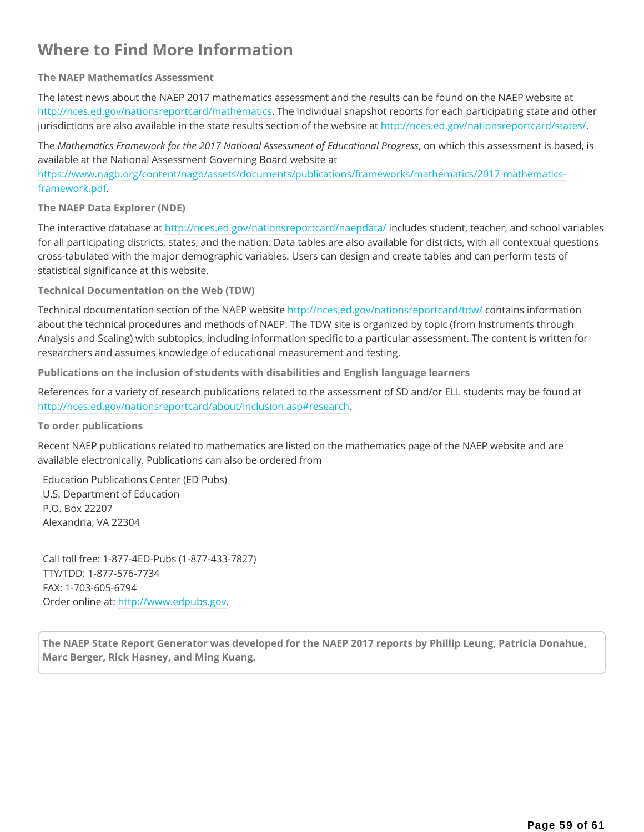## **Where to Find More Information**

#### **The NAEP Mathematics Assessment**

The latest news about the NAEP 2017 mathematics assessment and the results can be found on the NAEP website at http://nces.ed.gov/nationsreportcard/mathematics. The individual snapshot reports for each participating state and other jurisdictions are also available in the state results section of the website at http://nces.ed.gov/nationsreportcard/states/.

The *Mathematics Framework for the 2017 National Assessment of Educational Progress*, on which this assessment is based, is available at the National Assessment Governing Board website at

https://www.nagb.org/content/nagb/assets/documents/publications/frameworks/mathematics/2017-mathematicsframework.pdf.

**The NAEP Data Explorer (NDE)**

The interactive database at http://nces.ed.gov/nationsreportcard/naepdata/ includes student, teacher, and school variables for all participating districts, states, and the nation. Data tables are also available for districts, with all contextual questions cross-tabulated with the major demographic variables. Users can design and create tables and can perform tests of statistical significance at this website.

**Technical Documentation on the Web (TDW)**

Technical documentation section of the NAEP website http://nces.ed.gov/nationsreportcard/tdw/ contains information about the technical procedures and methods of NAEP. The TDW site is organized by topic (from Instruments through Analysis and Scaling) with subtopics, including information specific to a particular assessment. The content is written for researchers and assumes knowledge of educational measurement and testing.

**Publications on the inclusion of students with disabilities and English language learners**

References for a variety of research publications related to the assessment of SD and/or ELL students may be found at http://nces.ed.gov/nationsreportcard/about/inclusion.asp#research.

#### **To order publications**

Recent NAEP publications related to mathematics are listed on the mathematics page of the NAEP website and are available electronically. Publications can also be ordered from

Education Publications Center (ED Pubs) U.S. Department of Education P.O. Box 22207 Alexandria, VA 22304

Call toll free: 1-877-4ED-Pubs (1-877-433-7827) TTY/TDD: 1-877-576-7734 FAX: 1-703-605-6794 Order online at: http://www.edpubs.gov.

**The NAEP State Report Generator was developed for the NAEP 2017 reports by Phillip Leung, Patricia Donahue, Marc Berger, Rick Hasney, and Ming Kuang.**